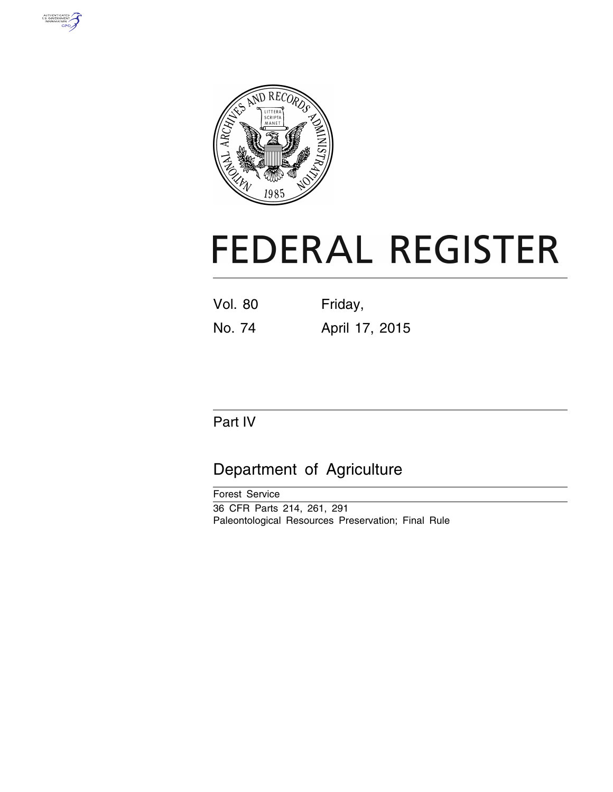



# **FEDERAL REGISTER**

Vol. 80 Friday,

No. 74 April 17, 2015

# Part IV

# Department of Agriculture

Forest Service 36 CFR Parts 214, 261, 291 Paleontological Resources Preservation; Final Rule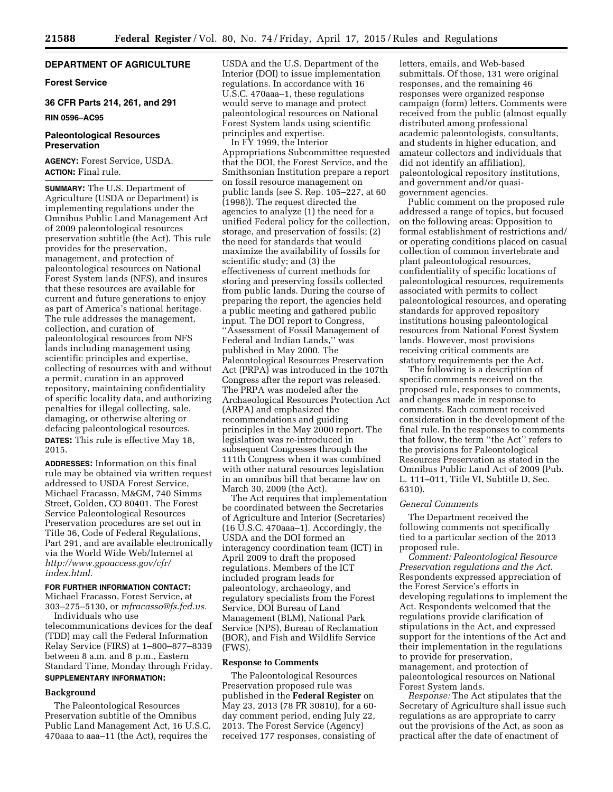# **DEPARTMENT OF AGRICULTURE**

# **Forest Service**

**36 CFR Parts 214, 261, and 291** 

#### **RIN 0596–AC95**

# **Paleontological Resources Preservation**

**AGENCY:** Forest Service, USDA. **ACTION:** Final rule.

**SUMMARY:** The U.S. Department of Agriculture (USDA or Department) is implementing regulations under the Omnibus Public Land Management Act of 2009 paleontological resources preservation subtitle (the Act). This rule provides for the preservation, management, and protection of paleontological resources on National Forest System lands (NFS), and insures that these resources are available for current and future generations to enjoy as part of America's national heritage. The rule addresses the management, collection, and curation of paleontological resources from NFS lands including management using scientific principles and expertise, collecting of resources with and without a permit, curation in an approved repository, maintaining confidentiality of specific locality data, and authorizing penalties for illegal collecting, sale, damaging, or otherwise altering or defacing paleontological resources.

**DATES:** This rule is effective May 18, 2015.

**ADDRESSES:** Information on this final rule may be obtained via written request addressed to USDA Forest Service, Michael Fracasso, M&GM, 740 Simms Street, Golden, CO 80401. The Forest Service Paleontological Resources Preservation procedures are set out in Title 36, Code of Federal Regulations, Part 291, and are available electronically via the World Wide Web/Internet at *[http://www.gpoaccess.gov/cfr/](http://www.gpoaccess.gov/cfr/index.html) [index.html.](http://www.gpoaccess.gov/cfr/index.html)* 

# **FOR FURTHER INFORMATION CONTACT:**

Michael Fracasso, Forest Service, at 303–275–5130, or *[mfracasso@fs.fed.us.](mailto:mfracasso@fs.fed.us)*  Individuals who use

telecommunications devices for the deaf (TDD) may call the Federal Information Relay Service (FIRS) at 1–800–877–8339 between 8 a.m. and 8 p.m., Eastern Standard Time, Monday through Friday. **SUPPLEMENTARY INFORMATION:** 

# **Background**

The Paleontological Resources Preservation subtitle of the Omnibus Public Land Management Act, 16 U.S.C. 470aaa to aaa–11 (the Act), requires the

USDA and the U.S. Department of the Interior (DOI) to issue implementation regulations. In accordance with 16 U.S.C. 470aaa–1, these regulations would serve to manage and protect paleontological resources on National Forest System lands using scientific principles and expertise.

In FY 1999, the Interior Appropriations Subcommittee requested that the DOI, the Forest Service, and the Smithsonian Institution prepare a report on fossil resource management on public lands (see S. Rep. 105–227, at 60 (1998)). The request directed the agencies to analyze (1) the need for a unified Federal policy for the collection, storage, and preservation of fossils; (2) the need for standards that would maximize the availability of fossils for scientific study; and (3) the effectiveness of current methods for storing and preserving fossils collected from public lands. During the course of preparing the report, the agencies held a public meeting and gathered public input. The DOI report to Congress, ''Assessment of Fossil Management of Federal and Indian Lands,'' was published in May 2000. The Paleontological Resources Preservation Act (PRPA) was introduced in the 107th Congress after the report was released. The PRPA was modeled after the Archaeological Resources Protection Act (ARPA) and emphasized the recommendations and guiding principles in the May 2000 report. The legislation was re-introduced in subsequent Congresses through the 111th Congress when it was combined with other natural resources legislation in an omnibus bill that became law on March 30, 2009 (the Act).

The Act requires that implementation be coordinated between the Secretaries of Agriculture and Interior (Secretaries) (16 U.S.C. 470aaa–1). Accordingly, the USDA and the DOI formed an interagency coordination team (ICT) in April 2009 to draft the proposed regulations. Members of the ICT included program leads for paleontology, archaeology, and regulatory specialists from the Forest Service, DOI Bureau of Land Management (BLM), National Park Service (NPS), Bureau of Reclamation (BOR), and Fish and Wildlife Service (FWS).

# **Response to Comments**

The Paleontological Resources Preservation proposed rule was published in the **Federal Register** on May 23, 2013 (78 FR 30810), for a 60 day comment period, ending July 22, 2013. The Forest Service (Agency) received 177 responses, consisting of

letters, emails, and Web-based submittals. Of those, 131 were original responses, and the remaining 46 responses were organized response campaign (form) letters. Comments were received from the public (almost equally distributed among professional academic paleontologists, consultants, and students in higher education, and amateur collectors and individuals that did not identify an affiliation), paleontological repository institutions, and government and/or quasigovernment agencies.

Public comment on the proposed rule addressed a range of topics, but focused on the following areas: Opposition to formal establishment of restrictions and/ or operating conditions placed on casual collection of common invertebrate and plant paleontological resources, confidentiality of specific locations of paleontological resources, requirements associated with permits to collect paleontological resources, and operating standards for approved repository institutions housing paleontological resources from National Forest System lands. However, most provisions receiving critical comments are statutory requirements per the Act.

The following is a description of specific comments received on the proposed rule, responses to comments, and changes made in response to comments. Each comment received consideration in the development of the final rule. In the responses to comments that follow, the term ''the Act'' refers to the provisions for Paleontological Resources Preservation as stated in the Omnibus Public Land Act of 2009 (Pub. L. 111–011, Title VI, Subtitle D, Sec. 6310).

#### *General Comments*

The Department received the following comments not specifically tied to a particular section of the 2013 proposed rule.

*Comment: Paleontological Resource Preservation regulations and the Act.*  Respondents expressed appreciation of the Forest Service's efforts in developing regulations to implement the Act. Respondents welcomed that the regulations provide clarification of stipulations in the Act, and expressed support for the intentions of the Act and their implementation in the regulations to provide for preservation, management, and protection of paleontological resources on National Forest System lands.

*Response:* The Act stipulates that the Secretary of Agriculture shall issue such regulations as are appropriate to carry out the provisions of the Act, as soon as practical after the date of enactment of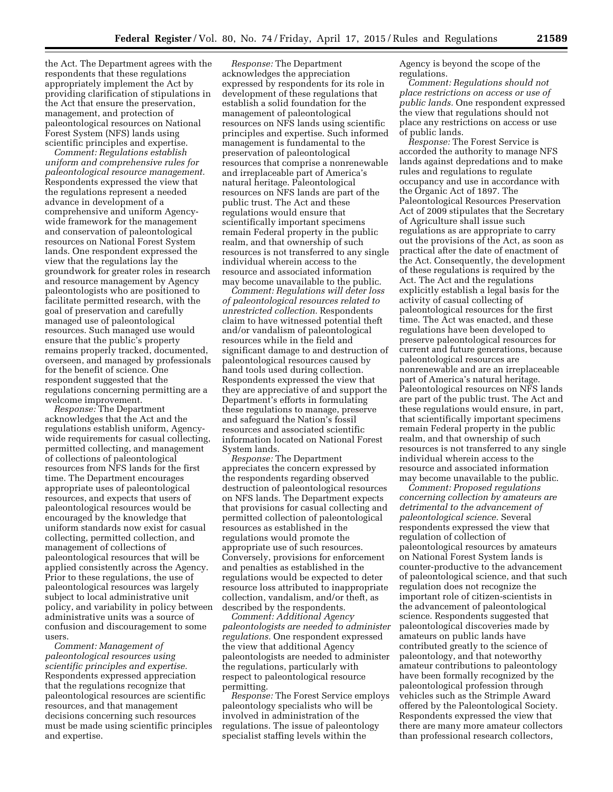the Act. The Department agrees with the respondents that these regulations appropriately implement the Act by providing clarification of stipulations in the Act that ensure the preservation, management, and protection of paleontological resources on National Forest System (NFS) lands using scientific principles and expertise.

*Comment: Regulations establish uniform and comprehensive rules for paleontological resource management.*  Respondents expressed the view that the regulations represent a needed advance in development of a comprehensive and uniform Agencywide framework for the management and conservation of paleontological resources on National Forest System lands. One respondent expressed the view that the regulations lay the groundwork for greater roles in research and resource management by Agency paleontologists who are positioned to facilitate permitted research, with the goal of preservation and carefully managed use of paleontological resources. Such managed use would ensure that the public's property remains properly tracked, documented, overseen, and managed by professionals for the benefit of science. One respondent suggested that the regulations concerning permitting are a welcome improvement.

*Response:* The Department acknowledges that the Act and the regulations establish uniform, Agencywide requirements for casual collecting, permitted collecting, and management of collections of paleontological resources from NFS lands for the first time. The Department encourages appropriate uses of paleontological resources, and expects that users of paleontological resources would be encouraged by the knowledge that uniform standards now exist for casual collecting, permitted collection, and management of collections of paleontological resources that will be applied consistently across the Agency. Prior to these regulations, the use of paleontological resources was largely subject to local administrative unit policy, and variability in policy between administrative units was a source of confusion and discouragement to some users.

*Comment: Management of paleontological resources using scientific principles and expertise.*  Respondents expressed appreciation that the regulations recognize that paleontological resources are scientific resources, and that management decisions concerning such resources must be made using scientific principles and expertise.

*Response:* The Department acknowledges the appreciation expressed by respondents for its role in development of these regulations that establish a solid foundation for the management of paleontological resources on NFS lands using scientific principles and expertise. Such informed management is fundamental to the preservation of paleontological resources that comprise a nonrenewable and irreplaceable part of America's natural heritage. Paleontological resources on NFS lands are part of the public trust. The Act and these regulations would ensure that scientifically important specimens remain Federal property in the public realm, and that ownership of such resources is not transferred to any single individual wherein access to the resource and associated information may become unavailable to the public.

*Comment: Regulations will deter loss of paleontological resources related to unrestricted collection.* Respondents claim to have witnessed potential theft and/or vandalism of paleontological resources while in the field and significant damage to and destruction of paleontological resources caused by hand tools used during collection. Respondents expressed the view that they are appreciative of and support the Department's efforts in formulating these regulations to manage, preserve and safeguard the Nation's fossil resources and associated scientific information located on National Forest System lands.

*Response:* The Department appreciates the concern expressed by the respondents regarding observed destruction of paleontological resources on NFS lands. The Department expects that provisions for casual collecting and permitted collection of paleontological resources as established in the regulations would promote the appropriate use of such resources. Conversely, provisions for enforcement and penalties as established in the regulations would be expected to deter resource loss attributed to inappropriate collection, vandalism, and/or theft, as described by the respondents.

*Comment: Additional Agency paleontologists are needed to administer regulations.* One respondent expressed the view that additional Agency paleontologists are needed to administer the regulations, particularly with respect to paleontological resource permitting.

*Response:* The Forest Service employs paleontology specialists who will be involved in administration of the regulations. The issue of paleontology specialist staffing levels within the

Agency is beyond the scope of the regulations.

*Comment: Regulations should not place restrictions on access or use of public lands.* One respondent expressed the view that regulations should not place any restrictions on access or use of public lands.

*Response:* The Forest Service is accorded the authority to manage NFS lands against depredations and to make rules and regulations to regulate occupancy and use in accordance with the Organic Act of 1897. The Paleontological Resources Preservation Act of 2009 stipulates that the Secretary of Agriculture shall issue such regulations as are appropriate to carry out the provisions of the Act, as soon as practical after the date of enactment of the Act. Consequently, the development of these regulations is required by the Act. The Act and the regulations explicitly establish a legal basis for the activity of casual collecting of paleontological resources for the first time. The Act was enacted, and these regulations have been developed to preserve paleontological resources for current and future generations, because paleontological resources are nonrenewable and are an irreplaceable part of America's natural heritage. Paleontological resources on NFS lands are part of the public trust. The Act and these regulations would ensure, in part, that scientifically important specimens remain Federal property in the public realm, and that ownership of such resources is not transferred to any single individual wherein access to the resource and associated information may become unavailable to the public.

*Comment: Proposed regulations concerning collection by amateurs are detrimental to the advancement of paleontological science.* Several respondents expressed the view that regulation of collection of paleontological resources by amateurs on National Forest System lands is counter-productive to the advancement of paleontological science, and that such regulation does not recognize the important role of citizen-scientists in the advancement of paleontological science. Respondents suggested that paleontological discoveries made by amateurs on public lands have contributed greatly to the science of paleontology, and that noteworthy amateur contributions to paleontology have been formally recognized by the paleontological profession through vehicles such as the Strimple Award offered by the Paleontological Society. Respondents expressed the view that there are many more amateur collectors than professional research collectors,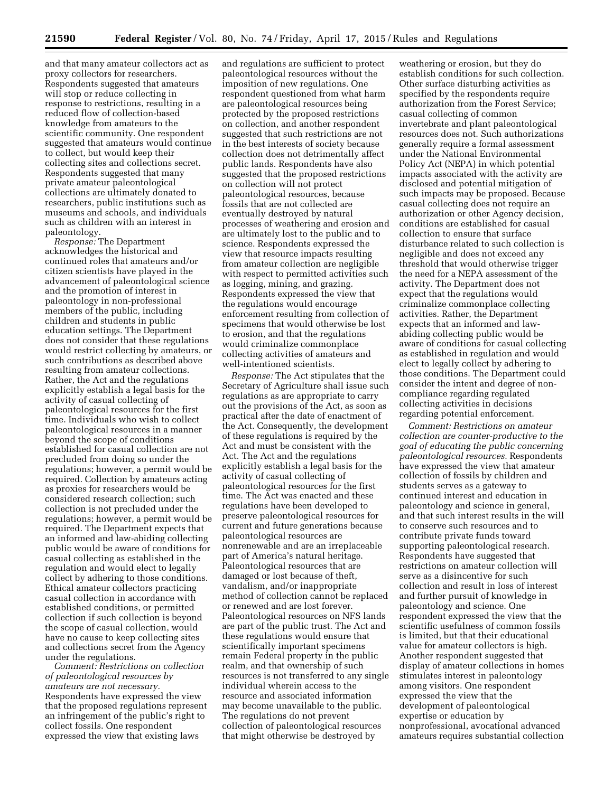and that many amateur collectors act as proxy collectors for researchers. Respondents suggested that amateurs will stop or reduce collecting in response to restrictions, resulting in a reduced flow of collection-based knowledge from amateurs to the scientific community. One respondent suggested that amateurs would continue to collect, but would keep their collecting sites and collections secret. Respondents suggested that many private amateur paleontological collections are ultimately donated to researchers, public institutions such as museums and schools, and individuals such as children with an interest in paleontology.

*Response:* The Department acknowledges the historical and continued roles that amateurs and/or citizen scientists have played in the advancement of paleontological science and the promotion of interest in paleontology in non-professional members of the public, including children and students in public education settings. The Department does not consider that these regulations would restrict collecting by amateurs, or such contributions as described above resulting from amateur collections. Rather, the Act and the regulations explicitly establish a legal basis for the activity of casual collecting of paleontological resources for the first time. Individuals who wish to collect paleontological resources in a manner beyond the scope of conditions established for casual collection are not precluded from doing so under the regulations; however, a permit would be required. Collection by amateurs acting as proxies for researchers would be considered research collection; such collection is not precluded under the regulations; however, a permit would be required. The Department expects that an informed and law-abiding collecting public would be aware of conditions for casual collecting as established in the regulation and would elect to legally collect by adhering to those conditions. Ethical amateur collectors practicing casual collection in accordance with established conditions, or permitted collection if such collection is beyond the scope of casual collection, would have no cause to keep collecting sites and collections secret from the Agency under the regulations.

*Comment: Restrictions on collection of paleontological resources by amateurs are not necessary.*  Respondents have expressed the view that the proposed regulations represent an infringement of the public's right to collect fossils. One respondent expressed the view that existing laws

and regulations are sufficient to protect paleontological resources without the imposition of new regulations. One respondent questioned from what harm are paleontological resources being protected by the proposed restrictions on collection, and another respondent suggested that such restrictions are not in the best interests of society because collection does not detrimentally affect public lands. Respondents have also suggested that the proposed restrictions on collection will not protect paleontological resources, because fossils that are not collected are eventually destroyed by natural processes of weathering and erosion and are ultimately lost to the public and to science. Respondents expressed the view that resource impacts resulting from amateur collection are negligible with respect to permitted activities such as logging, mining, and grazing. Respondents expressed the view that the regulations would encourage enforcement resulting from collection of specimens that would otherwise be lost to erosion, and that the regulations would criminalize commonplace collecting activities of amateurs and well-intentioned scientists.

*Response:* The Act stipulates that the Secretary of Agriculture shall issue such regulations as are appropriate to carry out the provisions of the Act, as soon as practical after the date of enactment of the Act. Consequently, the development of these regulations is required by the Act and must be consistent with the Act. The Act and the regulations explicitly establish a legal basis for the activity of casual collecting of paleontological resources for the first time. The Act was enacted and these regulations have been developed to preserve paleontological resources for current and future generations because paleontological resources are nonrenewable and are an irreplaceable part of America's natural heritage. Paleontological resources that are damaged or lost because of theft, vandalism, and/or inappropriate method of collection cannot be replaced or renewed and are lost forever. Paleontological resources on NFS lands are part of the public trust. The Act and these regulations would ensure that scientifically important specimens remain Federal property in the public realm, and that ownership of such resources is not transferred to any single individual wherein access to the resource and associated information may become unavailable to the public. The regulations do not prevent collection of paleontological resources that might otherwise be destroyed by

weathering or erosion, but they do establish conditions for such collection. Other surface disturbing activities as specified by the respondents require authorization from the Forest Service; casual collecting of common invertebrate and plant paleontological resources does not. Such authorizations generally require a formal assessment under the National Environmental Policy Act (NEPA) in which potential impacts associated with the activity are disclosed and potential mitigation of such impacts may be proposed. Because casual collecting does not require an authorization or other Agency decision, conditions are established for casual collection to ensure that surface disturbance related to such collection is negligible and does not exceed any threshold that would otherwise trigger the need for a NEPA assessment of the activity. The Department does not expect that the regulations would criminalize commonplace collecting activities. Rather, the Department expects that an informed and lawabiding collecting public would be aware of conditions for casual collecting as established in regulation and would elect to legally collect by adhering to those conditions. The Department could consider the intent and degree of noncompliance regarding regulated collecting activities in decisions regarding potential enforcement.

*Comment: Restrictions on amateur collection are counter-productive to the goal of educating the public concerning paleontological resources.* Respondents have expressed the view that amateur collection of fossils by children and students serves as a gateway to continued interest and education in paleontology and science in general, and that such interest results in the will to conserve such resources and to contribute private funds toward supporting paleontological research. Respondents have suggested that restrictions on amateur collection will serve as a disincentive for such collection and result in loss of interest and further pursuit of knowledge in paleontology and science. One respondent expressed the view that the scientific usefulness of common fossils is limited, but that their educational value for amateur collectors is high. Another respondent suggested that display of amateur collections in homes stimulates interest in paleontology among visitors. One respondent expressed the view that the development of paleontological expertise or education by nonprofessional, avocational advanced amateurs requires substantial collection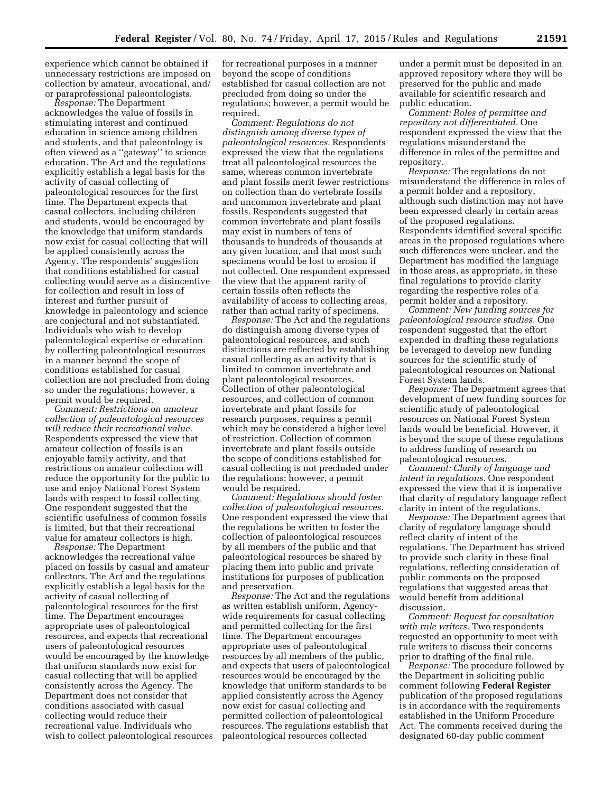experience which cannot be obtained if unnecessary restrictions are imposed on collection by amateur, avocational, and/ or paraprofessional paleontologists.

*Response:* The Department acknowledges the value of fossils in stimulating interest and continued education in science among children and students, and that paleontology is often viewed as a ''gateway'' to science education. The Act and the regulations explicitly establish a legal basis for the activity of casual collecting of paleontological resources for the first time. The Department expects that casual collectors, including children and students, would be encouraged by the knowledge that uniform standards now exist for casual collecting that will be applied consistently across the Agency. The respondents' suggestion that conditions established for casual collecting would serve as a disincentive for collection and result in loss of interest and further pursuit of knowledge in paleontology and science are conjectural and not substantiated. Individuals who wish to develop paleontological expertise or education by collecting paleontological resources in a manner beyond the scope of conditions established for casual collection are not precluded from doing so under the regulations; however, a permit would be required.

*Comment: Restrictions on amateur collection of paleontological resources will reduce their recreational value.*  Respondents expressed the view that amateur collection of fossils is an enjoyable family activity, and that restrictions on amateur collection will reduce the opportunity for the public to use and enjoy National Forest System lands with respect to fossil collecting. One respondent suggested that the scientific usefulness of common fossils is limited, but that their recreational value for amateur collectors is high.

*Response:* The Department acknowledges the recreational value placed on fossils by casual and amateur collectors. The Act and the regulations explicitly establish a legal basis for the activity of casual collecting of paleontological resources for the first time. The Department encourages appropriate uses of paleontological resources, and expects that recreational users of paleontological resources would be encouraged by the knowledge that uniform standards now exist for casual collecting that will be applied consistently across the Agency. The Department does not consider that conditions associated with casual collecting would reduce their recreational value. Individuals who wish to collect paleontological resources

for recreational purposes in a manner beyond the scope of conditions established for casual collection are not precluded from doing so under the regulations; however, a permit would be required.

*Comment: Regulations do not distinguish among diverse types of paleontological resources.* Respondents expressed the view that the regulations treat all paleontological resources the same, whereas common invertebrate and plant fossils merit fewer restrictions on collection than do vertebrate fossils and uncommon invertebrate and plant fossils. Respondents suggested that common invertebrate and plant fossils may exist in numbers of tens of thousands to hundreds of thousands at any given location, and that most such specimens would be lost to erosion if not collected. One respondent expressed the view that the apparent rarity of certain fossils often reflects the availability of access to collecting areas, rather than actual rarity of specimens.

*Response:* The Act and the regulations do distinguish among diverse types of paleontological resources, and such distinctions are reflected by establishing casual collecting as an activity that is limited to common invertebrate and plant paleontological resources. Collection of other paleontological resources, and collection of common invertebrate and plant fossils for research purposes, requires a permit which may be considered a higher level of restriction. Collection of common invertebrate and plant fossils outside the scope of conditions established for casual collecting is not precluded under the regulations; however, a permit would be required.

*Comment: Regulations should foster collection of paleontological resources.*  One respondent expressed the view that the regulations be written to foster the collection of paleontological resources by all members of the public and that paleontological resources be shared by placing them into public and private institutions for purposes of publication and preservation.

*Response:* The Act and the regulations as written establish uniform, Agencywide requirements for casual collecting and permitted collecting for the first time. The Department encourages appropriate uses of paleontological resources by all members of the public, and expects that users of paleontological resources would be encouraged by the knowledge that uniform standards to be applied consistently across the Agency now exist for casual collecting and permitted collection of paleontological resources. The regulations establish that paleontological resources collected

under a permit must be deposited in an approved repository where they will be preserved for the public and made available for scientific research and public education.

*Comment: Roles of permittee and repository not differentiated.* One respondent expressed the view that the regulations misunderstand the difference in roles of the permittee and repository.

*Response:* The regulations do not misunderstand the difference in roles of a permit holder and a repository, although such distinction may not have been expressed clearly in certain areas of the proposed regulations. Respondents identified several specific areas in the proposed regulations where such differences were unclear, and the Department has modified the language in those areas, as appropriate, in these final regulations to provide clarity regarding the respective roles of a permit holder and a repository.

*Comment: New funding sources for paleontological resource studies.* One respondent suggested that the effort expended in drafting these regulations be leveraged to develop new funding sources for the scientific study of paleontological resources on National Forest System lands.

*Response:* The Department agrees that development of new funding sources for scientific study of paleontological resources on National Forest System lands would be beneficial. However, it is beyond the scope of these regulations to address funding of research on paleontological resources.

*Comment: Clarity of language and intent in regulations.* One respondent expressed the view that it is imperative that clarity of regulatory language reflect clarity in intent of the regulations.

*Response:* The Department agrees that clarity of regulatory language should reflect clarity of intent of the regulations. The Department has strived to provide such clarity in these final regulations, reflecting consideration of public comments on the proposed regulations that suggested areas that would benefit from additional discussion.

*Comment: Request for consultation with rule writers.* Two respondents requested an opportunity to meet with rule writers to discuss their concerns prior to drafting of the final rule.

*Response:* The procedure followed by the Department in soliciting public comment following **Federal Register**  publication of the proposed regulations is in accordance with the requirements established in the Uniform Procedure Act. The comments received during the designated 60-day public comment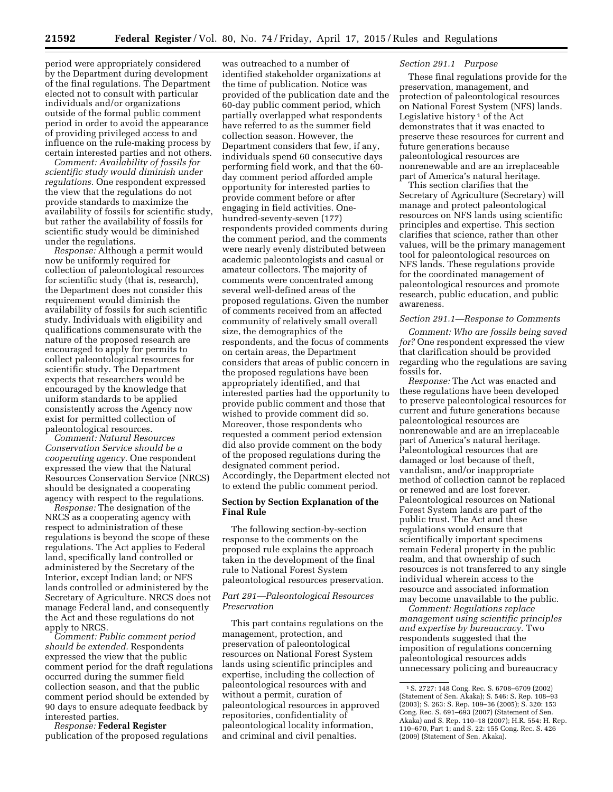period were appropriately considered by the Department during development of the final regulations. The Department elected not to consult with particular individuals and/or organizations outside of the formal public comment period in order to avoid the appearance of providing privileged access to and influence on the rule-making process by certain interested parties and not others.

*Comment: Availability of fossils for scientific study would diminish under regulations.* One respondent expressed the view that the regulations do not provide standards to maximize the availability of fossils for scientific study, but rather the availability of fossils for scientific study would be diminished under the regulations.

*Response:* Although a permit would now be uniformly required for collection of paleontological resources for scientific study (that is, research), the Department does not consider this requirement would diminish the availability of fossils for such scientific study. Individuals with eligibility and qualifications commensurate with the nature of the proposed research are encouraged to apply for permits to collect paleontological resources for scientific study. The Department expects that researchers would be encouraged by the knowledge that uniform standards to be applied consistently across the Agency now exist for permitted collection of paleontological resources.

*Comment: Natural Resources Conservation Service should be a cooperating agency.* One respondent expressed the view that the Natural Resources Conservation Service (NRCS) should be designated a cooperating agency with respect to the regulations.

*Response:* The designation of the NRCS as a cooperating agency with respect to administration of these regulations is beyond the scope of these regulations. The Act applies to Federal land, specifically land controlled or administered by the Secretary of the Interior, except Indian land; or NFS lands controlled or administered by the Secretary of Agriculture. NRCS does not manage Federal land, and consequently the Act and these regulations do not apply to NRCS.

*Comment: Public comment period should be extended.* Respondents expressed the view that the public comment period for the draft regulations occurred during the summer field collection season, and that the public comment period should be extended by 90 days to ensure adequate feedback by interested parties.

*Response:* **Federal Register**  publication of the proposed regulations

was outreached to a number of identified stakeholder organizations at the time of publication. Notice was provided of the publication date and the 60-day public comment period, which partially overlapped what respondents have referred to as the summer field collection season. However, the Department considers that few, if any, individuals spend 60 consecutive days performing field work, and that the 60 day comment period afforded ample opportunity for interested parties to provide comment before or after engaging in field activities. Onehundred-seventy-seven (177) respondents provided comments during the comment period, and the comments were nearly evenly distributed between academic paleontologists and casual or amateur collectors. The majority of comments were concentrated among several well-defined areas of the proposed regulations. Given the number of comments received from an affected community of relatively small overall size, the demographics of the respondents, and the focus of comments on certain areas, the Department considers that areas of public concern in the proposed regulations have been appropriately identified, and that interested parties had the opportunity to provide public comment and those that wished to provide comment did so. Moreover, those respondents who requested a comment period extension did also provide comment on the body of the proposed regulations during the designated comment period. Accordingly, the Department elected not to extend the public comment period.

# **Section by Section Explanation of the Final Rule**

The following section-by-section response to the comments on the proposed rule explains the approach taken in the development of the final rule to National Forest System paleontological resources preservation.

# *Part 291—Paleontological Resources Preservation*

This part contains regulations on the management, protection, and preservation of paleontological resources on National Forest System lands using scientific principles and expertise, including the collection of paleontological resources with and without a permit, curation of paleontological resources in approved repositories, confidentiality of paleontological locality information, and criminal and civil penalties.

# *Section 291.1 Purpose*

These final regulations provide for the preservation, management, and protection of paleontological resources on National Forest System (NFS) lands. Legislative history 1 of the Act demonstrates that it was enacted to preserve these resources for current and future generations because paleontological resources are nonrenewable and are an irreplaceable part of America's natural heritage.

This section clarifies that the Secretary of Agriculture (Secretary) will manage and protect paleontological resources on NFS lands using scientific principles and expertise. This section clarifies that science, rather than other values, will be the primary management tool for paleontological resources on NFS lands. These regulations provide for the coordinated management of paleontological resources and promote research, public education, and public awareness.

# *Section 291.1—Response to Comments*

*Comment: Who are fossils being saved for?* One respondent expressed the view that clarification should be provided regarding who the regulations are saving fossils for.

*Response:* The Act was enacted and these regulations have been developed to preserve paleontological resources for current and future generations because paleontological resources are nonrenewable and are an irreplaceable part of America's natural heritage. Paleontological resources that are damaged or lost because of theft, vandalism, and/or inappropriate method of collection cannot be replaced or renewed and are lost forever. Paleontological resources on National Forest System lands are part of the public trust. The Act and these regulations would ensure that scientifically important specimens remain Federal property in the public realm, and that ownership of such resources is not transferred to any single individual wherein access to the resource and associated information may become unavailable to the public.

*Comment: Regulations replace management using scientific principles and expertise by bureaucracy.* Two respondents suggested that the imposition of regulations concerning paleontological resources adds unnecessary policing and bureaucracy

<sup>1</sup>S. 2727: 148 Cong. Rec. S. 6708–6709 (2002) (Statement of Sen. Akaka); S. 546: S. Rep. 108–93 (2003); S. 263: S. Rep. 109–36 (2005); S. 320: 153 Cong. Rec. S. 691-693 (2007) (Statement of Sen. Akaka) and S. Rep. 110–18 (2007); H.R. 554: H. Rep. 110–670, Part 1; and S. 22: 155 Cong. Rec. S. 426 (2009) (Statement of Sen. Akaka).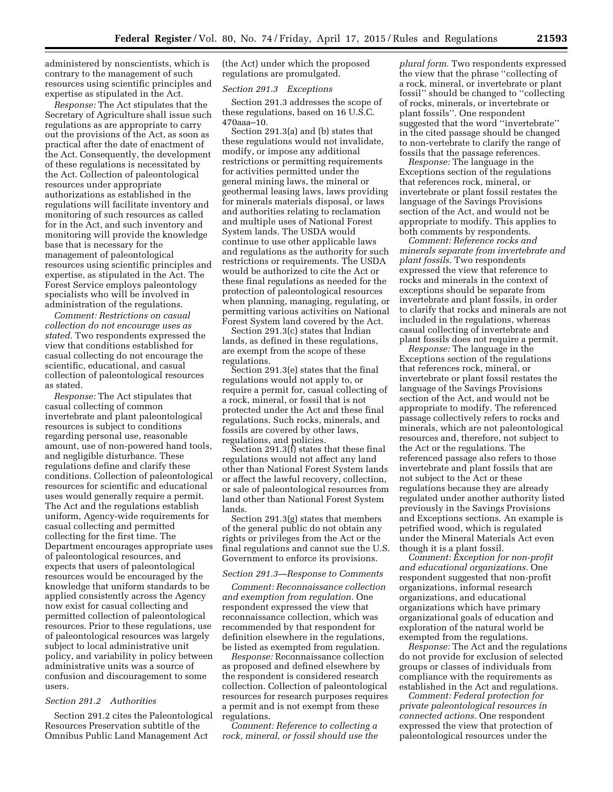administered by nonscientists, which is contrary to the management of such resources using scientific principles and expertise as stipulated in the Act.

*Response:* The Act stipulates that the Secretary of Agriculture shall issue such regulations as are appropriate to carry out the provisions of the Act, as soon as practical after the date of enactment of the Act. Consequently, the development of these regulations is necessitated by the Act. Collection of paleontological resources under appropriate authorizations as established in the regulations will facilitate inventory and monitoring of such resources as called for in the Act, and such inventory and monitoring will provide the knowledge base that is necessary for the management of paleontological resources using scientific principles and expertise, as stipulated in the Act. The Forest Service employs paleontology specialists who will be involved in administration of the regulations.

*Comment: Restrictions on casual collection do not encourage uses as stated.* Two respondents expressed the view that conditions established for casual collecting do not encourage the scientific, educational, and casual collection of paleontological resources as stated.

*Response:* The Act stipulates that casual collecting of common invertebrate and plant paleontological resources is subject to conditions regarding personal use, reasonable amount, use of non-powered hand tools, and negligible disturbance. These regulations define and clarify these conditions. Collection of paleontological resources for scientific and educational uses would generally require a permit. The Act and the regulations establish uniform, Agency-wide requirements for casual collecting and permitted collecting for the first time. The Department encourages appropriate uses of paleontological resources, and expects that users of paleontological resources would be encouraged by the knowledge that uniform standards to be applied consistently across the Agency now exist for casual collecting and permitted collection of paleontological resources. Prior to these regulations, use of paleontological resources was largely subject to local administrative unit policy, and variability in policy between administrative units was a source of confusion and discouragement to some users.

# *Section 291.2 Authorities*

Section 291.2 cites the Paleontological Resources Preservation subtitle of the Omnibus Public Land Management Act

(the Act) under which the proposed regulations are promulgated.

#### *Section 291.3 Exceptions*

Section 291.3 addresses the scope of these regulations, based on 16 U.S.C. 470aaa–10.

Section 291.3(a) and (b) states that these regulations would not invalidate, modify, or impose any additional restrictions or permitting requirements for activities permitted under the general mining laws, the mineral or geothermal leasing laws, laws providing for minerals materials disposal, or laws and authorities relating to reclamation and multiple uses of National Forest System lands. The USDA would continue to use other applicable laws and regulations as the authority for such restrictions or requirements. The USDA would be authorized to cite the Act or these final regulations as needed for the protection of paleontological resources when planning, managing, regulating, or permitting various activities on National Forest System land covered by the Act.

Section 291.3(c) states that Indian lands, as defined in these regulations, are exempt from the scope of these regulations.

Section 291.3(e) states that the final regulations would not apply to, or require a permit for, casual collecting of a rock, mineral, or fossil that is not protected under the Act and these final regulations. Such rocks, minerals, and fossils are covered by other laws, regulations, and policies.

Section 291.3(f) states that these final regulations would not affect any land other than National Forest System lands or affect the lawful recovery, collection, or sale of paleontological resources from land other than National Forest System lands.

Section 291.3(g) states that members of the general public do not obtain any rights or privileges from the Act or the final regulations and cannot sue the U.S. Government to enforce its provisions.

#### *Section 291.3—Response to Comments*

*Comment: Reconnaissance collection and exemption from regulation.* One respondent expressed the view that reconnaissance collection, which was recommended by that respondent for definition elsewhere in the regulations, be listed as exempted from regulation.

*Response:* Reconnaissance collection as proposed and defined elsewhere by the respondent is considered research collection. Collection of paleontological resources for research purposes requires a permit and is not exempt from these regulations.

*Comment: Reference to collecting a rock, mineral, or fossil should use the* 

*plural form.* Two respondents expressed the view that the phrase ''collecting of a rock, mineral, or invertebrate or plant fossil'' should be changed to ''collecting of rocks, minerals, or invertebrate or plant fossils''. One respondent suggested that the word ''invertebrate'' in the cited passage should be changed to non-vertebrate to clarify the range of fossils that the passage references.

*Response:* The language in the Exceptions section of the regulations that references rock, mineral, or invertebrate or plant fossil restates the language of the Savings Provisions section of the Act, and would not be appropriate to modify. This applies to both comments by respondents.

*Comment: Reference rocks and minerals separate from invertebrate and plant fossils.* Two respondents expressed the view that reference to rocks and minerals in the context of exceptions should be separate from invertebrate and plant fossils, in order to clarify that rocks and minerals are not included in the regulations, whereas casual collecting of invertebrate and plant fossils does not require a permit.

*Response:* The language in the Exceptions section of the regulations that references rock, mineral, or invertebrate or plant fossil restates the language of the Savings Provisions section of the Act, and would not be appropriate to modify. The referenced passage collectively refers to rocks and minerals, which are not paleontological resources and, therefore, not subject to the Act or the regulations. The referenced passage also refers to those invertebrate and plant fossils that are not subject to the Act or these regulations because they are already regulated under another authority listed previously in the Savings Provisions and Exceptions sections. An example is petrified wood, which is regulated under the Mineral Materials Act even though it is a plant fossil.

*Comment: Exception for non-profit and educational organizations.* One respondent suggested that non-profit organizations, informal research organizations, and educational organizations which have primary organizational goals of education and exploration of the natural world be exempted from the regulations.

*Response:* The Act and the regulations do not provide for exclusion of selected groups or classes of individuals from compliance with the requirements as established in the Act and regulations.

*Comment: Federal protection for private paleontological resources in connected actions.* One respondent expressed the view that protection of paleontological resources under the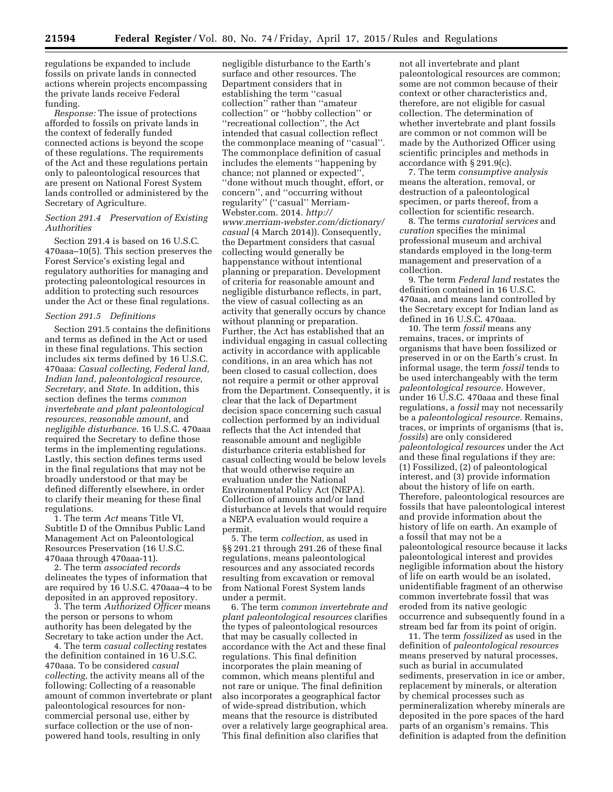regulations be expanded to include fossils on private lands in connected actions wherein projects encompassing the private lands receive Federal funding.

*Response:* The issue of protections afforded to fossils on private lands in the context of federally funded connected actions is beyond the scope of these regulations. The requirements of the Act and these regulations pertain only to paleontological resources that are present on National Forest System lands controlled or administered by the Secretary of Agriculture.

# *Section 291.4 Preservation of Existing Authorities*

Section 291.4 is based on 16 U.S.C. 470aaa–10(5). This section preserves the Forest Service's existing legal and regulatory authorities for managing and protecting paleontological resources in addition to protecting such resources under the Act or these final regulations.

#### *Section 291.5 Definitions*

Section 291.5 contains the definitions and terms as defined in the Act or used in these final regulations. This section includes six terms defined by 16 U.S.C. 470aaa: *Casual collecting, Federal land, Indian land, paleontological resource, Secretary,* and *State.* In addition, this section defines the terms *common invertebrate and plant paleontological resources, reasonable amount,* and *negligible disturbance.* 16 U.S.C. 470aaa required the Secretary to define those terms in the implementing regulations. Lastly, this section defines terms used in the final regulations that may not be broadly understood or that may be defined differently elsewhere, in order to clarify their meaning for these final regulations.

1. The term *Act* means Title VI, Subtitle D of the Omnibus Public Land Management Act on Paleontological Resources Preservation (16 U.S.C. 470aaa through 470aaa-11).

2. The term *associated records*  delineates the types of information that are required by 16 U.S.C. 470aaa–4 to be deposited in an approved repository.

3. The term *Authorized Officer* means the person or persons to whom authority has been delegated by the Secretary to take action under the Act.

4. The term *casual collecting* restates the definition contained in 16 U.S.C. 470aaa. To be considered *casual collecting,* the activity means all of the following: Collecting of a reasonable amount of common invertebrate or plant paleontological resources for noncommercial personal use, either by surface collection or the use of nonpowered hand tools, resulting in only

negligible disturbance to the Earth's surface and other resources. The Department considers that in establishing the term ''casual collection'' rather than ''amateur collection'' or ''hobby collection'' or ''recreational collection'', the Act intended that casual collection reflect the commonplace meaning of ''casual''. The commonplace definition of casual includes the elements ''happening by chance; not planned or expected'', ''done without much thought, effort, or concern'', and ''occurring without regularity'' (''casual'' Merriam-Webster.com. 2014. *[http://](http://www.merriam-webster.com/dictionary/casual) [www.merriam-webster.com/dictionary/](http://www.merriam-webster.com/dictionary/casual) [casual](http://www.merriam-webster.com/dictionary/casual)* (4 March 2014)). Consequently, the Department considers that casual collecting would generally be happenstance without intentional planning or preparation. Development of criteria for reasonable amount and negligible disturbance reflects, in part, the view of casual collecting as an activity that generally occurs by chance without planning or preparation. Further, the Act has established that an individual engaging in casual collecting activity in accordance with applicable conditions, in an area which has not been closed to casual collection, does not require a permit or other approval from the Department. Consequently, it is clear that the lack of Department decision space concerning such casual collection performed by an individual reflects that the Act intended that reasonable amount and negligible disturbance criteria established for casual collecting would be below levels that would otherwise require an evaluation under the National Environmental Policy Act (NEPA). Collection of amounts and/or land disturbance at levels that would require a NEPA evaluation would require a permit.

5. The term *collection,* as used in §§ 291.21 through 291.26 of these final regulations, means paleontological resources and any associated records resulting from excavation or removal from National Forest System lands under a permit.

6. The term *common invertebrate and plant paleontological resources* clarifies the types of paleontological resources that may be casually collected in accordance with the Act and these final regulations. This final definition incorporates the plain meaning of common, which means plentiful and not rare or unique. The final definition also incorporates a geographical factor of wide-spread distribution, which means that the resource is distributed over a relatively large geographical area. This final definition also clarifies that

not all invertebrate and plant paleontological resources are common; some are not common because of their context or other characteristics and, therefore, are not eligible for casual collection. The determination of whether invertebrate and plant fossils are common or not common will be made by the Authorized Officer using scientific principles and methods in accordance with § 291.9(c).

7. The term *consumptive analysis*  means the alteration, removal, or destruction of a paleontological specimen, or parts thereof, from a collection for scientific research.

8. The terms *curatorial services* and *curation* specifies the minimal professional museum and archival standards employed in the long-term management and preservation of a collection.

9. The term *Federal land* restates the definition contained in 16 U.S.C. 470aaa, and means land controlled by the Secretary except for Indian land as defined in 16 U.S.C. 470aaa.

10. The term *fossil* means any remains, traces, or imprints of organisms that have been fossilized or preserved in or on the Earth's crust. In informal usage, the term *fossil* tends to be used interchangeably with the term *paleontological resource.* However, under 16 U.S.C. 470aaa and these final regulations, a *fossil* may not necessarily be a *paleontological resource.* Remains, traces, or imprints of organisms (that is, *fossils*) are only considered *paleontological resources* under the Act and these final regulations if they are: (1) Fossilized, (2) of paleontological interest, and (3) provide information about the history of life on earth. Therefore, paleontological resources are fossils that have paleontological interest and provide information about the history of life on earth. An example of a fossil that may not be a paleontological resource because it lacks paleontological interest and provides negligible information about the history of life on earth would be an isolated, unidentifiable fragment of an otherwise common invertebrate fossil that was eroded from its native geologic occurrence and subsequently found in a stream bed far from its point of origin.

11. The term *fossilized* as used in the definition of *paleontological resources*  means preserved by natural processes, such as burial in accumulated sediments, preservation in ice or amber, replacement by minerals, or alteration by chemical processes such as permineralization whereby minerals are deposited in the pore spaces of the hard parts of an organism's remains. This definition is adapted from the definition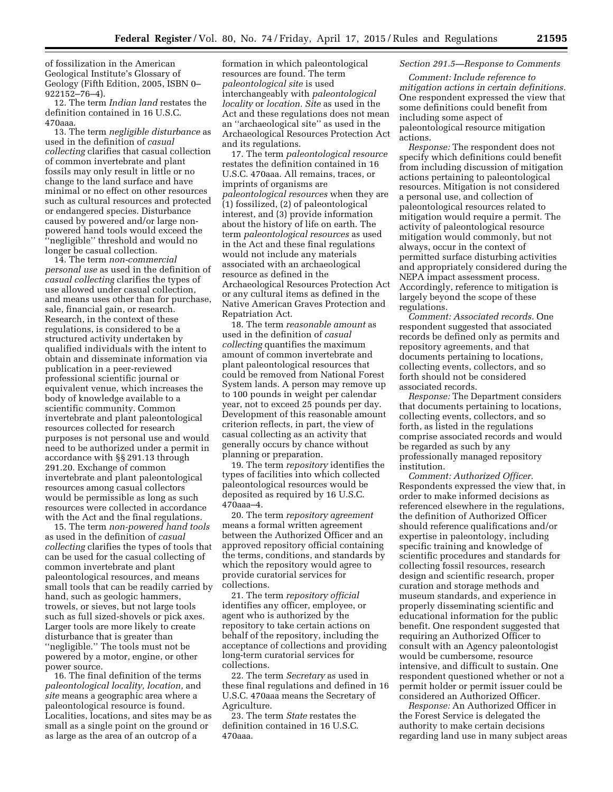of fossilization in the American Geological Institute's Glossary of Geology (Fifth Edition, 2005, ISBN 0– 922152–76–4).

12. The term *Indian land* restates the definition contained in 16 U.S.C. 470aaa.

13. The term *negligible disturbance* as used in the definition of *casual collecting* clarifies that casual collection of common invertebrate and plant fossils may only result in little or no change to the land surface and have minimal or no effect on other resources such as cultural resources and protected or endangered species. Disturbance caused by powered and/or large nonpowered hand tools would exceed the ''negligible'' threshold and would no longer be casual collection.

14. The term *non-commercial personal use* as used in the definition of *casual collecting* clarifies the types of use allowed under casual collection, and means uses other than for purchase, sale, financial gain, or research. Research, in the context of these regulations, is considered to be a structured activity undertaken by qualified individuals with the intent to obtain and disseminate information via publication in a peer-reviewed professional scientific journal or equivalent venue, which increases the body of knowledge available to a scientific community. Common invertebrate and plant paleontological resources collected for research purposes is not personal use and would need to be authorized under a permit in accordance with §§ 291.13 through 291.20. Exchange of common invertebrate and plant paleontological resources among casual collectors would be permissible as long as such resources were collected in accordance with the Act and the final regulations.

15. The term *non-powered hand tools*  as used in the definition of *casual collecting* clarifies the types of tools that can be used for the casual collecting of common invertebrate and plant paleontological resources, and means small tools that can be readily carried by hand, such as geologic hammers, trowels, or sieves, but not large tools such as full sized-shovels or pick axes. Larger tools are more likely to create disturbance that is greater than ''negligible.'' The tools must not be powered by a motor, engine, or other power source.

16. The final definition of the terms *paleontological locality, location,* and *site* means a geographic area where a paleontological resource is found. Localities, locations, and sites may be as small as a single point on the ground or as large as the area of an outcrop of a

formation in which paleontological resources are found. The term *paleontological site* is used interchangeably with *paleontological locality* or *location. Site* as used in the Act and these regulations does not mean an ''archaeological site'' as used in the Archaeological Resources Protection Act and its regulations.

17. The term *paleontological resource*  restates the definition contained in 16 U.S.C. 470aaa. All remains, traces, or imprints of organisms are *paleontological resources* when they are (1) fossilized, (2) of paleontological interest, and (3) provide information about the history of life on earth. The term *paleontological resources* as used in the Act and these final regulations would not include any materials associated with an archaeological resource as defined in the Archaeological Resources Protection Act or any cultural items as defined in the Native American Graves Protection and Repatriation Act.

18. The term *reasonable amount* as used in the definition of *casual collecting* quantifies the maximum amount of common invertebrate and plant paleontological resources that could be removed from National Forest System lands. A person may remove up to 100 pounds in weight per calendar year, not to exceed 25 pounds per day. Development of this reasonable amount criterion reflects, in part, the view of casual collecting as an activity that generally occurs by chance without planning or preparation.

19. The term *repository* identifies the types of facilities into which collected paleontological resources would be deposited as required by 16 U.S.C. 470aaa–4.

20. The term *repository agreement*  means a formal written agreement between the Authorized Officer and an approved repository official containing the terms, conditions, and standards by which the repository would agree to provide curatorial services for collections.

21. The term *repository official*  identifies any officer, employee, or agent who is authorized by the repository to take certain actions on behalf of the repository, including the acceptance of collections and providing long-term curatorial services for collections.

22. The term *Secretary* as used in these final regulations and defined in 16 U.S.C. 470aaa means the Secretary of Agriculture.

23. The term *State* restates the definition contained in 16 U.S.C. 470aaa.

# *Section 291.5—Response to Comments*

*Comment: Include reference to mitigation actions in certain definitions.*  One respondent expressed the view that some definitions could benefit from including some aspect of paleontological resource mitigation actions.

*Response:* The respondent does not specify which definitions could benefit from including discussion of mitigation actions pertaining to paleontological resources. Mitigation is not considered a personal use, and collection of paleontological resources related to mitigation would require a permit. The activity of paleontological resource mitigation would commonly, but not always, occur in the context of permitted surface disturbing activities and appropriately considered during the NEPA impact assessment process. Accordingly, reference to mitigation is largely beyond the scope of these regulations.

*Comment: Associated records.* One respondent suggested that associated records be defined only as permits and repository agreements, and that documents pertaining to locations, collecting events, collectors, and so forth should not be considered associated records.

*Response:* The Department considers that documents pertaining to locations, collecting events, collectors, and so forth, as listed in the regulations comprise associated records and would be regarded as such by any professionally managed repository institution.

*Comment: Authorized Officer.*  Respondents expressed the view that, in order to make informed decisions as referenced elsewhere in the regulations, the definition of Authorized Officer should reference qualifications and/or expertise in paleontology, including specific training and knowledge of scientific procedures and standards for collecting fossil resources, research design and scientific research, proper curation and storage methods and museum standards, and experience in properly disseminating scientific and educational information for the public benefit. One respondent suggested that requiring an Authorized Officer to consult with an Agency paleontologist would be cumbersome, resource intensive, and difficult to sustain. One respondent questioned whether or not a permit holder or permit issuer could be considered an Authorized Officer.

*Response:* An Authorized Officer in the Forest Service is delegated the authority to make certain decisions regarding land use in many subject areas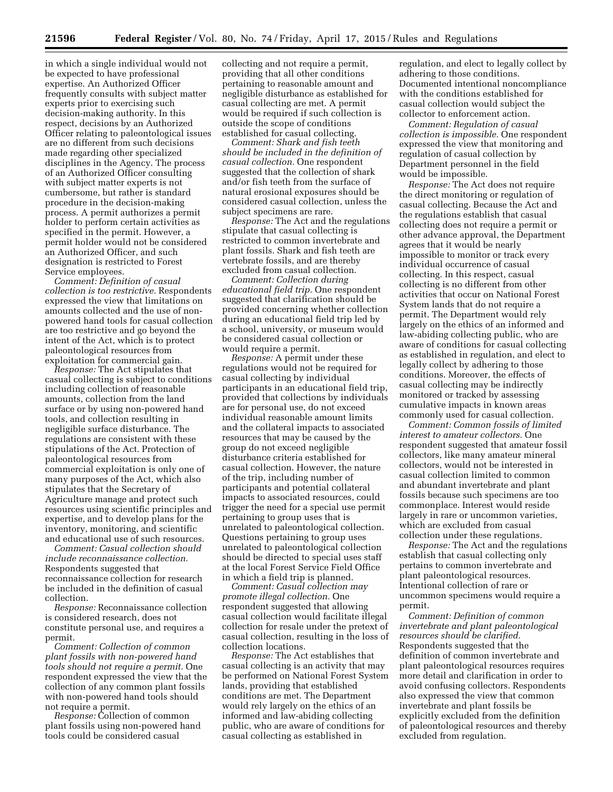in which a single individual would not be expected to have professional expertise. An Authorized Officer frequently consults with subject matter experts prior to exercising such decision-making authority. In this respect, decisions by an Authorized Officer relating to paleontological issues are no different from such decisions made regarding other specialized disciplines in the Agency. The process of an Authorized Officer consulting with subject matter experts is not cumbersome, but rather is standard procedure in the decision-making process. A permit authorizes a permit holder to perform certain activities as specified in the permit. However, a permit holder would not be considered an Authorized Officer, and such designation is restricted to Forest Service employees.

*Comment: Definition of casual collection is too restrictive.* Respondents expressed the view that limitations on amounts collected and the use of nonpowered hand tools for casual collection are too restrictive and go beyond the intent of the Act, which is to protect paleontological resources from exploitation for commercial gain.

*Response:* The Act stipulates that casual collecting is subject to conditions including collection of reasonable amounts, collection from the land surface or by using non-powered hand tools, and collection resulting in negligible surface disturbance. The regulations are consistent with these stipulations of the Act. Protection of paleontological resources from commercial exploitation is only one of many purposes of the Act, which also stipulates that the Secretary of Agriculture manage and protect such resources using scientific principles and expertise, and to develop plans for the inventory, monitoring, and scientific and educational use of such resources.

*Comment: Casual collection should include reconnaissance collection.*  Respondents suggested that reconnaissance collection for research be included in the definition of casual collection.

*Response:* Reconnaissance collection is considered research, does not constitute personal use, and requires a permit.

*Comment: Collection of common plant fossils with non-powered hand tools should not require a permit.* One respondent expressed the view that the collection of any common plant fossils with non-powered hand tools should not require a permit.

*Response:* Collection of common plant fossils using non-powered hand tools could be considered casual

collecting and not require a permit, providing that all other conditions pertaining to reasonable amount and negligible disturbance as established for casual collecting are met. A permit would be required if such collection is outside the scope of conditions established for casual collecting.

*Comment: Shark and fish teeth should be included in the definition of casual collection.* One respondent suggested that the collection of shark and/or fish teeth from the surface of natural erosional exposures should be considered casual collection, unless the subject specimens are rare.

*Response:* The Act and the regulations stipulate that casual collecting is restricted to common invertebrate and plant fossils. Shark and fish teeth are vertebrate fossils, and are thereby excluded from casual collection.

*Comment: Collection during educational field trip.* One respondent suggested that clarification should be provided concerning whether collection during an educational field trip led by a school, university, or museum would be considered casual collection or would require a permit.

*Response:* A permit under these regulations would not be required for casual collecting by individual participants in an educational field trip, provided that collections by individuals are for personal use, do not exceed individual reasonable amount limits and the collateral impacts to associated resources that may be caused by the group do not exceed negligible disturbance criteria established for casual collection. However, the nature of the trip, including number of participants and potential collateral impacts to associated resources, could trigger the need for a special use permit pertaining to group uses that is unrelated to paleontological collection. Questions pertaining to group uses unrelated to paleontological collection should be directed to special uses staff at the local Forest Service Field Office in which a field trip is planned.

*Comment: Casual collection may promote illegal collection.* One respondent suggested that allowing casual collection would facilitate illegal collection for resale under the pretext of casual collection, resulting in the loss of collection locations.

*Response:* The Act establishes that casual collecting is an activity that may be performed on National Forest System lands, providing that established conditions are met. The Department would rely largely on the ethics of an informed and law-abiding collecting public, who are aware of conditions for casual collecting as established in

regulation, and elect to legally collect by adhering to those conditions. Documented intentional noncompliance with the conditions established for casual collection would subject the collector to enforcement action.

*Comment: Regulation of casual collection is impossible.* One respondent expressed the view that monitoring and regulation of casual collection by Department personnel in the field would be impossible.

*Response:* The Act does not require the direct monitoring or regulation of casual collecting. Because the Act and the regulations establish that casual collecting does not require a permit or other advance approval, the Department agrees that it would be nearly impossible to monitor or track every individual occurrence of casual collecting. In this respect, casual collecting is no different from other activities that occur on National Forest System lands that do not require a permit. The Department would rely largely on the ethics of an informed and law-abiding collecting public, who are aware of conditions for casual collecting as established in regulation, and elect to legally collect by adhering to those conditions. Moreover, the effects of casual collecting may be indirectly monitored or tracked by assessing cumulative impacts in known areas commonly used for casual collection.

*Comment: Common fossils of limited interest to amateur collectors.* One respondent suggested that amateur fossil collectors, like many amateur mineral collectors, would not be interested in casual collection limited to common and abundant invertebrate and plant fossils because such specimens are too commonplace. Interest would reside largely in rare or uncommon varieties, which are excluded from casual collection under these regulations.

*Response:* The Act and the regulations establish that casual collecting only pertains to common invertebrate and plant paleontological resources. Intentional collection of rare or uncommon specimens would require a permit.

*Comment: Definition of common invertebrate and plant paleontological resources should be clarified.*  Respondents suggested that the definition of common invertebrate and plant paleontological resources requires more detail and clarification in order to avoid confusing collectors. Respondents also expressed the view that common invertebrate and plant fossils be explicitly excluded from the definition of paleontological resources and thereby excluded from regulation.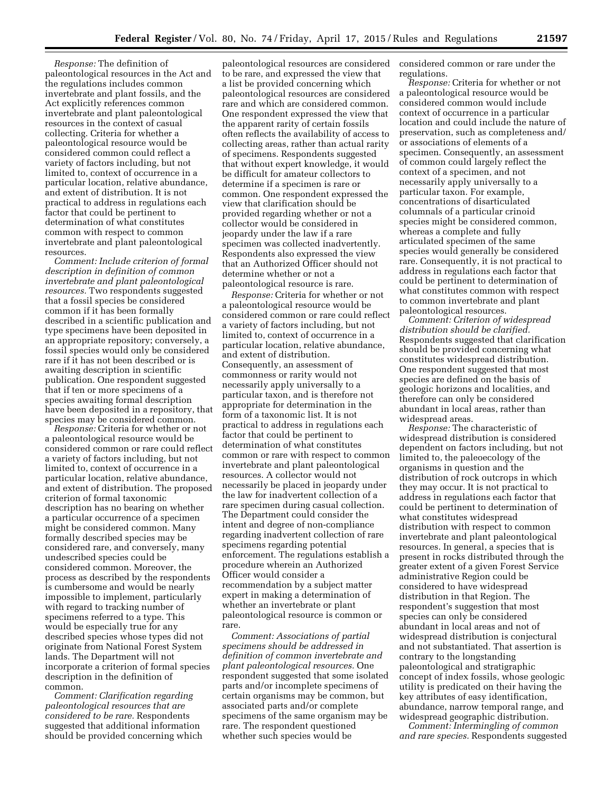*Response:* The definition of paleontological resources in the Act and the regulations includes common invertebrate and plant fossils, and the Act explicitly references common invertebrate and plant paleontological resources in the context of casual collecting. Criteria for whether a paleontological resource would be considered common could reflect a variety of factors including, but not limited to, context of occurrence in a particular location, relative abundance, and extent of distribution. It is not practical to address in regulations each factor that could be pertinent to determination of what constitutes common with respect to common invertebrate and plant paleontological resources.

*Comment: Include criterion of formal description in definition of common invertebrate and plant paleontological resources.* Two respondents suggested that a fossil species be considered common if it has been formally described in a scientific publication and type specimens have been deposited in an appropriate repository; conversely, a fossil species would only be considered rare if it has not been described or is awaiting description in scientific publication. One respondent suggested that if ten or more specimens of a species awaiting formal description have been deposited in a repository, that species may be considered common.

*Response:* Criteria for whether or not a paleontological resource would be considered common or rare could reflect a variety of factors including, but not limited to, context of occurrence in a particular location, relative abundance, and extent of distribution. The proposed criterion of formal taxonomic description has no bearing on whether a particular occurrence of a specimen might be considered common. Many formally described species may be considered rare, and conversely, many undescribed species could be considered common. Moreover, the process as described by the respondents is cumbersome and would be nearly impossible to implement, particularly with regard to tracking number of specimens referred to a type. This would be especially true for any described species whose types did not originate from National Forest System lands. The Department will not incorporate a criterion of formal species description in the definition of common.

*Comment: Clarification regarding paleontological resources that are considered to be rare.* Respondents suggested that additional information should be provided concerning which

paleontological resources are considered to be rare, and expressed the view that a list be provided concerning which paleontological resources are considered rare and which are considered common. One respondent expressed the view that the apparent rarity of certain fossils often reflects the availability of access to collecting areas, rather than actual rarity of specimens. Respondents suggested that without expert knowledge, it would be difficult for amateur collectors to determine if a specimen is rare or common. One respondent expressed the view that clarification should be provided regarding whether or not a collector would be considered in jeopardy under the law if a rare specimen was collected inadvertently. Respondents also expressed the view that an Authorized Officer should not determine whether or not a paleontological resource is rare.

*Response:* Criteria for whether or not a paleontological resource would be considered common or rare could reflect a variety of factors including, but not limited to, context of occurrence in a particular location, relative abundance, and extent of distribution. Consequently, an assessment of commonness or rarity would not necessarily apply universally to a particular taxon, and is therefore not appropriate for determination in the form of a taxonomic list. It is not practical to address in regulations each factor that could be pertinent to determination of what constitutes common or rare with respect to common invertebrate and plant paleontological resources. A collector would not necessarily be placed in jeopardy under the law for inadvertent collection of a rare specimen during casual collection. The Department could consider the intent and degree of non-compliance regarding inadvertent collection of rare specimens regarding potential enforcement. The regulations establish a procedure wherein an Authorized Officer would consider a recommendation by a subject matter expert in making a determination of whether an invertebrate or plant paleontological resource is common or rare.

*Comment: Associations of partial specimens should be addressed in definition of common invertebrate and plant paleontological resources.* One respondent suggested that some isolated parts and/or incomplete specimens of certain organisms may be common, but associated parts and/or complete specimens of the same organism may be rare. The respondent questioned whether such species would be

considered common or rare under the regulations.

*Response:* Criteria for whether or not a paleontological resource would be considered common would include context of occurrence in a particular location and could include the nature of preservation, such as completeness and/ or associations of elements of a specimen. Consequently, an assessment of common could largely reflect the context of a specimen, and not necessarily apply universally to a particular taxon. For example, concentrations of disarticulated columnals of a particular crinoid species might be considered common, whereas a complete and fully articulated specimen of the same species would generally be considered rare. Consequently, it is not practical to address in regulations each factor that could be pertinent to determination of what constitutes common with respect to common invertebrate and plant paleontological resources.

*Comment: Criterion of widespread distribution should be clarified.*  Respondents suggested that clarification should be provided concerning what constitutes widespread distribution. One respondent suggested that most species are defined on the basis of geologic horizons and localities, and therefore can only be considered abundant in local areas, rather than widespread areas.

*Response:* The characteristic of widespread distribution is considered dependent on factors including, but not limited to, the paleoecology of the organisms in question and the distribution of rock outcrops in which they may occur. It is not practical to address in regulations each factor that could be pertinent to determination of what constitutes widespread distribution with respect to common invertebrate and plant paleontological resources. In general, a species that is present in rocks distributed through the greater extent of a given Forest Service administrative Region could be considered to have widespread distribution in that Region. The respondent's suggestion that most species can only be considered abundant in local areas and not of widespread distribution is conjectural and not substantiated. That assertion is contrary to the longstanding paleontological and stratigraphic concept of index fossils, whose geologic utility is predicated on their having the key attributes of easy identification, abundance, narrow temporal range, and widespread geographic distribution.

*Comment: Intermingling of common and rare species.* Respondents suggested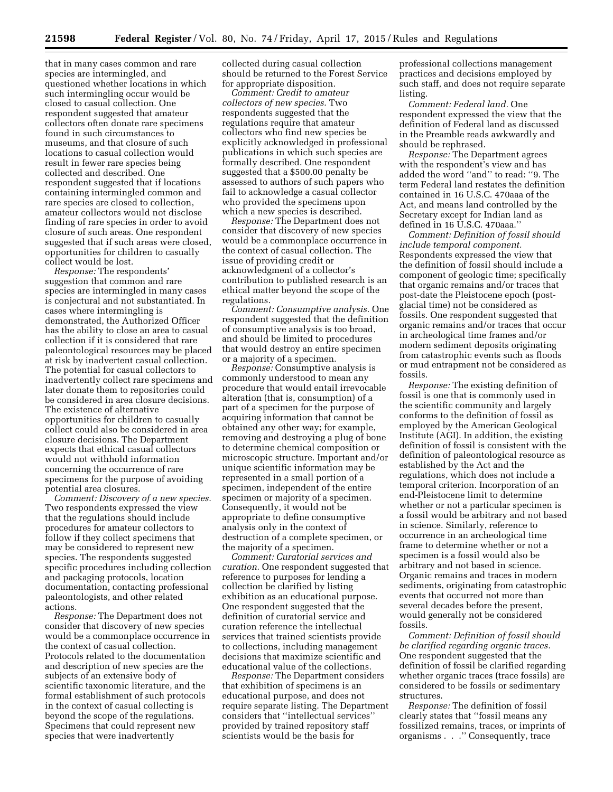that in many cases common and rare species are intermingled, and questioned whether locations in which such intermingling occur would be closed to casual collection. One respondent suggested that amateur collectors often donate rare specimens found in such circumstances to museums, and that closure of such locations to casual collection would result in fewer rare species being collected and described. One respondent suggested that if locations containing intermingled common and rare species are closed to collection, amateur collectors would not disclose finding of rare species in order to avoid closure of such areas. One respondent suggested that if such areas were closed, opportunities for children to casually collect would be lost.

*Response:* The respondents' suggestion that common and rare species are intermingled in many cases is conjectural and not substantiated. In cases where intermingling is demonstrated, the Authorized Officer has the ability to close an area to casual collection if it is considered that rare paleontological resources may be placed at risk by inadvertent casual collection. The potential for casual collectors to inadvertently collect rare specimens and later donate them to repositories could be considered in area closure decisions. The existence of alternative opportunities for children to casually collect could also be considered in area closure decisions. The Department expects that ethical casual collectors would not withhold information concerning the occurrence of rare specimens for the purpose of avoiding potential area closures.

*Comment: Discovery of a new species.*  Two respondents expressed the view that the regulations should include procedures for amateur collectors to follow if they collect specimens that may be considered to represent new species. The respondents suggested specific procedures including collection and packaging protocols, location documentation, contacting professional paleontologists, and other related actions.

*Response:* The Department does not consider that discovery of new species would be a commonplace occurrence in the context of casual collection. Protocols related to the documentation and description of new species are the subjects of an extensive body of scientific taxonomic literature, and the formal establishment of such protocols in the context of casual collecting is beyond the scope of the regulations. Specimens that could represent new species that were inadvertently

collected during casual collection should be returned to the Forest Service for appropriate disposition.

*Comment: Credit to amateur collectors of new species.* Two respondents suggested that the regulations require that amateur collectors who find new species be explicitly acknowledged in professional publications in which such species are formally described. One respondent suggested that a \$500.00 penalty be assessed to authors of such papers who fail to acknowledge a casual collector who provided the specimens upon which a new species is described.

*Response:* The Department does not consider that discovery of new species would be a commonplace occurrence in the context of casual collection. The issue of providing credit or acknowledgment of a collector's contribution to published research is an ethical matter beyond the scope of the regulations.

*Comment: Consumptive analysis.* One respondent suggested that the definition of consumptive analysis is too broad, and should be limited to procedures that would destroy an entire specimen or a majority of a specimen.

*Response:* Consumptive analysis is commonly understood to mean any procedure that would entail irrevocable alteration (that is, consumption) of a part of a specimen for the purpose of acquiring information that cannot be obtained any other way; for example, removing and destroying a plug of bone to determine chemical composition or microscopic structure. Important and/or unique scientific information may be represented in a small portion of a specimen, independent of the entire specimen or majority of a specimen. Consequently, it would not be appropriate to define consumptive analysis only in the context of destruction of a complete specimen, or the majority of a specimen.

*Comment: Curatorial services and curation.* One respondent suggested that reference to purposes for lending a collection be clarified by listing exhibition as an educational purpose. One respondent suggested that the definition of curatorial service and curation reference the intellectual services that trained scientists provide to collections, including management decisions that maximize scientific and educational value of the collections.

*Response:* The Department considers that exhibition of specimens is an educational purpose, and does not require separate listing. The Department considers that ''intellectual services'' provided by trained repository staff scientists would be the basis for

professional collections management practices and decisions employed by such staff, and does not require separate listing.

*Comment: Federal land.* One respondent expressed the view that the definition of Federal land as discussed in the Preamble reads awkwardly and should be rephrased.

*Response:* The Department agrees with the respondent's view and has added the word ''and'' to read: ''9. The term Federal land restates the definition contained in 16 U.S.C. 470aaa of the Act, and means land controlled by the Secretary except for Indian land as defined in 16 U.S.C. 470aaa.''

*Comment: Definition of fossil should include temporal component.*  Respondents expressed the view that the definition of fossil should include a component of geologic time; specifically that organic remains and/or traces that post-date the Pleistocene epoch (postglacial time) not be considered as fossils. One respondent suggested that organic remains and/or traces that occur in archeological time frames and/or modern sediment deposits originating from catastrophic events such as floods or mud entrapment not be considered as fossils.

*Response:* The existing definition of fossil is one that is commonly used in the scientific community and largely conforms to the definition of fossil as employed by the American Geological Institute (AGI). In addition, the existing definition of fossil is consistent with the definition of paleontological resource as established by the Act and the regulations, which does not include a temporal criterion. Incorporation of an end-Pleistocene limit to determine whether or not a particular specimen is a fossil would be arbitrary and not based in science. Similarly, reference to occurrence in an archeological time frame to determine whether or not a specimen is a fossil would also be arbitrary and not based in science. Organic remains and traces in modern sediments, originating from catastrophic events that occurred not more than several decades before the present, would generally not be considered fossils.

*Comment: Definition of fossil should be clarified regarding organic traces.*  One respondent suggested that the definition of fossil be clarified regarding whether organic traces (trace fossils) are considered to be fossils or sedimentary structures.

*Response:* The definition of fossil clearly states that ''fossil means any fossilized remains, traces, or imprints of organisms . . .'' Consequently, trace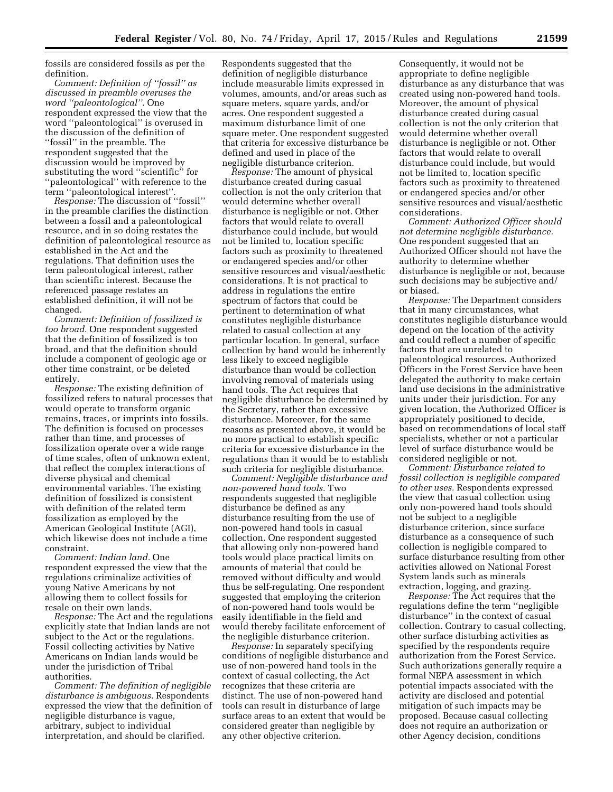fossils are considered fossils as per the definition.

*Comment: Definition of ''fossil'' as discussed in preamble overuses the word ''paleontological''.* One respondent expressed the view that the word ''paleontological'' is overused in the discussion of the definition of ''fossil'' in the preamble. The respondent suggested that the discussion would be improved by substituting the word ''scientific'' for ''paleontological'' with reference to the term ''paleontological interest''.

*Response:* The discussion of ''fossil'' in the preamble clarifies the distinction between a fossil and a paleontological resource, and in so doing restates the definition of paleontological resource as established in the Act and the regulations. That definition uses the term paleontological interest, rather than scientific interest. Because the referenced passage restates an established definition, it will not be changed.

*Comment: Definition of fossilized is too broad.* One respondent suggested that the definition of fossilized is too broad, and that the definition should include a component of geologic age or other time constraint, or be deleted entirely.

*Response:* The existing definition of fossilized refers to natural processes that would operate to transform organic remains, traces, or imprints into fossils. The definition is focused on processes rather than time, and processes of fossilization operate over a wide range of time scales, often of unknown extent, that reflect the complex interactions of diverse physical and chemical environmental variables. The existing definition of fossilized is consistent with definition of the related term fossilization as employed by the American Geological Institute (AGI), which likewise does not include a time constraint.

*Comment: Indian land.* One respondent expressed the view that the regulations criminalize activities of young Native Americans by not allowing them to collect fossils for resale on their own lands.

*Response:* The Act and the regulations explicitly state that Indian lands are not subject to the Act or the regulations. Fossil collecting activities by Native Americans on Indian lands would be under the jurisdiction of Tribal authorities.

*Comment: The definition of negligible disturbance is ambiguous.* Respondents expressed the view that the definition of negligible disturbance is vague, arbitrary, subject to individual interpretation, and should be clarified.

Respondents suggested that the definition of negligible disturbance include measurable limits expressed in volumes, amounts, and/or areas such as square meters, square yards, and/or acres. One respondent suggested a maximum disturbance limit of one square meter. One respondent suggested that criteria for excessive disturbance be defined and used in place of the negligible disturbance criterion.

*Response:* The amount of physical disturbance created during casual collection is not the only criterion that would determine whether overall disturbance is negligible or not. Other factors that would relate to overall disturbance could include, but would not be limited to, location specific factors such as proximity to threatened or endangered species and/or other sensitive resources and visual/aesthetic considerations. It is not practical to address in regulations the entire spectrum of factors that could be pertinent to determination of what constitutes negligible disturbance related to casual collection at any particular location. In general, surface collection by hand would be inherently less likely to exceed negligible disturbance than would be collection involving removal of materials using hand tools. The Act requires that negligible disturbance be determined by the Secretary, rather than excessive disturbance. Moreover, for the same reasons as presented above, it would be no more practical to establish specific criteria for excessive disturbance in the regulations than it would be to establish such criteria for negligible disturbance.

*Comment: Negligible disturbance and non-powered hand tools.* Two respondents suggested that negligible disturbance be defined as any disturbance resulting from the use of non-powered hand tools in casual collection. One respondent suggested that allowing only non-powered hand tools would place practical limits on amounts of material that could be removed without difficulty and would thus be self-regulating. One respondent suggested that employing the criterion of non-powered hand tools would be easily identifiable in the field and would thereby facilitate enforcement of the negligible disturbance criterion.

*Response:* In separately specifying conditions of negligible disturbance and use of non-powered hand tools in the context of casual collecting, the Act recognizes that these criteria are distinct. The use of non-powered hand tools can result in disturbance of large surface areas to an extent that would be considered greater than negligible by any other objective criterion.

Consequently, it would not be appropriate to define negligible disturbance as any disturbance that was created using non-powered hand tools. Moreover, the amount of physical disturbance created during casual collection is not the only criterion that would determine whether overall disturbance is negligible or not. Other factors that would relate to overall disturbance could include, but would not be limited to, location specific factors such as proximity to threatened or endangered species and/or other sensitive resources and visual/aesthetic considerations.

*Comment: Authorized Officer should not determine negligible disturbance.*  One respondent suggested that an Authorized Officer should not have the authority to determine whether disturbance is negligible or not, because such decisions may be subjective and/ or biased.

*Response:* The Department considers that in many circumstances, what constitutes negligible disturbance would depend on the location of the activity and could reflect a number of specific factors that are unrelated to paleontological resources. Authorized Officers in the Forest Service have been delegated the authority to make certain land use decisions in the administrative units under their jurisdiction. For any given location, the Authorized Officer is appropriately positioned to decide, based on recommendations of local staff specialists, whether or not a particular level of surface disturbance would be considered negligible or not.

*Comment: Disturbance related to fossil collection is negligible compared to other uses.* Respondents expressed the view that casual collection using only non-powered hand tools should not be subject to a negligible disturbance criterion, since surface disturbance as a consequence of such collection is negligible compared to surface disturbance resulting from other activities allowed on National Forest System lands such as minerals extraction, logging, and grazing.

*Response:* The Act requires that the regulations define the term ''negligible disturbance'' in the context of casual collection. Contrary to casual collecting, other surface disturbing activities as specified by the respondents require authorization from the Forest Service. Such authorizations generally require a formal NEPA assessment in which potential impacts associated with the activity are disclosed and potential mitigation of such impacts may be proposed. Because casual collecting does not require an authorization or other Agency decision, conditions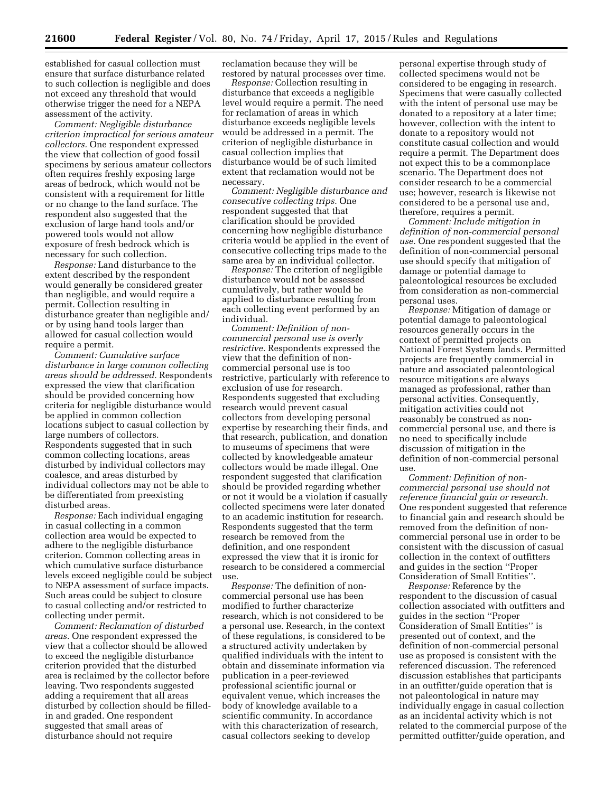established for casual collection must ensure that surface disturbance related to such collection is negligible and does not exceed any threshold that would otherwise trigger the need for a NEPA assessment of the activity.

*Comment: Negligible disturbance criterion impractical for serious amateur collectors.* One respondent expressed the view that collection of good fossil specimens by serious amateur collectors often requires freshly exposing large areas of bedrock, which would not be consistent with a requirement for little or no change to the land surface. The respondent also suggested that the exclusion of large hand tools and/or powered tools would not allow exposure of fresh bedrock which is necessary for such collection.

*Response:* Land disturbance to the extent described by the respondent would generally be considered greater than negligible, and would require a permit. Collection resulting in disturbance greater than negligible and/ or by using hand tools larger than allowed for casual collection would require a permit.

*Comment: Cumulative surface disturbance in large common collecting areas should be addressed.* Respondents expressed the view that clarification should be provided concerning how criteria for negligible disturbance would be applied in common collection locations subject to casual collection by large numbers of collectors. Respondents suggested that in such common collecting locations, areas disturbed by individual collectors may coalesce, and areas disturbed by individual collectors may not be able to be differentiated from preexisting disturbed areas.

*Response:* Each individual engaging in casual collecting in a common collection area would be expected to adhere to the negligible disturbance criterion. Common collecting areas in which cumulative surface disturbance levels exceed negligible could be subject to NEPA assessment of surface impacts. Such areas could be subject to closure to casual collecting and/or restricted to collecting under permit.

*Comment: Reclamation of disturbed areas.* One respondent expressed the view that a collector should be allowed to exceed the negligible disturbance criterion provided that the disturbed area is reclaimed by the collector before leaving. Two respondents suggested adding a requirement that all areas disturbed by collection should be filledin and graded. One respondent suggested that small areas of disturbance should not require

reclamation because they will be restored by natural processes over time.

*Response:* Collection resulting in disturbance that exceeds a negligible level would require a permit. The need for reclamation of areas in which disturbance exceeds negligible levels would be addressed in a permit. The criterion of negligible disturbance in casual collection implies that disturbance would be of such limited extent that reclamation would not be necessary.

*Comment: Negligible disturbance and consecutive collecting trips.* One respondent suggested that that clarification should be provided concerning how negligible disturbance criteria would be applied in the event of consecutive collecting trips made to the same area by an individual collector.

*Response:* The criterion of negligible disturbance would not be assessed cumulatively, but rather would be applied to disturbance resulting from each collecting event performed by an individual.

*Comment: Definition of noncommercial personal use is overly restrictive.* Respondents expressed the view that the definition of noncommercial personal use is too restrictive, particularly with reference to exclusion of use for research. Respondents suggested that excluding research would prevent casual collectors from developing personal expertise by researching their finds, and that research, publication, and donation to museums of specimens that were collected by knowledgeable amateur collectors would be made illegal. One respondent suggested that clarification should be provided regarding whether or not it would be a violation if casually collected specimens were later donated to an academic institution for research. Respondents suggested that the term research be removed from the definition, and one respondent expressed the view that it is ironic for research to be considered a commercial use.

*Response:* The definition of noncommercial personal use has been modified to further characterize research, which is not considered to be a personal use. Research, in the context of these regulations, is considered to be a structured activity undertaken by qualified individuals with the intent to obtain and disseminate information via publication in a peer-reviewed professional scientific journal or equivalent venue, which increases the body of knowledge available to a scientific community. In accordance with this characterization of research, casual collectors seeking to develop

personal expertise through study of collected specimens would not be considered to be engaging in research. Specimens that were casually collected with the intent of personal use may be donated to a repository at a later time; however, collection with the intent to donate to a repository would not constitute casual collection and would require a permit. The Department does not expect this to be a commonplace scenario. The Department does not consider research to be a commercial use; however, research is likewise not considered to be a personal use and, therefore, requires a permit.

*Comment: Include mitigation in definition of non-commercial personal use.* One respondent suggested that the definition of non-commercial personal use should specify that mitigation of damage or potential damage to paleontological resources be excluded from consideration as non-commercial personal uses.

*Response:* Mitigation of damage or potential damage to paleontological resources generally occurs in the context of permitted projects on National Forest System lands. Permitted projects are frequently commercial in nature and associated paleontological resource mitigations are always managed as professional, rather than personal activities. Consequently, mitigation activities could not reasonably be construed as noncommercial personal use, and there is no need to specifically include discussion of mitigation in the definition of non-commercial personal use.

*Comment: Definition of noncommercial personal use should not reference financial gain or research.*  One respondent suggested that reference to financial gain and research should be removed from the definition of noncommercial personal use in order to be consistent with the discussion of casual collection in the context of outfitters and guides in the section ''Proper Consideration of Small Entities''.

*Response:* Reference by the respondent to the discussion of casual collection associated with outfitters and guides in the section ''Proper Consideration of Small Entities'' is presented out of context, and the definition of non-commercial personal use as proposed is consistent with the referenced discussion. The referenced discussion establishes that participants in an outfitter/guide operation that is not paleontological in nature may individually engage in casual collection as an incidental activity which is not related to the commercial purpose of the permitted outfitter/guide operation, and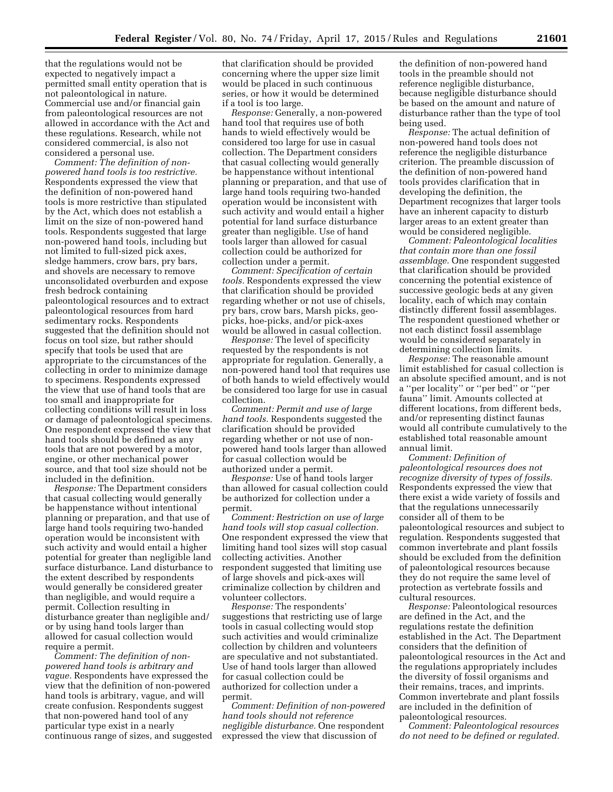that the regulations would not be expected to negatively impact a permitted small entity operation that is not paleontological in nature. Commercial use and/or financial gain from paleontological resources are not allowed in accordance with the Act and these regulations. Research, while not considered commercial, is also not considered a personal use.

*Comment: The definition of nonpowered hand tools is too restrictive.*  Respondents expressed the view that the definition of non-powered hand tools is more restrictive than stipulated by the Act, which does not establish a limit on the size of non-powered hand tools. Respondents suggested that large non-powered hand tools, including but not limited to full-sized pick axes, sledge hammers, crow bars, pry bars, and shovels are necessary to remove unconsolidated overburden and expose fresh bedrock containing paleontological resources and to extract paleontological resources from hard sedimentary rocks. Respondents suggested that the definition should not focus on tool size, but rather should specify that tools be used that are appropriate to the circumstances of the collecting in order to minimize damage to specimens. Respondents expressed the view that use of hand tools that are too small and inappropriate for collecting conditions will result in loss or damage of paleontological specimens. One respondent expressed the view that hand tools should be defined as any tools that are not powered by a motor, engine, or other mechanical power source, and that tool size should not be included in the definition.

*Response:* The Department considers that casual collecting would generally be happenstance without intentional planning or preparation, and that use of large hand tools requiring two-handed operation would be inconsistent with such activity and would entail a higher potential for greater than negligible land surface disturbance. Land disturbance to the extent described by respondents would generally be considered greater than negligible, and would require a permit. Collection resulting in disturbance greater than negligible and/ or by using hand tools larger than allowed for casual collection would require a permit.

*Comment: The definition of nonpowered hand tools is arbitrary and vague.* Respondents have expressed the view that the definition of non-powered hand tools is arbitrary, vague, and will create confusion. Respondents suggest that non-powered hand tool of any particular type exist in a nearly continuous range of sizes, and suggested that clarification should be provided concerning where the upper size limit would be placed in such continuous series, or how it would be determined if a tool is too large.

*Response:* Generally, a non-powered hand tool that requires use of both hands to wield effectively would be considered too large for use in casual collection. The Department considers that casual collecting would generally be happenstance without intentional planning or preparation, and that use of large hand tools requiring two-handed operation would be inconsistent with such activity and would entail a higher potential for land surface disturbance greater than negligible. Use of hand tools larger than allowed for casual collection could be authorized for collection under a permit.

*Comment: Specification of certain tools.* Respondents expressed the view that clarification should be provided regarding whether or not use of chisels, pry bars, crow bars, Marsh picks, geopicks, hoe-picks, and/or pick-axes would be allowed in casual collection.

*Response:* The level of specificity requested by the respondents is not appropriate for regulation. Generally, a non-powered hand tool that requires use of both hands to wield effectively would be considered too large for use in casual collection.

*Comment: Permit and use of large hand tools.* Respondents suggested the clarification should be provided regarding whether or not use of nonpowered hand tools larger than allowed for casual collection would be authorized under a permit.

*Response:* Use of hand tools larger than allowed for casual collection could be authorized for collection under a permit.

*Comment: Restriction on use of large hand tools will stop casual collection.*  One respondent expressed the view that limiting hand tool sizes will stop casual collecting activities. Another respondent suggested that limiting use of large shovels and pick-axes will criminalize collection by children and volunteer collectors.

*Response:* The respondents' suggestions that restricting use of large tools in casual collecting would stop such activities and would criminalize collection by children and volunteers are speculative and not substantiated. Use of hand tools larger than allowed for casual collection could be authorized for collection under a permit.

*Comment: Definition of non-powered hand tools should not reference negligible disturbance.* One respondent expressed the view that discussion of

the definition of non-powered hand tools in the preamble should not reference negligible disturbance, because negligible disturbance should be based on the amount and nature of disturbance rather than the type of tool being used.

*Response:* The actual definition of non-powered hand tools does not reference the negligible disturbance criterion. The preamble discussion of the definition of non-powered hand tools provides clarification that in developing the definition, the Department recognizes that larger tools have an inherent capacity to disturb larger areas to an extent greater than would be considered negligible.

*Comment: Paleontological localities that contain more than one fossil assemblage.* One respondent suggested that clarification should be provided concerning the potential existence of successive geologic beds at any given locality, each of which may contain distinctly different fossil assemblages. The respondent questioned whether or not each distinct fossil assemblage would be considered separately in determining collection limits.

*Response:* The reasonable amount limit established for casual collection is an absolute specified amount, and is not a ''per locality'' or ''per bed'' or ''per fauna'' limit. Amounts collected at different locations, from different beds, and/or representing distinct faunas would all contribute cumulatively to the established total reasonable amount annual limit.

*Comment: Definition of paleontological resources does not recognize diversity of types of fossils.*  Respondents expressed the view that there exist a wide variety of fossils and that the regulations unnecessarily consider all of them to be paleontological resources and subject to regulation. Respondents suggested that common invertebrate and plant fossils should be excluded from the definition of paleontological resources because they do not require the same level of protection as vertebrate fossils and cultural resources.

*Response:* Paleontological resources are defined in the Act, and the regulations restate the definition established in the Act. The Department considers that the definition of paleontological resources in the Act and the regulations appropriately includes the diversity of fossil organisms and their remains, traces, and imprints. Common invertebrate and plant fossils are included in the definition of paleontological resources.

*Comment: Paleontological resources do not need to be defined or regulated.*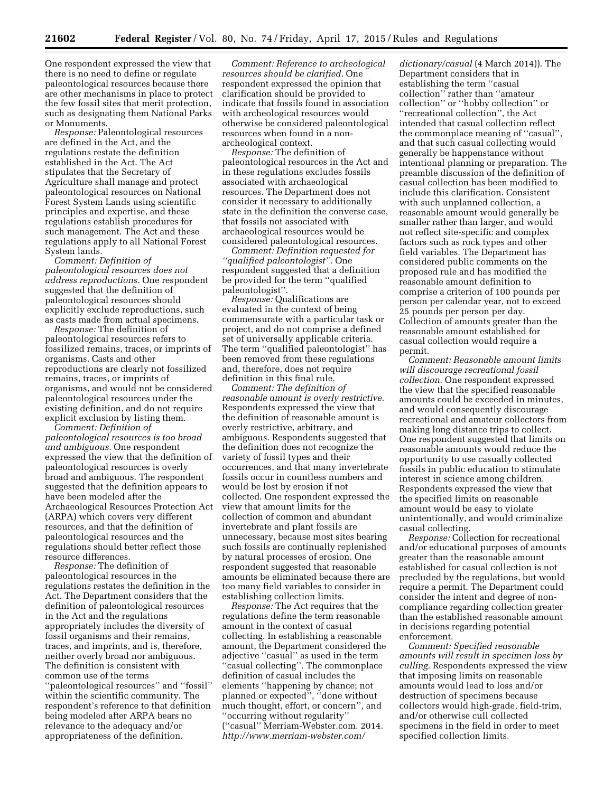One respondent expressed the view that there is no need to define or regulate paleontological resources because there are other mechanisms in place to protect the few fossil sites that merit protection, such as designating them National Parks or Monuments.

*Response:* Paleontological resources are defined in the Act, and the regulations restate the definition established in the Act. The Act stipulates that the Secretary of Agriculture shall manage and protect paleontological resources on National Forest System Lands using scientific principles and expertise, and these regulations establish procedures for such management. The Act and these regulations apply to all National Forest System lands.

*Comment: Definition of paleontological resources does not address reproductions.* One respondent suggested that the definition of paleontological resources should explicitly exclude reproductions, such as casts made from actual specimens.

*Response:* The definition of paleontological resources refers to fossilized remains, traces, or imprints of organisms. Casts and other reproductions are clearly not fossilized remains, traces, or imprints of organisms, and would not be considered paleontological resources under the existing definition, and do not require explicit exclusion by listing them.

*Comment: Definition of paleontological resources is too broad and ambiguous.* One respondent expressed the view that the definition of paleontological resources is overly broad and ambiguous. The respondent suggested that the definition appears to have been modeled after the Archaeological Resources Protection Act (ARPA) which covers very different resources, and that the definition of paleontological resources and the regulations should better reflect those resource differences.

*Response:* The definition of paleontological resources in the regulations restates the definition in the Act. The Department considers that the definition of paleontological resources in the Act and the regulations appropriately includes the diversity of fossil organisms and their remains, traces, and imprints, and is, therefore, neither overly broad nor ambiguous. The definition is consistent with common use of the terms ''paleontological resources'' and ''fossil'' within the scientific community. The respondent's reference to that definition being modeled after ARPA bears no relevance to the adequacy and/or appropriateness of the definition.

*Comment: Reference to archeological resources should be clarified.* One respondent expressed the opinion that clarification should be provided to indicate that fossils found in association with archeological resources would otherwise be considered paleontological resources when found in a nonarcheological context.

*Response:* The definition of paleontological resources in the Act and in these regulations excludes fossils associated with archaeological resources. The Department does not consider it necessary to additionally state in the definition the converse case, that fossils not associated with archaeological resources would be considered paleontological resources.

*Comment: Definition requested for ''qualified paleontologist''.* One respondent suggested that a definition be provided for the term ''qualified paleontologist''.

*Response:* Qualifications are evaluated in the context of being commensurate with a particular task or project, and do not comprise a defined set of universally applicable criteria. The term ''qualified paleontologist'' has been removed from these regulations and, therefore, does not require definition in this final rule.

*Comment: The definition of reasonable amount is overly restrictive.*  Respondents expressed the view that the definition of reasonable amount is overly restrictive, arbitrary, and ambiguous. Respondents suggested that the definition does not recognize the variety of fossil types and their occurrences, and that many invertebrate fossils occur in countless numbers and would be lost by erosion if not collected. One respondent expressed the view that amount limits for the collection of common and abundant invertebrate and plant fossils are unnecessary, because most sites bearing such fossils are continually replenished by natural processes of erosion. One respondent suggested that reasonable amounts be eliminated because there are too many field variables to consider in establishing collection limits.

*Response:* The Act requires that the regulations define the term reasonable amount in the context of casual collecting. In establishing a reasonable amount, the Department considered the adjective ''casual'' as used in the term ''casual collecting''. The commonplace definition of casual includes the elements ''happening by chance; not planned or expected", "done without much thought, effort, or concern'', and ''occurring without regularity'' (''casual'' Merriam-Webster.com. 2014. *[http://www.merriam-webster.com/](http://www.merriam-webster.com/dictionary/casual)*

*[dictionary/casual](http://www.merriam-webster.com/dictionary/casual)* (4 March 2014)). The Department considers that in establishing the term ''casual collection'' rather than ''amateur collection'' or ''hobby collection'' or ''recreational collection'', the Act intended that casual collection reflect the commonplace meaning of ''casual'', and that such casual collecting would generally be happenstance without intentional planning or preparation. The preamble discussion of the definition of casual collection has been modified to include this clarification. Consistent with such unplanned collection, a reasonable amount would generally be smaller rather than larger, and would not reflect site-specific and complex factors such as rock types and other field variables. The Department has considered public comments on the proposed rule and has modified the reasonable amount definition to comprise a criterion of 100 pounds per person per calendar year, not to exceed 25 pounds per person per day. Collection of amounts greater than the reasonable amount established for casual collection would require a permit.

*Comment: Reasonable amount limits will discourage recreational fossil collection.* One respondent expressed the view that the specified reasonable amounts could be exceeded in minutes, and would consequently discourage recreational and amateur collectors from making long distance trips to collect. One respondent suggested that limits on reasonable amounts would reduce the opportunity to use casually collected fossils in public education to stimulate interest in science among children. Respondents expressed the view that the specified limits on reasonable amount would be easy to violate unintentionally, and would criminalize casual collecting.

*Response:* Collection for recreational and/or educational purposes of amounts greater than the reasonable amount established for casual collection is not precluded by the regulations, but would require a permit. The Department could consider the intent and degree of noncompliance regarding collection greater than the established reasonable amount in decisions regarding potential enforcement.

*Comment: Specified reasonable amounts will result in specimen loss by culling.* Respondents expressed the view that imposing limits on reasonable amounts would lead to loss and/or destruction of specimens because collectors would high-grade, field-trim, and/or otherwise cull collected specimens in the field in order to meet specified collection limits.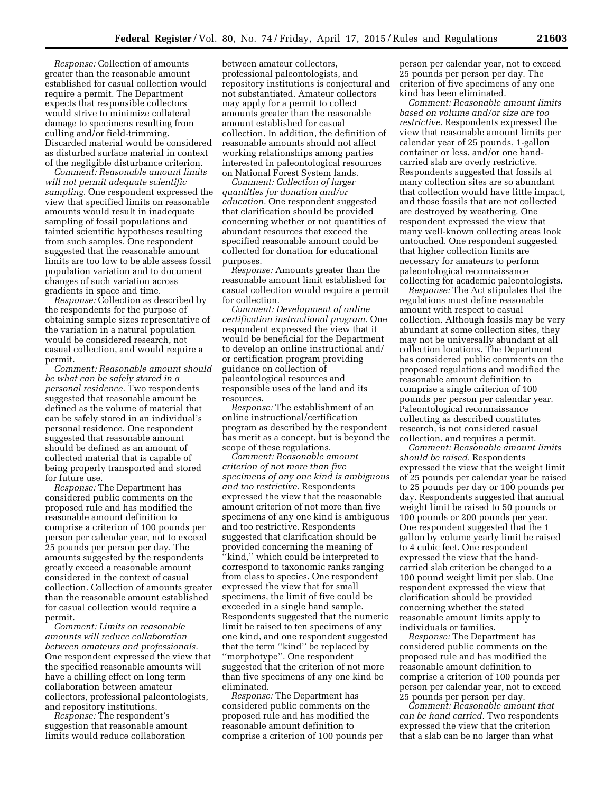*Response:* Collection of amounts greater than the reasonable amount established for casual collection would require a permit. The Department expects that responsible collectors would strive to minimize collateral damage to specimens resulting from culling and/or field-trimming. Discarded material would be considered as disturbed surface material in context of the negligible disturbance criterion.

*Comment: Reasonable amount limits will not permit adequate scientific sampling.* One respondent expressed the view that specified limits on reasonable amounts would result in inadequate sampling of fossil populations and tainted scientific hypotheses resulting from such samples. One respondent suggested that the reasonable amount limits are too low to be able assess fossil population variation and to document changes of such variation across gradients in space and time.

*Response:* Collection as described by the respondents for the purpose of obtaining sample sizes representative of the variation in a natural population would be considered research, not casual collection, and would require a permit.

*Comment: Reasonable amount should be what can be safely stored in a personal residence.* Two respondents suggested that reasonable amount be defined as the volume of material that can be safely stored in an individual's personal residence. One respondent suggested that reasonable amount should be defined as an amount of collected material that is capable of being properly transported and stored for future use.

*Response:* The Department has considered public comments on the proposed rule and has modified the reasonable amount definition to comprise a criterion of 100 pounds per person per calendar year, not to exceed 25 pounds per person per day. The amounts suggested by the respondents greatly exceed a reasonable amount considered in the context of casual collection. Collection of amounts greater than the reasonable amount established for casual collection would require a permit.

*Comment: Limits on reasonable amounts will reduce collaboration between amateurs and professionals.*  One respondent expressed the view that the specified reasonable amounts will have a chilling effect on long term collaboration between amateur collectors, professional paleontologists, and repository institutions.

*Response:* The respondent's suggestion that reasonable amount limits would reduce collaboration

between amateur collectors, professional paleontologists, and repository institutions is conjectural and not substantiated. Amateur collectors may apply for a permit to collect amounts greater than the reasonable amount established for casual collection. In addition, the definition of reasonable amounts should not affect working relationships among parties interested in paleontological resources on National Forest System lands.

*Comment: Collection of larger quantities for donation and/or education.* One respondent suggested that clarification should be provided concerning whether or not quantities of abundant resources that exceed the specified reasonable amount could be collected for donation for educational purposes.

*Response:* Amounts greater than the reasonable amount limit established for casual collection would require a permit for collection.

*Comment: Development of online certification instructional program.* One respondent expressed the view that it would be beneficial for the Department to develop an online instructional and/ or certification program providing guidance on collection of paleontological resources and responsible uses of the land and its resources.

*Response:* The establishment of an online instructional/certification program as described by the respondent has merit as a concept, but is beyond the scope of these regulations.

*Comment: Reasonable amount criterion of not more than five specimens of any one kind is ambiguous and too restrictive.* Respondents expressed the view that the reasonable amount criterion of not more than five specimens of any one kind is ambiguous and too restrictive. Respondents suggested that clarification should be provided concerning the meaning of "kind," which could be interpreted to correspond to taxonomic ranks ranging from class to species. One respondent expressed the view that for small specimens, the limit of five could be exceeded in a single hand sample. Respondents suggested that the numeric limit be raised to ten specimens of any one kind, and one respondent suggested that the term ''kind'' be replaced by ''morphotype''. One respondent suggested that the criterion of not more than five specimens of any one kind be eliminated.

*Response:* The Department has considered public comments on the proposed rule and has modified the reasonable amount definition to comprise a criterion of 100 pounds per

person per calendar year, not to exceed 25 pounds per person per day. The criterion of five specimens of any one kind has been eliminated.

*Comment: Reasonable amount limits based on volume and/or size are too restrictive.* Respondents expressed the view that reasonable amount limits per calendar year of 25 pounds, 1-gallon container or less, and/or one handcarried slab are overly restrictive. Respondents suggested that fossils at many collection sites are so abundant that collection would have little impact, and those fossils that are not collected are destroyed by weathering. One respondent expressed the view that many well-known collecting areas look untouched. One respondent suggested that higher collection limits are necessary for amateurs to perform paleontological reconnaissance collecting for academic paleontologists.

*Response:* The Act stipulates that the regulations must define reasonable amount with respect to casual collection. Although fossils may be very abundant at some collection sites, they may not be universally abundant at all collection locations. The Department has considered public comments on the proposed regulations and modified the reasonable amount definition to comprise a single criterion of 100 pounds per person per calendar year. Paleontological reconnaissance collecting as described constitutes research, is not considered casual collection, and requires a permit.

*Comment: Reasonable amount limits should be raised.* Respondents expressed the view that the weight limit of 25 pounds per calendar year be raised to 25 pounds per day or 100 pounds per day. Respondents suggested that annual weight limit be raised to 50 pounds or 100 pounds or 200 pounds per year. One respondent suggested that the 1 gallon by volume yearly limit be raised to 4 cubic feet. One respondent expressed the view that the handcarried slab criterion be changed to a 100 pound weight limit per slab. One respondent expressed the view that clarification should be provided concerning whether the stated reasonable amount limits apply to individuals or families.

*Response:* The Department has considered public comments on the proposed rule and has modified the reasonable amount definition to comprise a criterion of 100 pounds per person per calendar year, not to exceed 25 pounds per person per day.

*Comment: Reasonable amount that can be hand carried.* Two respondents expressed the view that the criterion that a slab can be no larger than what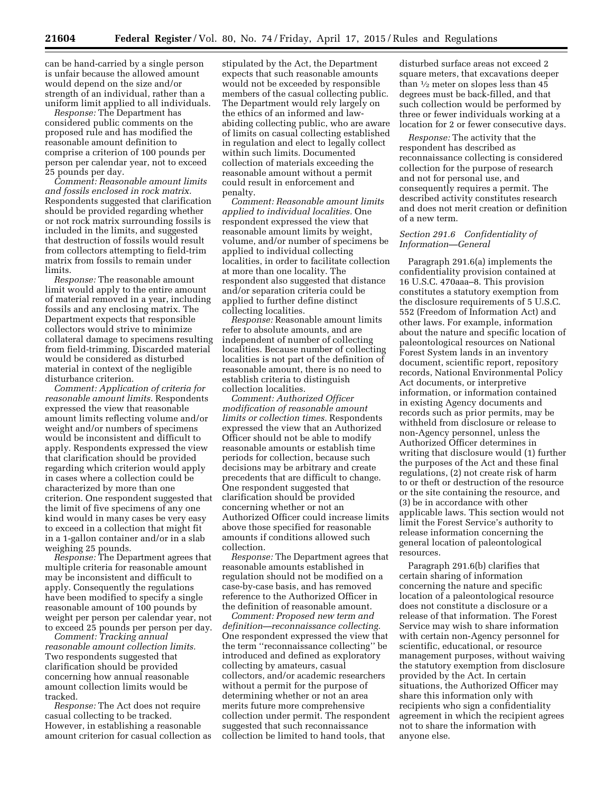can be hand-carried by a single person is unfair because the allowed amount would depend on the size and/or strength of an individual, rather than a uniform limit applied to all individuals.

*Response:* The Department has considered public comments on the proposed rule and has modified the reasonable amount definition to comprise a criterion of 100 pounds per person per calendar year, not to exceed 25 pounds per day.

*Comment: Reasonable amount limits and fossils enclosed in rock matrix.*  Respondents suggested that clarification should be provided regarding whether or not rock matrix surrounding fossils is included in the limits, and suggested that destruction of fossils would result from collectors attempting to field-trim matrix from fossils to remain under limits.

*Response:* The reasonable amount limit would apply to the entire amount of material removed in a year, including fossils and any enclosing matrix. The Department expects that responsible collectors would strive to minimize collateral damage to specimens resulting from field-trimming. Discarded material would be considered as disturbed material in context of the negligible disturbance criterion.

*Comment: Application of criteria for reasonable amount limits.* Respondents expressed the view that reasonable amount limits reflecting volume and/or weight and/or numbers of specimens would be inconsistent and difficult to apply. Respondents expressed the view that clarification should be provided regarding which criterion would apply in cases where a collection could be characterized by more than one criterion. One respondent suggested that the limit of five specimens of any one kind would in many cases be very easy to exceed in a collection that might fit in a 1-gallon container and/or in a slab weighing 25 pounds.

*Response:* The Department agrees that multiple criteria for reasonable amount may be inconsistent and difficult to apply. Consequently the regulations have been modified to specify a single reasonable amount of 100 pounds by weight per person per calendar year, not to exceed 25 pounds per person per day.

*Comment: Tracking annual reasonable amount collection limits.*  Two respondents suggested that clarification should be provided concerning how annual reasonable amount collection limits would be tracked.

*Response:* The Act does not require casual collecting to be tracked. However, in establishing a reasonable amount criterion for casual collection as

stipulated by the Act, the Department expects that such reasonable amounts would not be exceeded by responsible members of the casual collecting public. The Department would rely largely on the ethics of an informed and lawabiding collecting public, who are aware of limits on casual collecting established in regulation and elect to legally collect within such limits. Documented collection of materials exceeding the reasonable amount without a permit could result in enforcement and penalty.

*Comment: Reasonable amount limits applied to individual localities.* One respondent expressed the view that reasonable amount limits by weight, volume, and/or number of specimens be applied to individual collecting localities, in order to facilitate collection at more than one locality. The respondent also suggested that distance and/or separation criteria could be applied to further define distinct collecting localities.

*Response:* Reasonable amount limits refer to absolute amounts, and are independent of number of collecting localities. Because number of collecting localities is not part of the definition of reasonable amount, there is no need to establish criteria to distinguish collection localities.

*Comment: Authorized Officer modification of reasonable amount limits or collection times.* Respondents expressed the view that an Authorized Officer should not be able to modify reasonable amounts or establish time periods for collection, because such decisions may be arbitrary and create precedents that are difficult to change. One respondent suggested that clarification should be provided concerning whether or not an Authorized Officer could increase limits above those specified for reasonable amounts if conditions allowed such collection.

*Response:* The Department agrees that reasonable amounts established in regulation should not be modified on a case-by-case basis, and has removed reference to the Authorized Officer in the definition of reasonable amount.

*Comment: Proposed new term and definition—reconnaissance collecting.*  One respondent expressed the view that the term ''reconnaissance collecting'' be introduced and defined as exploratory collecting by amateurs, casual collectors, and/or academic researchers without a permit for the purpose of determining whether or not an area merits future more comprehensive collection under permit. The respondent suggested that such reconnaissance collection be limited to hand tools, that

disturbed surface areas not exceed 2 square meters, that excavations deeper than 1⁄2 meter on slopes less than 45 degrees must be back-filled, and that such collection would be performed by three or fewer individuals working at a location for 2 or fewer consecutive days.

*Response:* The activity that the respondent has described as reconnaissance collecting is considered collection for the purpose of research and not for personal use, and consequently requires a permit. The described activity constitutes research and does not merit creation or definition of a new term.

# *Section 291.6 Confidentiality of Information—General*

Paragraph 291.6(a) implements the confidentiality provision contained at 16 U.S.C. 470aaa–8. This provision constitutes a statutory exemption from the disclosure requirements of 5 U.S.C. 552 (Freedom of Information Act) and other laws. For example, information about the nature and specific location of paleontological resources on National Forest System lands in an inventory document, scientific report, repository records, National Environmental Policy Act documents, or interpretive information, or information contained in existing Agency documents and records such as prior permits, may be withheld from disclosure or release to non-Agency personnel, unless the Authorized Officer determines in writing that disclosure would (1) further the purposes of the Act and these final regulations, (2) not create risk of harm to or theft or destruction of the resource or the site containing the resource, and (3) be in accordance with other applicable laws. This section would not limit the Forest Service's authority to release information concerning the general location of paleontological resources.

Paragraph 291.6(b) clarifies that certain sharing of information concerning the nature and specific location of a paleontological resource does not constitute a disclosure or a release of that information. The Forest Service may wish to share information with certain non-Agency personnel for scientific, educational, or resource management purposes, without waiving the statutory exemption from disclosure provided by the Act. In certain situations, the Authorized Officer may share this information only with recipients who sign a confidentiality agreement in which the recipient agrees not to share the information with anyone else.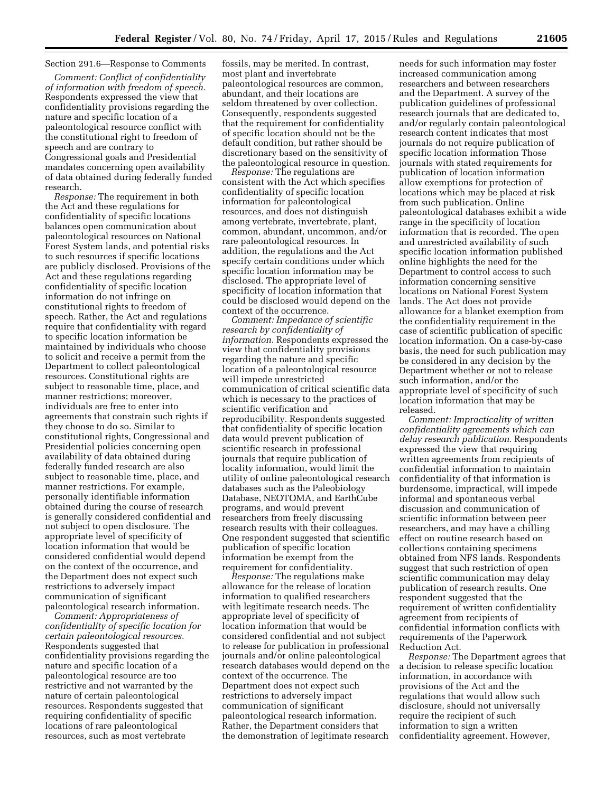# Section 291.6—Response to Comments

*Comment: Conflict of confidentiality of information with freedom of speech.*  Respondents expressed the view that confidentiality provisions regarding the nature and specific location of a paleontological resource conflict with the constitutional right to freedom of speech and are contrary to Congressional goals and Presidential mandates concerning open availability of data obtained during federally funded research.

*Response:* The requirement in both the Act and these regulations for confidentiality of specific locations balances open communication about paleontological resources on National Forest System lands, and potential risks to such resources if specific locations are publicly disclosed. Provisions of the Act and these regulations regarding confidentiality of specific location information do not infringe on constitutional rights to freedom of speech. Rather, the Act and regulations require that confidentiality with regard to specific location information be maintained by individuals who choose to solicit and receive a permit from the Department to collect paleontological resources. Constitutional rights are subject to reasonable time, place, and manner restrictions; moreover, individuals are free to enter into agreements that constrain such rights if they choose to do so. Similar to constitutional rights, Congressional and Presidential policies concerning open availability of data obtained during federally funded research are also subject to reasonable time, place, and manner restrictions. For example, personally identifiable information obtained during the course of research is generally considered confidential and not subject to open disclosure. The appropriate level of specificity of location information that would be considered confidential would depend on the context of the occurrence, and the Department does not expect such restrictions to adversely impact communication of significant paleontological research information.

*Comment: Appropriateness of confidentiality of specific location for certain paleontological resources.*  Respondents suggested that confidentiality provisions regarding the nature and specific location of a paleontological resource are too restrictive and not warranted by the nature of certain paleontological resources. Respondents suggested that requiring confidentiality of specific locations of rare paleontological resources, such as most vertebrate

fossils, may be merited. In contrast, most plant and invertebrate paleontological resources are common, abundant, and their locations are seldom threatened by over collection. Consequently, respondents suggested that the requirement for confidentiality of specific location should not be the default condition, but rather should be discretionary based on the sensitivity of the paleontological resource in question.

*Response:* The regulations are consistent with the Act which specifies confidentiality of specific location information for paleontological resources, and does not distinguish among vertebrate, invertebrate, plant, common, abundant, uncommon, and/or rare paleontological resources. In addition, the regulations and the Act specify certain conditions under which specific location information may be disclosed. The appropriate level of specificity of location information that could be disclosed would depend on the context of the occurrence.

*Comment: Impedance of scientific research by confidentiality of information.* Respondents expressed the view that confidentiality provisions regarding the nature and specific location of a paleontological resource will impede unrestricted communication of critical scientific data which is necessary to the practices of scientific verification and reproducibility. Respondents suggested that confidentiality of specific location data would prevent publication of scientific research in professional journals that require publication of locality information, would limit the utility of online paleontological research databases such as the Paleobiology Database, NEOTOMA, and EarthCube programs, and would prevent researchers from freely discussing research results with their colleagues. One respondent suggested that scientific publication of specific location information be exempt from the requirement for confidentiality.

*Response:* The regulations make allowance for the release of location information to qualified researchers with legitimate research needs. The appropriate level of specificity of location information that would be considered confidential and not subject to release for publication in professional journals and/or online paleontological research databases would depend on the context of the occurrence. The Department does not expect such restrictions to adversely impact communication of significant paleontological research information. Rather, the Department considers that the demonstration of legitimate research

needs for such information may foster increased communication among researchers and between researchers and the Department. A survey of the publication guidelines of professional research journals that are dedicated to, and/or regularly contain paleontological research content indicates that most journals do not require publication of specific location information Those journals with stated requirements for publication of location information allow exemptions for protection of locations which may be placed at risk from such publication. Online paleontological databases exhibit a wide range in the specificity of location information that is recorded. The open and unrestricted availability of such specific location information published online highlights the need for the Department to control access to such information concerning sensitive locations on National Forest System lands. The Act does not provide allowance for a blanket exemption from the confidentiality requirement in the case of scientific publication of specific location information. On a case-by-case basis, the need for such publication may be considered in any decision by the Department whether or not to release such information, and/or the appropriate level of specificity of such location information that may be released.

*Comment: Impracticality of written confidentiality agreements which can delay research publication.* Respondents expressed the view that requiring written agreements from recipients of confidential information to maintain confidentiality of that information is burdensome, impractical, will impede informal and spontaneous verbal discussion and communication of scientific information between peer researchers, and may have a chilling effect on routine research based on collections containing specimens obtained from NFS lands. Respondents suggest that such restriction of open scientific communication may delay publication of research results. One respondent suggested that the requirement of written confidentiality agreement from recipients of confidential information conflicts with requirements of the Paperwork Reduction Act.

*Response:* The Department agrees that a decision to release specific location information, in accordance with provisions of the Act and the regulations that would allow such disclosure, should not universally require the recipient of such information to sign a written confidentiality agreement. However,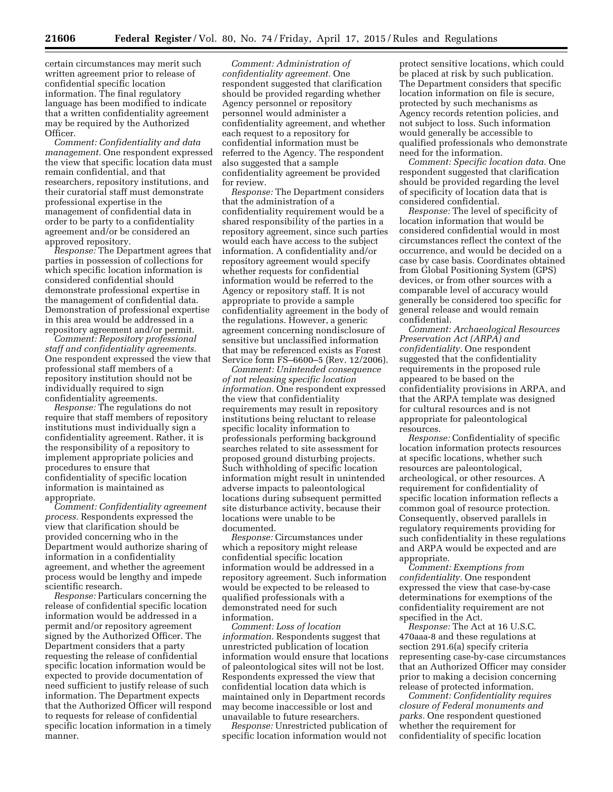certain circumstances may merit such written agreement prior to release of confidential specific location information. The final regulatory language has been modified to indicate that a written confidentiality agreement may be required by the Authorized Officer.

*Comment: Confidentiality and data management.* One respondent expressed the view that specific location data must remain confidential, and that researchers, repository institutions, and their curatorial staff must demonstrate professional expertise in the management of confidential data in order to be party to a confidentiality agreement and/or be considered an approved repository.

*Response:* The Department agrees that parties in possession of collections for which specific location information is considered confidential should demonstrate professional expertise in the management of confidential data. Demonstration of professional expertise in this area would be addressed in a repository agreement and/or permit.

*Comment: Repository professional staff and confidentiality agreements.*  One respondent expressed the view that professional staff members of a repository institution should not be individually required to sign confidentiality agreements.

*Response:* The regulations do not require that staff members of repository institutions must individually sign a confidentiality agreement. Rather, it is the responsibility of a repository to implement appropriate policies and procedures to ensure that confidentiality of specific location information is maintained as appropriate.

*Comment: Confidentiality agreement process.* Respondents expressed the view that clarification should be provided concerning who in the Department would authorize sharing of information in a confidentiality agreement, and whether the agreement process would be lengthy and impede scientific research.

*Response:* Particulars concerning the release of confidential specific location information would be addressed in a permit and/or repository agreement signed by the Authorized Officer. The Department considers that a party requesting the release of confidential specific location information would be expected to provide documentation of need sufficient to justify release of such information. The Department expects that the Authorized Officer will respond to requests for release of confidential specific location information in a timely manner.

*Comment: Administration of confidentiality agreement.* One respondent suggested that clarification should be provided regarding whether Agency personnel or repository personnel would administer a confidentiality agreement, and whether each request to a repository for confidential information must be referred to the Agency. The respondent also suggested that a sample confidentiality agreement be provided for review.

*Response:* The Department considers that the administration of a confidentiality requirement would be a shared responsibility of the parties in a repository agreement, since such parties would each have access to the subject information. A confidentiality and/or repository agreement would specify whether requests for confidential information would be referred to the Agency or repository staff. It is not appropriate to provide a sample confidentiality agreement in the body of the regulations. However, a generic agreement concerning nondisclosure of sensitive but unclassified information that may be referenced exists as Forest Service form FS–6600–5 (Rev. 12/2006).

*Comment: Unintended consequence of not releasing specific location information.* One respondent expressed the view that confidentiality requirements may result in repository institutions being reluctant to release specific locality information to professionals performing background searches related to site assessment for proposed ground disturbing projects. Such withholding of specific location information might result in unintended adverse impacts to paleontological locations during subsequent permitted site disturbance activity, because their locations were unable to be documented.

*Response:* Circumstances under which a repository might release confidential specific location information would be addressed in a repository agreement. Such information would be expected to be released to qualified professionals with a demonstrated need for such information.

*Comment: Loss of location information.* Respondents suggest that unrestricted publication of location information would ensure that locations of paleontological sites will not be lost. Respondents expressed the view that confidential location data which is maintained only in Department records may become inaccessible or lost and unavailable to future researchers.

*Response:* Unrestricted publication of specific location information would not

protect sensitive locations, which could be placed at risk by such publication. The Department considers that specific location information on file is secure, protected by such mechanisms as Agency records retention policies, and not subject to loss. Such information would generally be accessible to qualified professionals who demonstrate need for the information.

*Comment: Specific location data.* One respondent suggested that clarification should be provided regarding the level of specificity of location data that is considered confidential.

*Response:* The level of specificity of location information that would be considered confidential would in most circumstances reflect the context of the occurrence, and would be decided on a case by case basis. Coordinates obtained from Global Positioning System (GPS) devices, or from other sources with a comparable level of accuracy would generally be considered too specific for general release and would remain confidential.

*Comment: Archaeological Resources Preservation Act (ARPA) and confidentiality.* One respondent suggested that the confidentiality requirements in the proposed rule appeared to be based on the confidentiality provisions in ARPA, and that the ARPA template was designed for cultural resources and is not appropriate for paleontological resources.

*Response:* Confidentiality of specific location information protects resources at specific locations, whether such resources are paleontological, archeological, or other resources. A requirement for confidentiality of specific location information reflects a common goal of resource protection. Consequently, observed parallels in regulatory requirements providing for such confidentiality in these regulations and ARPA would be expected and are appropriate.

*Comment: Exemptions from confidentiality.* One respondent expressed the view that case-by-case determinations for exemptions of the confidentiality requirement are not specified in the Act.

*Response:* The Act at 16 U.S.C. 470aaa-8 and these regulations at section 291.6(a) specify criteria representing case-by-case circumstances that an Authorized Officer may consider prior to making a decision concerning release of protected information.

*Comment: Confidentiality requires closure of Federal monuments and parks.* One respondent questioned whether the requirement for confidentiality of specific location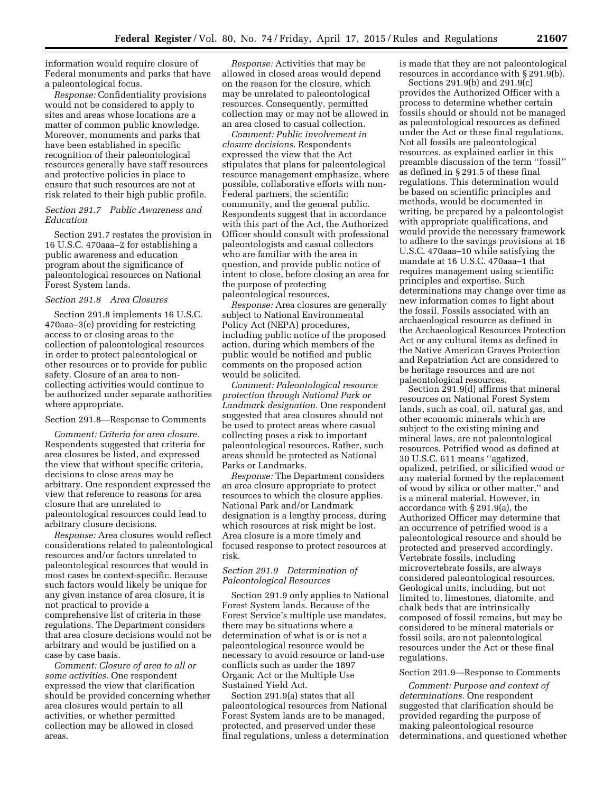information would require closure of Federal monuments and parks that have a paleontological focus.

*Response:* Confidentiality provisions would not be considered to apply to sites and areas whose locations are a matter of common public knowledge. Moreover, monuments and parks that have been established in specific recognition of their paleontological resources generally have staff resources and protective policies in place to ensure that such resources are not at risk related to their high public profile.

#### *Section 291.7 Public Awareness and Education*

Section 291.7 restates the provision in 16 U.S.C. 470aaa–2 for establishing a public awareness and education program about the significance of paleontological resources on National Forest System lands.

# *Section 291.8 Area Closures*

Section 291.8 implements 16 U.S.C. 470aaa–3(e) providing for restricting access to or closing areas to the collection of paleontological resources in order to protect paleontological or other resources or to provide for public safety. Closure of an area to noncollecting activities would continue to be authorized under separate authorities where appropriate.

# Section 291.8—Response to Comments

*Comment: Criteria for area closure.*  Respondents suggested that criteria for area closures be listed, and expressed the view that without specific criteria, decisions to close areas may be arbitrary. One respondent expressed the view that reference to reasons for area closure that are unrelated to paleontological resources could lead to arbitrary closure decisions.

*Response:* Area closures would reflect considerations related to paleontological resources and/or factors unrelated to paleontological resources that would in most cases be context-specific. Because such factors would likely be unique for any given instance of area closure, it is not practical to provide a comprehensive list of criteria in these regulations. The Department considers that area closure decisions would not be arbitrary and would be justified on a case by case basis.

*Comment: Closure of area to all or some activities.* One respondent expressed the view that clarification should be provided concerning whether area closures would pertain to all activities, or whether permitted collection may be allowed in closed areas.

*Response:* Activities that may be allowed in closed areas would depend on the reason for the closure, which may be unrelated to paleontological resources. Consequently, permitted collection may or may not be allowed in an area closed to casual collection.

*Comment: Public involvement in closure decisions.* Respondents expressed the view that the Act stipulates that plans for paleontological resource management emphasize, where possible, collaborative efforts with non-Federal partners, the scientific community, and the general public. Respondents suggest that in accordance with this part of the Act, the Authorized Officer should consult with professional paleontologists and casual collectors who are familiar with the area in question, and provide public notice of intent to close, before closing an area for the purpose of protecting paleontological resources.

*Response:* Area closures are generally subject to National Environmental Policy Act (NEPA) procedures, including public notice of the proposed action, during which members of the public would be notified and public comments on the proposed action would be solicited.

*Comment: Paleontological resource protection through National Park or Landmark designation.* One respondent suggested that area closures should not be used to protect areas where casual collecting poses a risk to important paleontological resources. Rather, such areas should be protected as National Parks or Landmarks.

*Response:* The Department considers an area closure appropriate to protect resources to which the closure applies. National Park and/or Landmark designation is a lengthy process, during which resources at risk might be lost. Area closure is a more timely and focused response to protect resources at risk.

# *Section 291.9 Determination of Paleontological Resources*

Section 291.9 only applies to National Forest System lands. Because of the Forest Service's multiple use mandates, there may be situations where a determination of what is or is not a paleontological resource would be necessary to avoid resource or land-use conflicts such as under the 1897 Organic Act or the Multiple Use Sustained Yield Act.

Section 291.9(a) states that all paleontological resources from National Forest System lands are to be managed, protected, and preserved under these final regulations, unless a determination is made that they are not paleontological resources in accordance with § 291.9(b).

Sections 291.9(b) and 291.9(c) provides the Authorized Officer with a process to determine whether certain fossils should or should not be managed as paleontological resources as defined under the Act or these final regulations. Not all fossils are paleontological resources, as explained earlier in this preamble discussion of the term ''fossil'' as defined in § 291.5 of these final regulations. This determination would be based on scientific principles and methods, would be documented in writing, be prepared by a paleontologist with appropriate qualifications, and would provide the necessary framework to adhere to the savings provisions at 16 U.S.C. 470aaa–10 while satisfying the mandate at 16 U.S.C. 470aaa–1 that requires management using scientific principles and expertise. Such determinations may change over time as new information comes to light about the fossil. Fossils associated with an archaeological resource as defined in the Archaeological Resources Protection Act or any cultural items as defined in the Native American Graves Protection and Repatriation Act are considered to be heritage resources and are not paleontological resources.

Section 291.9(d) affirms that mineral resources on National Forest System lands, such as coal, oil, natural gas, and other economic minerals which are subject to the existing mining and mineral laws, are not paleontological resources. Petrified wood as defined at 30 U.S.C. 611 means ''agatized, opalized, petrified, or silicified wood or any material formed by the replacement of wood by silica or other matter,'' and is a mineral material. However, in accordance with § 291.9(a), the Authorized Officer may determine that an occurrence of petrified wood is a paleontological resource and should be protected and preserved accordingly. Vertebrate fossils, including microvertebrate fossils, are always considered paleontological resources. Geological units, including, but not limited to, limestones, diatomite, and chalk beds that are intrinsically composed of fossil remains, but may be considered to be mineral materials or fossil soils, are not paleontological resources under the Act or these final regulations.

#### Section 291.9—Response to Comments

*Comment: Purpose and context of determinations.* One respondent suggested that clarification should be provided regarding the purpose of making paleontological resource determinations, and questioned whether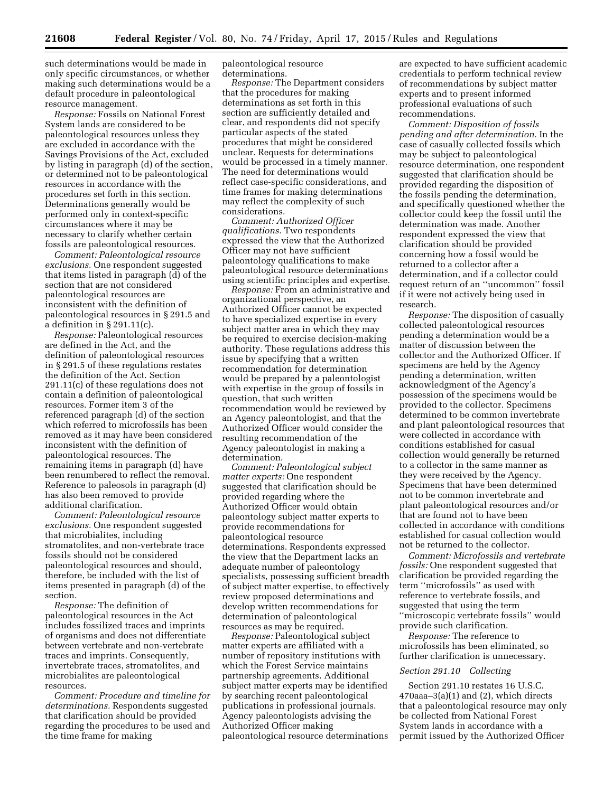such determinations would be made in only specific circumstances, or whether making such determinations would be a default procedure in paleontological resource management.

*Response:* Fossils on National Forest System lands are considered to be paleontological resources unless they are excluded in accordance with the Savings Provisions of the Act, excluded by listing in paragraph (d) of the section, or determined not to be paleontological resources in accordance with the procedures set forth in this section. Determinations generally would be performed only in context-specific circumstances where it may be necessary to clarify whether certain fossils are paleontological resources.

*Comment: Paleontological resource exclusions.* One respondent suggested that items listed in paragraph (d) of the section that are not considered paleontological resources are inconsistent with the definition of paleontological resources in § 291.5 and a definition in § 291.11(c).

*Response:* Paleontological resources are defined in the Act, and the definition of paleontological resources in § 291.5 of these regulations restates the definition of the Act. Section 291.11(c) of these regulations does not contain a definition of paleontological resources. Former item 3 of the referenced paragraph (d) of the section which referred to microfossils has been removed as it may have been considered inconsistent with the definition of paleontological resources. The remaining items in paragraph (d) have been renumbered to reflect the removal. Reference to paleosols in paragraph (d) has also been removed to provide additional clarification.

*Comment: Paleontological resource exclusions.* One respondent suggested that microbialites, including stromatolites, and non-vertebrate trace fossils should not be considered paleontological resources and should, therefore, be included with the list of items presented in paragraph (d) of the section.

*Response:* The definition of paleontological resources in the Act includes fossilized traces and imprints of organisms and does not differentiate between vertebrate and non-vertebrate traces and imprints. Consequently, invertebrate traces, stromatolites, and microbialites are paleontological resources.

*Comment: Procedure and timeline for determinations.* Respondents suggested that clarification should be provided regarding the procedures to be used and the time frame for making

paleontological resource determinations.

*Response:* The Department considers that the procedures for making determinations as set forth in this section are sufficiently detailed and clear, and respondents did not specify particular aspects of the stated procedures that might be considered unclear. Requests for determinations would be processed in a timely manner. The need for determinations would reflect case-specific considerations, and time frames for making determinations may reflect the complexity of such considerations.

*Comment: Authorized Officer qualifications.* Two respondents expressed the view that the Authorized Officer may not have sufficient paleontology qualifications to make paleontological resource determinations using scientific principles and expertise.

*Response:* From an administrative and organizational perspective, an Authorized Officer cannot be expected to have specialized expertise in every subject matter area in which they may be required to exercise decision-making authority. These regulations address this issue by specifying that a written recommendation for determination would be prepared by a paleontologist with expertise in the group of fossils in question, that such written recommendation would be reviewed by an Agency paleontologist, and that the Authorized Officer would consider the resulting recommendation of the Agency paleontologist in making a determination.

*Comment: Paleontological subject matter experts:* One respondent suggested that clarification should be provided regarding where the Authorized Officer would obtain paleontology subject matter experts to provide recommendations for paleontological resource determinations. Respondents expressed the view that the Department lacks an adequate number of paleontology specialists, possessing sufficient breadth of subject matter expertise, to effectively review proposed determinations and develop written recommendations for determination of paleontological resources as may be required.

*Response:* Paleontological subject matter experts are affiliated with a number of repository institutions with which the Forest Service maintains partnership agreements. Additional subject matter experts may be identified by searching recent paleontological publications in professional journals. Agency paleontologists advising the Authorized Officer making paleontological resource determinations

are expected to have sufficient academic credentials to perform technical review of recommendations by subject matter experts and to present informed professional evaluations of such recommendations.

*Comment: Disposition of fossils pending and after determination.* In the case of casually collected fossils which may be subject to paleontological resource determination, one respondent suggested that clarification should be provided regarding the disposition of the fossils pending the determination, and specifically questioned whether the collector could keep the fossil until the determination was made. Another respondent expressed the view that clarification should be provided concerning how a fossil would be returned to a collector after a determination, and if a collector could request return of an ''uncommon'' fossil if it were not actively being used in research.

*Response:* The disposition of casually collected paleontological resources pending a determination would be a matter of discussion between the collector and the Authorized Officer. If specimens are held by the Agency pending a determination, written acknowledgment of the Agency's possession of the specimens would be provided to the collector. Specimens determined to be common invertebrate and plant paleontological resources that were collected in accordance with conditions established for casual collection would generally be returned to a collector in the same manner as they were received by the Agency. Specimens that have been determined not to be common invertebrate and plant paleontological resources and/or that are found not to have been collected in accordance with conditions established for casual collection would not be returned to the collector.

*Comment: Microfossils and vertebrate fossils:* One respondent suggested that clarification be provided regarding the term ''microfossils'' as used with reference to vertebrate fossils, and suggested that using the term ''microscopic vertebrate fossils'' would provide such clarification.

*Response:* The reference to microfossils has been eliminated, so further clarification is unnecessary.

# *Section 291.10 Collecting*

Section 291.10 restates 16 U.S.C. 470aaa–3(a)(1) and (2), which directs that a paleontological resource may only be collected from National Forest System lands in accordance with a permit issued by the Authorized Officer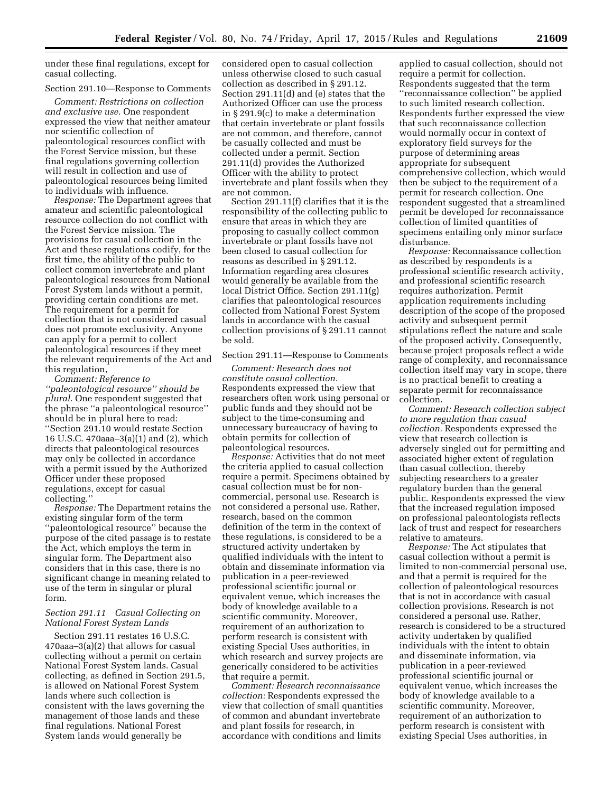under these final regulations, except for casual collecting.

#### Section 291.10—Response to Comments

*Comment: Restrictions on collection and exclusive use.* One respondent expressed the view that neither amateur nor scientific collection of paleontological resources conflict with the Forest Service mission, but these final regulations governing collection will result in collection and use of paleontological resources being limited to individuals with influence.

*Response:* The Department agrees that amateur and scientific paleontological resource collection do not conflict with the Forest Service mission. The provisions for casual collection in the Act and these regulations codify, for the first time, the ability of the public to collect common invertebrate and plant paleontological resources from National Forest System lands without a permit, providing certain conditions are met. The requirement for a permit for collection that is not considered casual does not promote exclusivity. Anyone can apply for a permit to collect paleontological resources if they meet the relevant requirements of the Act and this regulation,

*Comment: Reference to ''paleontological resource'' should be plural.* One respondent suggested that the phrase ''a paleontological resource'' should be in plural here to read: ''Section 291.10 would restate Section 16 U.S.C. 470aaa–3(a)(1) and (2), which directs that paleontological resources may only be collected in accordance with a permit issued by the Authorized Officer under these proposed regulations, except for casual collecting.''

*Response:* The Department retains the existing singular form of the term ''paleontological resource'' because the purpose of the cited passage is to restate the Act, which employs the term in singular form. The Department also considers that in this case, there is no significant change in meaning related to use of the term in singular or plural form.

# *Section 291.11 Casual Collecting on National Forest System Lands*

Section 291.11 restates 16 U.S.C. 470aaa–3(a)(2) that allows for casual collecting without a permit on certain National Forest System lands. Casual collecting, as defined in Section 291.5, is allowed on National Forest System lands where such collection is consistent with the laws governing the management of those lands and these final regulations. National Forest System lands would generally be

considered open to casual collection unless otherwise closed to such casual collection as described in § 291.12. Section 291.11(d) and (e) states that the Authorized Officer can use the process in § 291.9(c) to make a determination that certain invertebrate or plant fossils are not common, and therefore, cannot be casually collected and must be collected under a permit. Section 291.11(d) provides the Authorized Officer with the ability to protect invertebrate and plant fossils when they are not common.

Section 291.11(f) clarifies that it is the responsibility of the collecting public to ensure that areas in which they are proposing to casually collect common invertebrate or plant fossils have not been closed to casual collection for reasons as described in § 291.12. Information regarding area closures would generally be available from the local District Office. Section 291.11(g) clarifies that paleontological resources collected from National Forest System lands in accordance with the casual collection provisions of § 291.11 cannot be sold.

# Section 291.11—Response to Comments

*Comment: Research does not constitute casual collection.*  Respondents expressed the view that researchers often work using personal or public funds and they should not be subject to the time-consuming and unnecessary bureaucracy of having to obtain permits for collection of paleontological resources.

*Response:* Activities that do not meet the criteria applied to casual collection require a permit. Specimens obtained by casual collection must be for noncommercial, personal use. Research is not considered a personal use. Rather, research, based on the common definition of the term in the context of these regulations, is considered to be a structured activity undertaken by qualified individuals with the intent to obtain and disseminate information via publication in a peer-reviewed professional scientific journal or equivalent venue, which increases the body of knowledge available to a scientific community. Moreover, requirement of an authorization to perform research is consistent with existing Special Uses authorities, in which research and survey projects are generically considered to be activities that require a permit.

*Comment: Research reconnaissance collection:* Respondents expressed the view that collection of small quantities of common and abundant invertebrate and plant fossils for research, in accordance with conditions and limits

applied to casual collection, should not require a permit for collection. Respondents suggested that the term ''reconnaissance collection'' be applied to such limited research collection. Respondents further expressed the view that such reconnaissance collection would normally occur in context of exploratory field surveys for the purpose of determining areas appropriate for subsequent comprehensive collection, which would then be subject to the requirement of a permit for research collection. One respondent suggested that a streamlined permit be developed for reconnaissance collection of limited quantities of specimens entailing only minor surface disturbance.

*Response:* Reconnaissance collection as described by respondents is a professional scientific research activity, and professional scientific research requires authorization. Permit application requirements including description of the scope of the proposed activity and subsequent permit stipulations reflect the nature and scale of the proposed activity. Consequently, because project proposals reflect a wide range of complexity, and reconnaissance collection itself may vary in scope, there is no practical benefit to creating a separate permit for reconnaissance collection.

*Comment: Research collection subject to more regulation than casual collection.* Respondents expressed the view that research collection is adversely singled out for permitting and associated higher extent of regulation than casual collection, thereby subjecting researchers to a greater regulatory burden than the general public. Respondents expressed the view that the increased regulation imposed on professional paleontologists reflects lack of trust and respect for researchers relative to amateurs.

*Response:* The Act stipulates that casual collection without a permit is limited to non-commercial personal use, and that a permit is required for the collection of paleontological resources that is not in accordance with casual collection provisions. Research is not considered a personal use. Rather, research is considered to be a structured activity undertaken by qualified individuals with the intent to obtain and disseminate information, via publication in a peer-reviewed professional scientific journal or equivalent venue, which increases the body of knowledge available to a scientific community. Moreover, requirement of an authorization to perform research is consistent with existing Special Uses authorities, in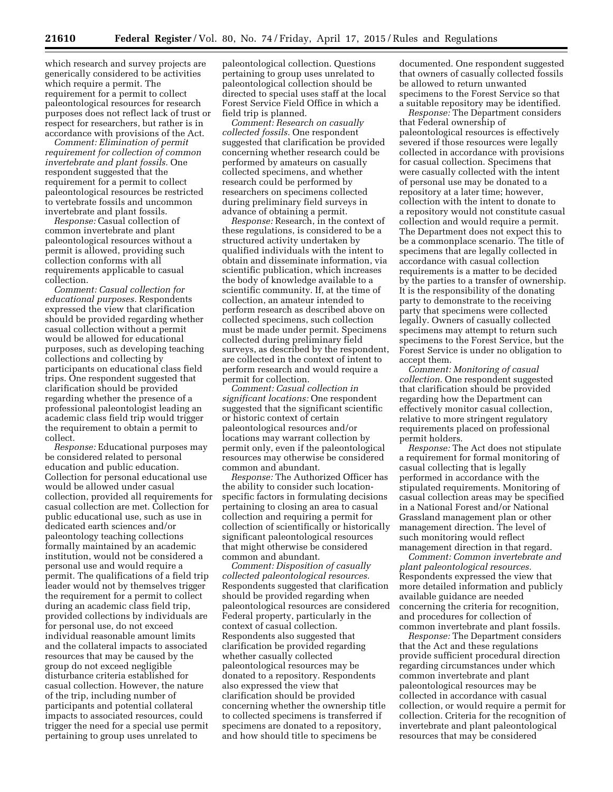which research and survey projects are generically considered to be activities which require a permit. The requirement for a permit to collect paleontological resources for research purposes does not reflect lack of trust or respect for researchers, but rather is in accordance with provisions of the Act.

*Comment: Elimination of permit requirement for collection of common invertebrate and plant fossils.* One respondent suggested that the requirement for a permit to collect paleontological resources be restricted to vertebrate fossils and uncommon invertebrate and plant fossils.

*Response:* Casual collection of common invertebrate and plant paleontological resources without a permit is allowed, providing such collection conforms with all requirements applicable to casual collection.

*Comment: Casual collection for educational purposes.* Respondents expressed the view that clarification should be provided regarding whether casual collection without a permit would be allowed for educational purposes, such as developing teaching collections and collecting by participants on educational class field trips. One respondent suggested that clarification should be provided regarding whether the presence of a professional paleontologist leading an academic class field trip would trigger the requirement to obtain a permit to collect.

*Response:* Educational purposes may be considered related to personal education and public education. Collection for personal educational use would be allowed under casual collection, provided all requirements for casual collection are met. Collection for public educational use, such as use in dedicated earth sciences and/or paleontology teaching collections formally maintained by an academic institution, would not be considered a personal use and would require a permit. The qualifications of a field trip leader would not by themselves trigger the requirement for a permit to collect during an academic class field trip, provided collections by individuals are for personal use, do not exceed individual reasonable amount limits and the collateral impacts to associated resources that may be caused by the group do not exceed negligible disturbance criteria established for casual collection. However, the nature of the trip, including number of participants and potential collateral impacts to associated resources, could trigger the need for a special use permit pertaining to group uses unrelated to

paleontological collection. Questions pertaining to group uses unrelated to paleontological collection should be directed to special uses staff at the local Forest Service Field Office in which a field trip is planned.

*Comment: Research on casually collected fossils.* One respondent suggested that clarification be provided concerning whether research could be performed by amateurs on casually collected specimens, and whether research could be performed by researchers on specimens collected during preliminary field surveys in advance of obtaining a permit.

*Response:* Research, in the context of these regulations, is considered to be a structured activity undertaken by qualified individuals with the intent to obtain and disseminate information, via scientific publication, which increases the body of knowledge available to a scientific community. If, at the time of collection, an amateur intended to perform research as described above on collected specimens, such collection must be made under permit. Specimens collected during preliminary field surveys, as described by the respondent, are collected in the context of intent to perform research and would require a permit for collection.

*Comment: Casual collection in significant locations:* One respondent suggested that the significant scientific or historic context of certain paleontological resources and/or locations may warrant collection by permit only, even if the paleontological resources may otherwise be considered common and abundant.

*Response:* The Authorized Officer has the ability to consider such locationspecific factors in formulating decisions pertaining to closing an area to casual collection and requiring a permit for collection of scientifically or historically significant paleontological resources that might otherwise be considered common and abundant.

*Comment: Disposition of casually collected paleontological resources.*  Respondents suggested that clarification should be provided regarding when paleontological resources are considered Federal property, particularly in the context of casual collection. Respondents also suggested that clarification be provided regarding whether casually collected paleontological resources may be donated to a repository. Respondents also expressed the view that clarification should be provided concerning whether the ownership title to collected specimens is transferred if specimens are donated to a repository, and how should title to specimens be

documented. One respondent suggested that owners of casually collected fossils be allowed to return unwanted specimens to the Forest Service so that a suitable repository may be identified.

*Response:* The Department considers that Federal ownership of paleontological resources is effectively severed if those resources were legally collected in accordance with provisions for casual collection. Specimens that were casually collected with the intent of personal use may be donated to a repository at a later time; however, collection with the intent to donate to a repository would not constitute casual collection and would require a permit. The Department does not expect this to be a commonplace scenario. The title of specimens that are legally collected in accordance with casual collection requirements is a matter to be decided by the parties to a transfer of ownership. It is the responsibility of the donating party to demonstrate to the receiving party that specimens were collected legally. Owners of casually collected specimens may attempt to return such specimens to the Forest Service, but the Forest Service is under no obligation to accept them.

*Comment: Monitoring of casual collection.* One respondent suggested that clarification should be provided regarding how the Department can effectively monitor casual collection, relative to more stringent regulatory requirements placed on professional permit holders.

*Response:* The Act does not stipulate a requirement for formal monitoring of casual collecting that is legally performed in accordance with the stipulated requirements. Monitoring of casual collection areas may be specified in a National Forest and/or National Grassland management plan or other management direction. The level of such monitoring would reflect management direction in that regard.

*Comment: Common invertebrate and plant paleontological resources.*  Respondents expressed the view that more detailed information and publicly available guidance are needed concerning the criteria for recognition, and procedures for collection of common invertebrate and plant fossils.

*Response:* The Department considers that the Act and these regulations provide sufficient procedural direction regarding circumstances under which common invertebrate and plant paleontological resources may be collected in accordance with casual collection, or would require a permit for collection. Criteria for the recognition of invertebrate and plant paleontological resources that may be considered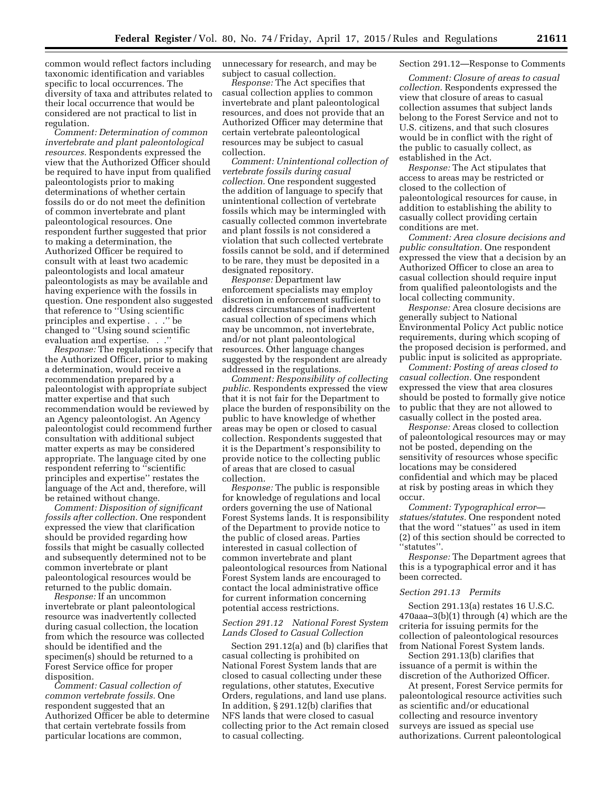common would reflect factors including taxonomic identification and variables specific to local occurrences. The diversity of taxa and attributes related to their local occurrence that would be considered are not practical to list in regulation.

*Comment: Determination of common invertebrate and plant paleontological resources.* Respondents expressed the view that the Authorized Officer should be required to have input from qualified paleontologists prior to making determinations of whether certain fossils do or do not meet the definition of common invertebrate and plant paleontological resources. One respondent further suggested that prior to making a determination, the Authorized Officer be required to consult with at least two academic paleontologists and local amateur paleontologists as may be available and having experience with the fossils in question. One respondent also suggested that reference to ''Using scientific principles and expertise . . .'' be changed to ''Using sound scientific evaluation and expertise. . .''

*Response:* The regulations specify that the Authorized Officer, prior to making a determination, would receive a recommendation prepared by a paleontologist with appropriate subject matter expertise and that such recommendation would be reviewed by an Agency paleontologist. An Agency paleontologist could recommend further consultation with additional subject matter experts as may be considered appropriate. The language cited by one respondent referring to ''scientific principles and expertise'' restates the language of the Act and, therefore, will be retained without change.

*Comment: Disposition of significant fossils after collection.* One respondent expressed the view that clarification should be provided regarding how fossils that might be casually collected and subsequently determined not to be common invertebrate or plant paleontological resources would be returned to the public domain.

*Response:* If an uncommon invertebrate or plant paleontological resource was inadvertently collected during casual collection, the location from which the resource was collected should be identified and the specimen(s) should be returned to a Forest Service office for proper disposition.

*Comment: Casual collection of common vertebrate fossils.* One respondent suggested that an Authorized Officer be able to determine that certain vertebrate fossils from particular locations are common,

unnecessary for research, and may be subject to casual collection.

*Response:* The Act specifies that casual collection applies to common invertebrate and plant paleontological resources, and does not provide that an Authorized Officer may determine that certain vertebrate paleontological resources may be subject to casual collection.

*Comment: Unintentional collection of vertebrate fossils during casual collection.* One respondent suggested the addition of language to specify that unintentional collection of vertebrate fossils which may be intermingled with casually collected common invertebrate and plant fossils is not considered a violation that such collected vertebrate fossils cannot be sold, and if determined to be rare, they must be deposited in a designated repository.

*Response:* Department law enforcement specialists may employ discretion in enforcement sufficient to address circumstances of inadvertent casual collection of specimens which may be uncommon, not invertebrate, and/or not plant paleontological resources. Other language changes suggested by the respondent are already addressed in the regulations.

*Comment: Responsibility of collecting public.* Respondents expressed the view that it is not fair for the Department to place the burden of responsibility on the public to have knowledge of whether areas may be open or closed to casual collection. Respondents suggested that it is the Department's responsibility to provide notice to the collecting public of areas that are closed to casual collection.

*Response:* The public is responsible for knowledge of regulations and local orders governing the use of National Forest Systems lands. It is responsibility of the Department to provide notice to the public of closed areas. Parties interested in casual collection of common invertebrate and plant paleontological resources from National Forest System lands are encouraged to contact the local administrative office for current information concerning potential access restrictions.

# *Section 291.12 National Forest System Lands Closed to Casual Collection*

Section 291.12(a) and (b) clarifies that casual collecting is prohibited on National Forest System lands that are closed to casual collecting under these regulations, other statutes, Executive Orders, regulations, and land use plans. In addition, § 291.12(b) clarifies that NFS lands that were closed to casual collecting prior to the Act remain closed to casual collecting.

# Section 291.12—Response to Comments

*Comment: Closure of areas to casual collection.* Respondents expressed the view that closure of areas to casual collection assumes that subject lands belong to the Forest Service and not to U.S. citizens, and that such closures would be in conflict with the right of the public to casually collect, as established in the Act.

*Response:* The Act stipulates that access to areas may be restricted or closed to the collection of paleontological resources for cause, in addition to establishing the ability to casually collect providing certain conditions are met.

*Comment: Area closure decisions and public consultation.* One respondent expressed the view that a decision by an Authorized Officer to close an area to casual collection should require input from qualified paleontologists and the local collecting community.

*Response:* Area closure decisions are generally subject to National Environmental Policy Act public notice requirements, during which scoping of the proposed decision is performed, and public input is solicited as appropriate.

*Comment: Posting of areas closed to casual collection.* One respondent expressed the view that area closures should be posted to formally give notice to public that they are not allowed to casually collect in the posted area.

*Response:* Areas closed to collection of paleontological resources may or may not be posted, depending on the sensitivity of resources whose specific locations may be considered confidential and which may be placed at risk by posting areas in which they occur.

*Comment: Typographical error statues/statutes.* One respondent noted that the word ''statues'' as used in item (2) of this section should be corrected to ''statutes''.

*Response:* The Department agrees that this is a typographical error and it has been corrected.

# *Section 291.13 Permits*

Section 291.13(a) restates 16 U.S.C. 470aaa–3(b)(1) through (4) which are the criteria for issuing permits for the collection of paleontological resources from National Forest System lands.

Section 291.13(b) clarifies that issuance of a permit is within the discretion of the Authorized Officer.

At present, Forest Service permits for paleontological resource activities such as scientific and/or educational collecting and resource inventory surveys are issued as special use authorizations. Current paleontological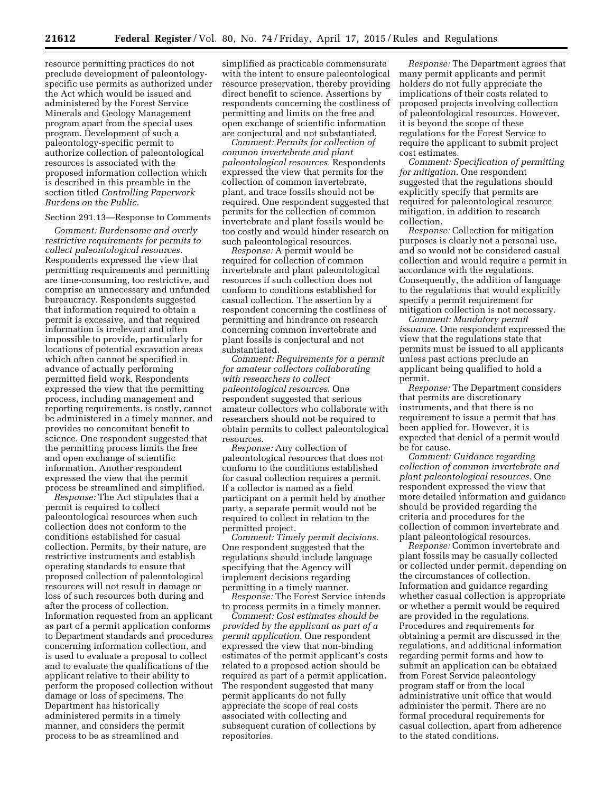resource permitting practices do not preclude development of paleontologyspecific use permits as authorized under the Act which would be issued and administered by the Forest Service Minerals and Geology Management program apart from the special uses program. Development of such a paleontology-specific permit to authorize collection of paleontological resources is associated with the proposed information collection which is described in this preamble in the section titled *Controlling Paperwork Burdens on the Public.* 

# Section 291.13—Response to Comments

*Comment: Burdensome and overly restrictive requirements for permits to collect paleontological resources.*  Respondents expressed the view that permitting requirements and permitting are time-consuming, too restrictive, and comprise an unnecessary and unfunded bureaucracy. Respondents suggested that information required to obtain a permit is excessive, and that required information is irrelevant and often impossible to provide, particularly for locations of potential excavation areas which often cannot be specified in advance of actually performing permitted field work. Respondents expressed the view that the permitting process, including management and reporting requirements, is costly, cannot be administered in a timely manner, and provides no concomitant benefit to science. One respondent suggested that the permitting process limits the free and open exchange of scientific information. Another respondent expressed the view that the permit process be streamlined and simplified.

*Response:* The Act stipulates that a permit is required to collect paleontological resources when such collection does not conform to the conditions established for casual collection. Permits, by their nature, are restrictive instruments and establish operating standards to ensure that proposed collection of paleontological resources will not result in damage or loss of such resources both during and after the process of collection. Information requested from an applicant as part of a permit application conforms to Department standards and procedures concerning information collection, and is used to evaluate a proposal to collect and to evaluate the qualifications of the applicant relative to their ability to perform the proposed collection without damage or loss of specimens. The Department has historically administered permits in a timely manner, and considers the permit process to be as streamlined and

simplified as practicable commensurate with the intent to ensure paleontological resource preservation, thereby providing direct benefit to science. Assertions by respondents concerning the costliness of permitting and limits on the free and open exchange of scientific information are conjectural and not substantiated.

*Comment: Permits for collection of common invertebrate and plant paleontological resources.* Respondents expressed the view that permits for the collection of common invertebrate, plant, and trace fossils should not be required. One respondent suggested that permits for the collection of common invertebrate and plant fossils would be too costly and would hinder research on such paleontological resources.

*Response:* A permit would be required for collection of common invertebrate and plant paleontological resources if such collection does not conform to conditions established for casual collection. The assertion by a respondent concerning the costliness of permitting and hindrance on research concerning common invertebrate and plant fossils is conjectural and not substantiated.

*Comment: Requirements for a permit for amateur collectors collaborating with researchers to collect paleontological resources.* One respondent suggested that serious amateur collectors who collaborate with researchers should not be required to obtain permits to collect paleontological resources.

*Response:* Any collection of paleontological resources that does not conform to the conditions established for casual collection requires a permit. If a collector is named as a field participant on a permit held by another party, a separate permit would not be required to collect in relation to the permitted project.

*Comment: Timely permit decisions.*  One respondent suggested that the regulations should include language specifying that the Agency will implement decisions regarding permitting in a timely manner.

*Response:* The Forest Service intends to process permits in a timely manner.

*Comment: Cost estimates should be provided by the applicant as part of a permit application.* One respondent expressed the view that non-binding estimates of the permit applicant's costs related to a proposed action should be required as part of a permit application. The respondent suggested that many permit applicants do not fully appreciate the scope of real costs associated with collecting and subsequent curation of collections by repositories.

*Response:* The Department agrees that many permit applicants and permit holders do not fully appreciate the implications of their costs related to proposed projects involving collection of paleontological resources. However, it is beyond the scope of these regulations for the Forest Service to require the applicant to submit project cost estimates.

*Comment: Specification of permitting for mitigation.* One respondent suggested that the regulations should explicitly specify that permits are required for paleontological resource mitigation, in addition to research collection.

*Response:* Collection for mitigation purposes is clearly not a personal use, and so would not be considered casual collection and would require a permit in accordance with the regulations. Consequently, the addition of language to the regulations that would explicitly specify a permit requirement for mitigation collection is not necessary.

*Comment: Mandatory permit issuance.* One respondent expressed the view that the regulations state that permits must be issued to all applicants unless past actions preclude an applicant being qualified to hold a permit.

*Response:* The Department considers that permits are discretionary instruments, and that there is no requirement to issue a permit that has been applied for. However, it is expected that denial of a permit would be for cause.

*Comment: Guidance regarding collection of common invertebrate and plant paleontological resources.* One respondent expressed the view that more detailed information and guidance should be provided regarding the criteria and procedures for the collection of common invertebrate and plant paleontological resources.

*Response:* Common invertebrate and plant fossils may be casually collected or collected under permit, depending on the circumstances of collection. Information and guidance regarding whether casual collection is appropriate or whether a permit would be required are provided in the regulations. Procedures and requirements for obtaining a permit are discussed in the regulations, and additional information regarding permit forms and how to submit an application can be obtained from Forest Service paleontology program staff or from the local administrative unit office that would administer the permit. There are no formal procedural requirements for casual collection, apart from adherence to the stated conditions.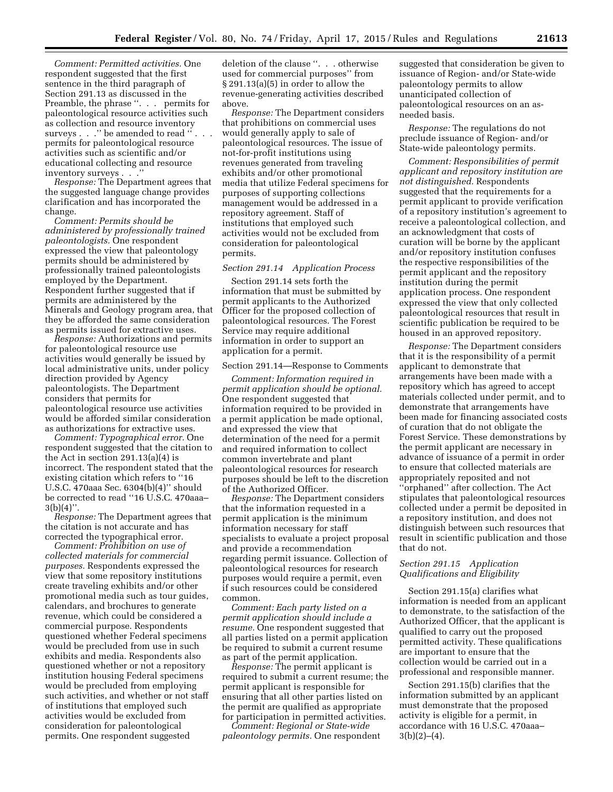*Comment: Permitted activities.* One respondent suggested that the first sentence in the third paragraph of Section 291.13 as discussed in the Preamble, the phrase ". . . permits for paleontological resource activities such as collection and resource inventory surveys . . ." be amended to read ". permits for paleontological resource activities such as scientific and/or educational collecting and resource inventory surveys . . .''

*Response:* The Department agrees that the suggested language change provides clarification and has incorporated the change.

*Comment: Permits should be administered by professionally trained paleontologists.* One respondent expressed the view that paleontology permits should be administered by professionally trained paleontologists employed by the Department. Respondent further suggested that if permits are administered by the Minerals and Geology program area, that they be afforded the same consideration as permits issued for extractive uses.

*Response:* Authorizations and permits for paleontological resource use activities would generally be issued by local administrative units, under policy direction provided by Agency paleontologists. The Department considers that permits for paleontological resource use activities would be afforded similar consideration as authorizations for extractive uses.

*Comment: Typographical error.* One respondent suggested that the citation to the Act in section 291.13(a)(4) is incorrect. The respondent stated that the existing citation which refers to ''16 U.S.C. 470aaa Sec. 6304(b)(4)'' should be corrected to read ''16 U.S.C. 470aaa–  $3(b)(4)$ ''.

*Response:* The Department agrees that the citation is not accurate and has corrected the typographical error.

*Comment: Prohibition on use of collected materials for commercial purposes.* Respondents expressed the view that some repository institutions create traveling exhibits and/or other promotional media such as tour guides, calendars, and brochures to generate revenue, which could be considered a commercial purpose. Respondents questioned whether Federal specimens would be precluded from use in such exhibits and media. Respondents also questioned whether or not a repository institution housing Federal specimens would be precluded from employing such activities, and whether or not staff of institutions that employed such activities would be excluded from consideration for paleontological permits. One respondent suggested

deletion of the clause ''. . . otherwise used for commercial purposes'' from § 291.13(a)(5) in order to allow the revenue-generating activities described above.

*Response:* The Department considers that prohibitions on commercial uses would generally apply to sale of paleontological resources. The issue of not-for-profit institutions using revenues generated from traveling exhibits and/or other promotional media that utilize Federal specimens for purposes of supporting collections management would be addressed in a repository agreement. Staff of institutions that employed such activities would not be excluded from consideration for paleontological permits.

# *Section 291.14 Application Process*

Section 291.14 sets forth the information that must be submitted by permit applicants to the Authorized Officer for the proposed collection of paleontological resources. The Forest Service may require additional information in order to support an application for a permit.

#### Section 291.14—Response to Comments

*Comment: Information required in permit application should be optional.*  One respondent suggested that information required to be provided in a permit application be made optional, and expressed the view that determination of the need for a permit and required information to collect common invertebrate and plant paleontological resources for research purposes should be left to the discretion of the Authorized Officer.

*Response:* The Department considers that the information requested in a permit application is the minimum information necessary for staff specialists to evaluate a project proposal and provide a recommendation regarding permit issuance. Collection of paleontological resources for research purposes would require a permit, even if such resources could be considered common.

*Comment: Each party listed on a permit application should include a resume.* One respondent suggested that all parties listed on a permit application be required to submit a current resume as part of the permit application.

*Response:* The permit applicant is required to submit a current resume; the permit applicant is responsible for ensuring that all other parties listed on the permit are qualified as appropriate for participation in permitted activities.

*Comment: Regional or State-wide paleontology permits.* One respondent

suggested that consideration be given to issuance of Region- and/or State-wide paleontology permits to allow unanticipated collection of paleontological resources on an asneeded basis.

*Response:* The regulations do not preclude issuance of Region- and/or State-wide paleontology permits.

*Comment: Responsibilities of permit applicant and repository institution are not distinguished.* Respondents suggested that the requirements for a permit applicant to provide verification of a repository institution's agreement to receive a paleontological collection, and an acknowledgment that costs of curation will be borne by the applicant and/or repository institution confuses the respective responsibilities of the permit applicant and the repository institution during the permit application process. One respondent expressed the view that only collected paleontological resources that result in scientific publication be required to be housed in an approved repository.

*Response:* The Department considers that it is the responsibility of a permit applicant to demonstrate that arrangements have been made with a repository which has agreed to accept materials collected under permit, and to demonstrate that arrangements have been made for financing associated costs of curation that do not obligate the Forest Service. These demonstrations by the permit applicant are necessary in advance of issuance of a permit in order to ensure that collected materials are appropriately reposited and not ''orphaned'' after collection. The Act stipulates that paleontological resources collected under a permit be deposited in a repository institution, and does not distinguish between such resources that result in scientific publication and those that do not.

# *Section 291.15 Application Qualifications and Eligibility*

Section 291.15(a) clarifies what information is needed from an applicant to demonstrate, to the satisfaction of the Authorized Officer, that the applicant is qualified to carry out the proposed permitted activity. These qualifications are important to ensure that the collection would be carried out in a professional and responsible manner.

Section 291.15(b) clarifies that the information submitted by an applicant must demonstrate that the proposed activity is eligible for a permit, in accordance with 16 U.S.C. 470aaa–  $3(b)(2)–(4)$ .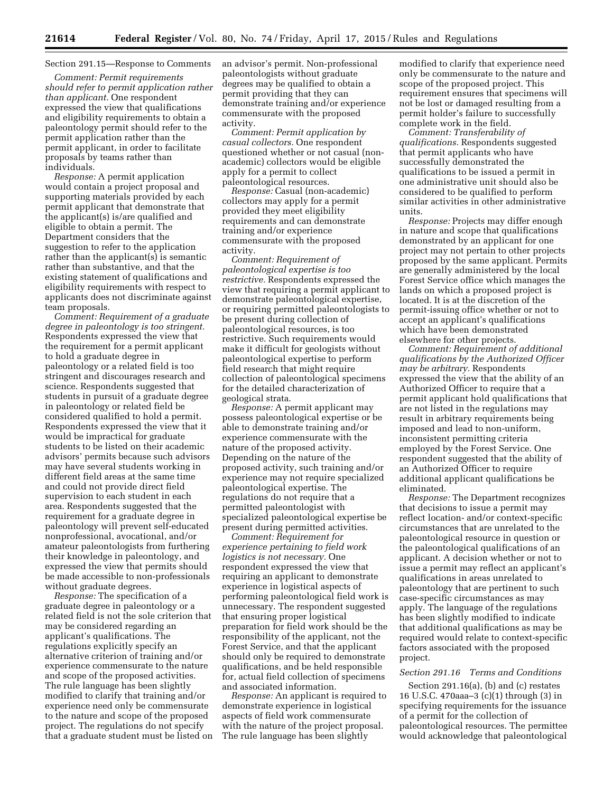# Section 291.15—Response to Comments

*Comment: Permit requirements should refer to permit application rather than applicant.* One respondent expressed the view that qualifications and eligibility requirements to obtain a paleontology permit should refer to the permit application rather than the permit applicant, in order to facilitate proposals by teams rather than individuals.

*Response:* A permit application would contain a project proposal and supporting materials provided by each permit applicant that demonstrate that the applicant(s) is/are qualified and eligible to obtain a permit. The Department considers that the suggestion to refer to the application rather than the applicant(s) is semantic rather than substantive, and that the existing statement of qualifications and eligibility requirements with respect to applicants does not discriminate against team proposals.

*Comment: Requirement of a graduate degree in paleontology is too stringent.*  Respondents expressed the view that the requirement for a permit applicant to hold a graduate degree in paleontology or a related field is too stringent and discourages research and science. Respondents suggested that students in pursuit of a graduate degree in paleontology or related field be considered qualified to hold a permit. Respondents expressed the view that it would be impractical for graduate students to be listed on their academic advisors' permits because such advisors may have several students working in different field areas at the same time and could not provide direct field supervision to each student in each area. Respondents suggested that the requirement for a graduate degree in paleontology will prevent self-educated nonprofessional, avocational, and/or amateur paleontologists from furthering their knowledge in paleontology, and expressed the view that permits should be made accessible to non-professionals without graduate degrees.

*Response:* The specification of a graduate degree in paleontology or a related field is not the sole criterion that may be considered regarding an applicant's qualifications. The regulations explicitly specify an alternative criterion of training and/or experience commensurate to the nature and scope of the proposed activities. The rule language has been slightly modified to clarify that training and/or experience need only be commensurate to the nature and scope of the proposed project. The regulations do not specify that a graduate student must be listed on an advisor's permit. Non-professional paleontologists without graduate degrees may be qualified to obtain a permit providing that they can demonstrate training and/or experience commensurate with the proposed activity.

*Comment: Permit application by casual collectors.* One respondent questioned whether or not casual (nonacademic) collectors would be eligible apply for a permit to collect paleontological resources.

*Response:* Casual (non-academic) collectors may apply for a permit provided they meet eligibility requirements and can demonstrate training and/or experience commensurate with the proposed activity.

*Comment: Requirement of paleontological expertise is too restrictive.* Respondents expressed the view that requiring a permit applicant to demonstrate paleontological expertise, or requiring permitted paleontologists to be present during collection of paleontological resources, is too restrictive. Such requirements would make it difficult for geologists without paleontological expertise to perform field research that might require collection of paleontological specimens for the detailed characterization of geological strata.

*Response:* A permit applicant may possess paleontological expertise or be able to demonstrate training and/or experience commensurate with the nature of the proposed activity. Depending on the nature of the proposed activity, such training and/or experience may not require specialized paleontological expertise. The regulations do not require that a permitted paleontologist with specialized paleontological expertise be present during permitted activities.

*Comment: Requirement for experience pertaining to field work logistics is not necessary.* One respondent expressed the view that requiring an applicant to demonstrate experience in logistical aspects of performing paleontological field work is unnecessary. The respondent suggested that ensuring proper logistical preparation for field work should be the responsibility of the applicant, not the Forest Service, and that the applicant should only be required to demonstrate qualifications, and be held responsible for, actual field collection of specimens and associated information.

*Response:* An applicant is required to demonstrate experience in logistical aspects of field work commensurate with the nature of the project proposal. The rule language has been slightly

modified to clarify that experience need only be commensurate to the nature and scope of the proposed project. This requirement ensures that specimens will not be lost or damaged resulting from a permit holder's failure to successfully complete work in the field.

*Comment: Transferability of qualifications.* Respondents suggested that permit applicants who have successfully demonstrated the qualifications to be issued a permit in one administrative unit should also be considered to be qualified to perform similar activities in other administrative units.

*Response:* Projects may differ enough in nature and scope that qualifications demonstrated by an applicant for one project may not pertain to other projects proposed by the same applicant. Permits are generally administered by the local Forest Service office which manages the lands on which a proposed project is located. It is at the discretion of the permit-issuing office whether or not to accept an applicant's qualifications which have been demonstrated elsewhere for other projects.

*Comment: Requirement of additional qualifications by the Authorized Officer may be arbitrary.* Respondents expressed the view that the ability of an Authorized Officer to require that a permit applicant hold qualifications that are not listed in the regulations may result in arbitrary requirements being imposed and lead to non-uniform, inconsistent permitting criteria employed by the Forest Service. One respondent suggested that the ability of an Authorized Officer to require additional applicant qualifications be eliminated.

*Response:* The Department recognizes that decisions to issue a permit may reflect location- and/or context-specific circumstances that are unrelated to the paleontological resource in question or the paleontological qualifications of an applicant. A decision whether or not to issue a permit may reflect an applicant's qualifications in areas unrelated to paleontology that are pertinent to such case-specific circumstances as may apply. The language of the regulations has been slightly modified to indicate that additional qualifications as may be required would relate to context-specific factors associated with the proposed project.

# *Section 291.16 Terms and Conditions*

Section 291.16(a), (b) and (c) restates 16 U.S.C. 470aaa–3 (c)(1) through (3) in specifying requirements for the issuance of a permit for the collection of paleontological resources. The permittee would acknowledge that paleontological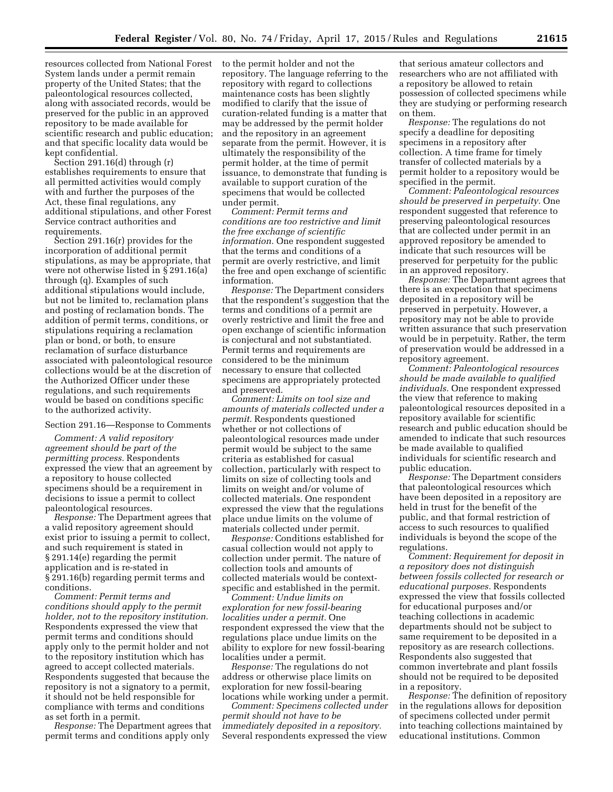resources collected from National Forest System lands under a permit remain property of the United States; that the paleontological resources collected, along with associated records, would be preserved for the public in an approved repository to be made available for scientific research and public education; and that specific locality data would be kept confidential.

Section 291.16(d) through (r) establishes requirements to ensure that all permitted activities would comply with and further the purposes of the Act, these final regulations, any additional stipulations, and other Forest Service contract authorities and requirements.

Section 291.16(r) provides for the incorporation of additional permit stipulations, as may be appropriate, that were not otherwise listed in § 291.16(a) through (q). Examples of such additional stipulations would include, but not be limited to, reclamation plans and posting of reclamation bonds. The addition of permit terms, conditions, or stipulations requiring a reclamation plan or bond, or both, to ensure reclamation of surface disturbance associated with paleontological resource collections would be at the discretion of the Authorized Officer under these regulations, and such requirements would be based on conditions specific to the authorized activity.

# Section 291.16—Response to Comments

*Comment: A valid repository agreement should be part of the permitting process.* Respondents expressed the view that an agreement by a repository to house collected specimens should be a requirement in decisions to issue a permit to collect paleontological resources.

*Response:* The Department agrees that a valid repository agreement should exist prior to issuing a permit to collect, and such requirement is stated in § 291.14(e) regarding the permit application and is re-stated in § 291.16(b) regarding permit terms and conditions.

*Comment: Permit terms and conditions should apply to the permit holder, not to the repository institution.*  Respondents expressed the view that permit terms and conditions should apply only to the permit holder and not to the repository institution which has agreed to accept collected materials. Respondents suggested that because the repository is not a signatory to a permit, it should not be held responsible for compliance with terms and conditions as set forth in a permit.

*Response:* The Department agrees that permit terms and conditions apply only

to the permit holder and not the repository. The language referring to the repository with regard to collections maintenance costs has been slightly modified to clarify that the issue of curation-related funding is a matter that may be addressed by the permit holder and the repository in an agreement separate from the permit. However, it is ultimately the responsibility of the permit holder, at the time of permit issuance, to demonstrate that funding is available to support curation of the specimens that would be collected under permit.

*Comment: Permit terms and conditions are too restrictive and limit the free exchange of scientific information.* One respondent suggested that the terms and conditions of a permit are overly restrictive, and limit the free and open exchange of scientific information.

*Response:* The Department considers that the respondent's suggestion that the terms and conditions of a permit are overly restrictive and limit the free and open exchange of scientific information is conjectural and not substantiated. Permit terms and requirements are considered to be the minimum necessary to ensure that collected specimens are appropriately protected and preserved.

*Comment: Limits on tool size and amounts of materials collected under a permit.* Respondents questioned whether or not collections of paleontological resources made under permit would be subject to the same criteria as established for casual collection, particularly with respect to limits on size of collecting tools and limits on weight and/or volume of collected materials. One respondent expressed the view that the regulations place undue limits on the volume of materials collected under permit.

*Response:* Conditions established for casual collection would not apply to collection under permit. The nature of collection tools and amounts of collected materials would be contextspecific and established in the permit.

*Comment: Undue limits on exploration for new fossil-bearing localities under a permit.* One respondent expressed the view that the regulations place undue limits on the ability to explore for new fossil-bearing localities under a permit.

*Response:* The regulations do not address or otherwise place limits on exploration for new fossil-bearing locations while working under a permit.

*Comment: Specimens collected under permit should not have to be immediately deposited in a repository.*  Several respondents expressed the view

that serious amateur collectors and researchers who are not affiliated with a repository be allowed to retain possession of collected specimens while they are studying or performing research on them.

*Response:* The regulations do not specify a deadline for depositing specimens in a repository after collection. A time frame for timely transfer of collected materials by a permit holder to a repository would be specified in the permit.

*Comment: Paleontological resources should be preserved in perpetuity.* One respondent suggested that reference to preserving paleontological resources that are collected under permit in an approved repository be amended to indicate that such resources will be preserved for perpetuity for the public in an approved repository.

*Response:* The Department agrees that there is an expectation that specimens deposited in a repository will be preserved in perpetuity. However, a repository may not be able to provide written assurance that such preservation would be in perpetuity. Rather, the term of preservation would be addressed in a repository agreement.

*Comment: Paleontological resources should be made available to qualified individuals.* One respondent expressed the view that reference to making paleontological resources deposited in a repository available for scientific research and public education should be amended to indicate that such resources be made available to qualified individuals for scientific research and public education.

*Response:* The Department considers that paleontological resources which have been deposited in a repository are held in trust for the benefit of the public, and that formal restriction of access to such resources to qualified individuals is beyond the scope of the regulations.

*Comment: Requirement for deposit in a repository does not distinguish between fossils collected for research or educational purposes.* Respondents expressed the view that fossils collected for educational purposes and/or teaching collections in academic departments should not be subject to same requirement to be deposited in a repository as are research collections. Respondents also suggested that common invertebrate and plant fossils should not be required to be deposited in a repository.

*Response:* The definition of repository in the regulations allows for deposition of specimens collected under permit into teaching collections maintained by educational institutions. Common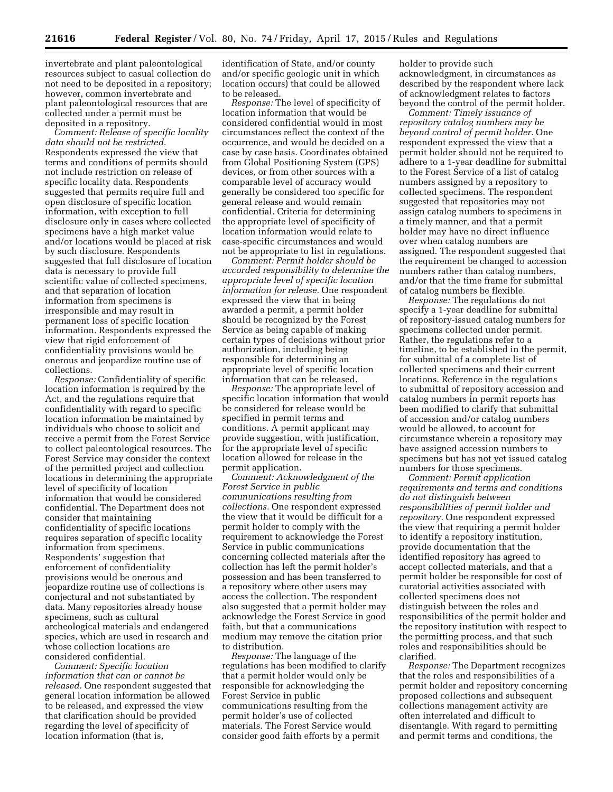invertebrate and plant paleontological resources subject to casual collection do not need to be deposited in a repository; however, common invertebrate and plant paleontological resources that are collected under a permit must be

deposited in a repository. *Comment: Release of specific locality data should not be restricted.*  Respondents expressed the view that terms and conditions of permits should not include restriction on release of specific locality data. Respondents suggested that permits require full and open disclosure of specific location information, with exception to full disclosure only in cases where collected specimens have a high market value and/or locations would be placed at risk by such disclosure. Respondents suggested that full disclosure of location data is necessary to provide full scientific value of collected specimens, and that separation of location information from specimens is irresponsible and may result in permanent loss of specific location information. Respondents expressed the view that rigid enforcement of confidentiality provisions would be onerous and jeopardize routine use of collections.

*Response:* Confidentiality of specific location information is required by the Act, and the regulations require that confidentiality with regard to specific location information be maintained by individuals who choose to solicit and receive a permit from the Forest Service to collect paleontological resources. The Forest Service may consider the context of the permitted project and collection locations in determining the appropriate level of specificity of location information that would be considered confidential. The Department does not consider that maintaining confidentiality of specific locations requires separation of specific locality information from specimens. Respondents' suggestion that enforcement of confidentiality provisions would be onerous and jeopardize routine use of collections is conjectural and not substantiated by data. Many repositories already house specimens, such as cultural archeological materials and endangered species, which are used in research and whose collection locations are considered confidential.

*Comment: Specific location information that can or cannot be released.* One respondent suggested that general location information be allowed to be released, and expressed the view that clarification should be provided regarding the level of specificity of location information (that is,

identification of State, and/or county and/or specific geologic unit in which location occurs) that could be allowed to be released.

*Response:* The level of specificity of location information that would be considered confidential would in most circumstances reflect the context of the occurrence, and would be decided on a case by case basis. Coordinates obtained from Global Positioning System (GPS) devices, or from other sources with a comparable level of accuracy would generally be considered too specific for general release and would remain confidential. Criteria for determining the appropriate level of specificity of location information would relate to case-specific circumstances and would not be appropriate to list in regulations.

*Comment: Permit holder should be accorded responsibility to determine the appropriate level of specific location information for release.* One respondent expressed the view that in being awarded a permit, a permit holder should be recognized by the Forest Service as being capable of making certain types of decisions without prior authorization, including being responsible for determining an appropriate level of specific location information that can be released.

*Response:* The appropriate level of specific location information that would be considered for release would be specified in permit terms and conditions. A permit applicant may provide suggestion, with justification, for the appropriate level of specific location allowed for release in the permit application.

*Comment: Acknowledgment of the Forest Service in public communications resulting from collections.* One respondent expressed the view that it would be difficult for a permit holder to comply with the requirement to acknowledge the Forest Service in public communications concerning collected materials after the collection has left the permit holder's possession and has been transferred to a repository where other users may access the collection. The respondent also suggested that a permit holder may acknowledge the Forest Service in good faith, but that a communications medium may remove the citation prior to distribution.

*Response:* The language of the regulations has been modified to clarify that a permit holder would only be responsible for acknowledging the Forest Service in public communications resulting from the permit holder's use of collected materials. The Forest Service would consider good faith efforts by a permit

holder to provide such acknowledgment, in circumstances as described by the respondent where lack of acknowledgment relates to factors beyond the control of the permit holder.

*Comment: Timely issuance of repository catalog numbers may be beyond control of permit holder.* One respondent expressed the view that a permit holder should not be required to adhere to a 1-year deadline for submittal to the Forest Service of a list of catalog numbers assigned by a repository to collected specimens. The respondent suggested that repositories may not assign catalog numbers to specimens in a timely manner, and that a permit holder may have no direct influence over when catalog numbers are assigned. The respondent suggested that the requirement be changed to accession numbers rather than catalog numbers, and/or that the time frame for submittal of catalog numbers be flexible.

*Response:* The regulations do not specify a 1-year deadline for submittal of repository-issued catalog numbers for specimens collected under permit. Rather, the regulations refer to a timeline, to be established in the permit, for submittal of a complete list of collected specimens and their current locations. Reference in the regulations to submittal of repository accession and catalog numbers in permit reports has been modified to clarify that submittal of accession and/or catalog numbers would be allowed, to account for circumstance wherein a repository may have assigned accession numbers to specimens but has not yet issued catalog numbers for those specimens.

*Comment: Permit application requirements and terms and conditions do not distinguish between responsibilities of permit holder and repository.* One respondent expressed the view that requiring a permit holder to identify a repository institution, provide documentation that the identified repository has agreed to accept collected materials, and that a permit holder be responsible for cost of curatorial activities associated with collected specimens does not distinguish between the roles and responsibilities of the permit holder and the repository institution with respect to the permitting process, and that such roles and responsibilities should be clarified.

*Response:* The Department recognizes that the roles and responsibilities of a permit holder and repository concerning proposed collections and subsequent collections management activity are often interrelated and difficult to disentangle. With regard to permitting and permit terms and conditions, the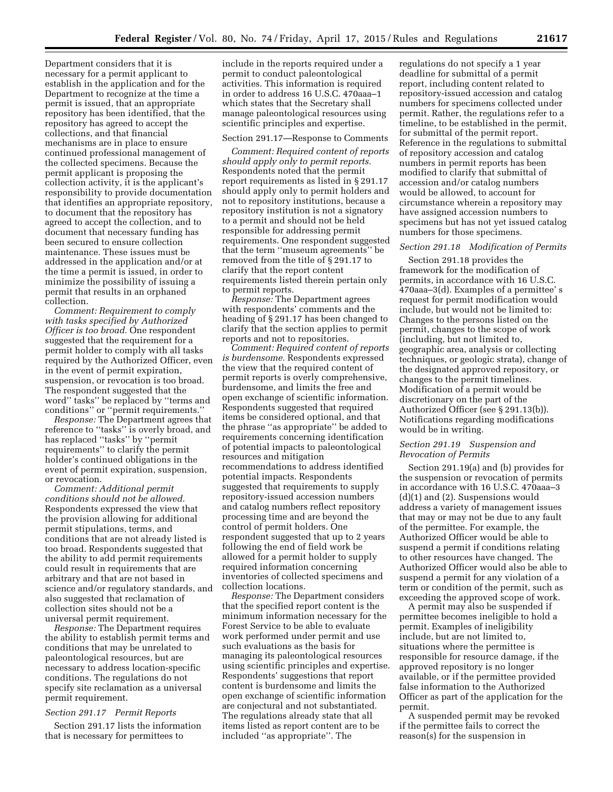Department considers that it is necessary for a permit applicant to establish in the application and for the Department to recognize at the time a permit is issued, that an appropriate repository has been identified, that the repository has agreed to accept the collections, and that financial mechanisms are in place to ensure continued professional management of the collected specimens. Because the permit applicant is proposing the collection activity, it is the applicant's responsibility to provide documentation that identifies an appropriate repository, to document that the repository has agreed to accept the collection, and to document that necessary funding has been secured to ensure collection maintenance. These issues must be addressed in the application and/or at the time a permit is issued, in order to minimize the possibility of issuing a permit that results in an orphaned collection.

*Comment: Requirement to comply with tasks specified by Authorized Officer is too broad.* One respondent suggested that the requirement for a permit holder to comply with all tasks required by the Authorized Officer, even in the event of permit expiration, suspension, or revocation is too broad. The respondent suggested that the word'' tasks'' be replaced by ''terms and conditions'' or ''permit requirements.''

*Response:* The Department agrees that reference to ''tasks'' is overly broad, and has replaced ''tasks'' by ''permit requirements'' to clarify the permit holder's continued obligations in the event of permit expiration, suspension, or revocation.

*Comment: Additional permit conditions should not be allowed.*  Respondents expressed the view that the provision allowing for additional permit stipulations, terms, and conditions that are not already listed is too broad. Respondents suggested that the ability to add permit requirements could result in requirements that are arbitrary and that are not based in science and/or regulatory standards, and also suggested that reclamation of collection sites should not be a universal permit requirement.

*Response:* The Department requires the ability to establish permit terms and conditions that may be unrelated to paleontological resources, but are necessary to address location-specific conditions. The regulations do not specify site reclamation as a universal permit requirement.

# *Section 291.17 Permit Reports*

Section 291.17 lists the information that is necessary for permittees to

include in the reports required under a permit to conduct paleontological activities. This information is required in order to address 16 U.S.C. 470aaa–1 which states that the Secretary shall manage paleontological resources using scientific principles and expertise.

#### Section 291.17—Response to Comments

*Comment: Required content of reports should apply only to permit reports.*  Respondents noted that the permit report requirements as listed in § 291.17 should apply only to permit holders and not to repository institutions, because a repository institution is not a signatory to a permit and should not be held responsible for addressing permit requirements. One respondent suggested that the term ''museum agreements'' be removed from the title of § 291.17 to clarify that the report content requirements listed therein pertain only to permit reports.

*Response:* The Department agrees with respondents' comments and the heading of § 291.17 has been changed to clarify that the section applies to permit reports and not to repositories.

*Comment: Required content of reports is burdensome.* Respondents expressed the view that the required content of permit reports is overly comprehensive, burdensome, and limits the free and open exchange of scientific information. Respondents suggested that required items be considered optional, and that the phrase ''as appropriate'' be added to requirements concerning identification of potential impacts to paleontological resources and mitigation recommendations to address identified potential impacts. Respondents suggested that requirements to supply repository-issued accession numbers and catalog numbers reflect repository processing time and are beyond the control of permit holders. One respondent suggested that up to 2 years following the end of field work be allowed for a permit holder to supply required information concerning inventories of collected specimens and collection locations.

*Response:* The Department considers that the specified report content is the minimum information necessary for the Forest Service to be able to evaluate work performed under permit and use such evaluations as the basis for managing its paleontological resources using scientific principles and expertise. Respondents' suggestions that report content is burdensome and limits the open exchange of scientific information are conjectural and not substantiated. The regulations already state that all items listed as report content are to be included ''as appropriate''. The

regulations do not specify a 1 year deadline for submittal of a permit report, including content related to repository-issued accession and catalog numbers for specimens collected under permit. Rather, the regulations refer to a timeline, to be established in the permit, for submittal of the permit report. Reference in the regulations to submittal of repository accession and catalog numbers in permit reports has been modified to clarify that submittal of accession and/or catalog numbers would be allowed, to account for circumstance wherein a repository may have assigned accession numbers to specimens but has not yet issued catalog numbers for those specimens.

#### *Section 291.18 Modification of Permits*

Section 291.18 provides the framework for the modification of permits, in accordance with 16 U.S.C. 470aaa–3(d). Examples of a permittee' s request for permit modification would include, but would not be limited to: Changes to the persons listed on the permit, changes to the scope of work (including, but not limited to, geographic area, analysis or collecting techniques, or geologic strata), change of the designated approved repository, or changes to the permit timelines. Modification of a permit would be discretionary on the part of the Authorized Officer (see § 291.13(b)). Notifications regarding modifications would be in writing.

# *Section 291.19 Suspension and Revocation of Permits*

Section 291.19(a) and (b) provides for the suspension or revocation of permits in accordance with 16 U.S.C. 470aaa–3 (d)(1) and (2). Suspensions would address a variety of management issues that may or may not be due to any fault of the permittee. For example, the Authorized Officer would be able to suspend a permit if conditions relating to other resources have changed. The Authorized Officer would also be able to suspend a permit for any violation of a term or condition of the permit, such as exceeding the approved scope of work.

A permit may also be suspended if permittee becomes ineligible to hold a permit. Examples of ineligibility include, but are not limited to, situations where the permittee is responsible for resource damage, if the approved repository is no longer available, or if the permittee provided false information to the Authorized Officer as part of the application for the permit.

A suspended permit may be revoked if the permittee fails to correct the reason(s) for the suspension in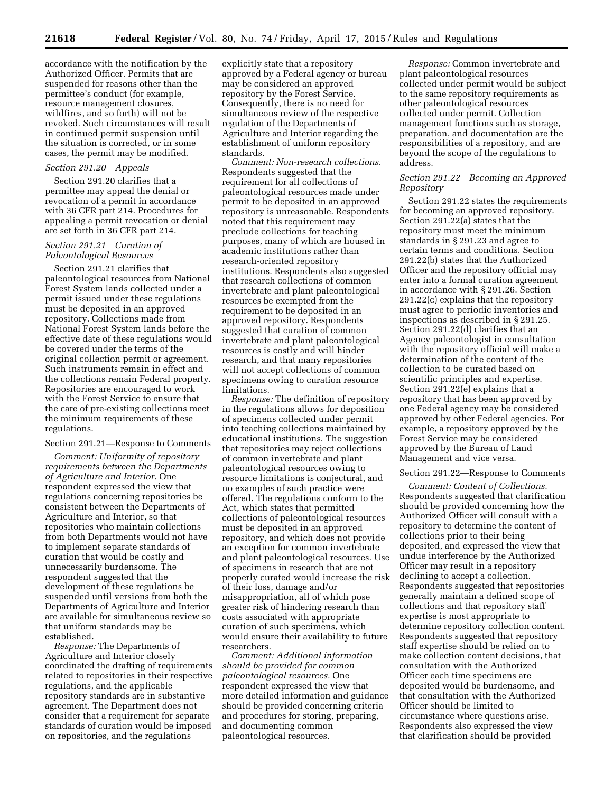accordance with the notification by the Authorized Officer. Permits that are suspended for reasons other than the permittee's conduct (for example, resource management closures, wildfires, and so forth) will not be revoked. Such circumstances will result in continued permit suspension until the situation is corrected, or in some cases, the permit may be modified.

#### *Section 291.20 Appeals*

Section 291.20 clarifies that a permittee may appeal the denial or revocation of a permit in accordance with 36 CFR part 214. Procedures for appealing a permit revocation or denial are set forth in 36 CFR part 214.

# *Section 291.21 Curation of Paleontological Resources*

Section 291.21 clarifies that paleontological resources from National Forest System lands collected under a permit issued under these regulations must be deposited in an approved repository. Collections made from National Forest System lands before the effective date of these regulations would be covered under the terms of the original collection permit or agreement. Such instruments remain in effect and the collections remain Federal property. Repositories are encouraged to work with the Forest Service to ensure that the care of pre-existing collections meet the minimum requirements of these regulations.

#### Section 291.21—Response to Comments

*Comment: Uniformity of repository requirements between the Departments of Agriculture and Interior.* One respondent expressed the view that regulations concerning repositories be consistent between the Departments of Agriculture and Interior, so that repositories who maintain collections from both Departments would not have to implement separate standards of curation that would be costly and unnecessarily burdensome. The respondent suggested that the development of these regulations be suspended until versions from both the Departments of Agriculture and Interior are available for simultaneous review so that uniform standards may be established.

*Response:* The Departments of Agriculture and Interior closely coordinated the drafting of requirements related to repositories in their respective regulations, and the applicable repository standards are in substantive agreement. The Department does not consider that a requirement for separate standards of curation would be imposed on repositories, and the regulations

explicitly state that a repository approved by a Federal agency or bureau may be considered an approved repository by the Forest Service. Consequently, there is no need for simultaneous review of the respective regulation of the Departments of Agriculture and Interior regarding the establishment of uniform repository standards.

*Comment: Non-research collections.*  Respondents suggested that the requirement for all collections of paleontological resources made under permit to be deposited in an approved repository is unreasonable. Respondents noted that this requirement may preclude collections for teaching purposes, many of which are housed in academic institutions rather than research-oriented repository institutions. Respondents also suggested that research collections of common invertebrate and plant paleontological resources be exempted from the requirement to be deposited in an approved repository. Respondents suggested that curation of common invertebrate and plant paleontological resources is costly and will hinder research, and that many repositories will not accept collections of common specimens owing to curation resource limitations.

*Response:* The definition of repository in the regulations allows for deposition of specimens collected under permit into teaching collections maintained by educational institutions. The suggestion that repositories may reject collections of common invertebrate and plant paleontological resources owing to resource limitations is conjectural, and no examples of such practice were offered. The regulations conform to the Act, which states that permitted collections of paleontological resources must be deposited in an approved repository, and which does not provide an exception for common invertebrate and plant paleontological resources. Use of specimens in research that are not properly curated would increase the risk of their loss, damage and/or misappropriation, all of which pose greater risk of hindering research than costs associated with appropriate curation of such specimens, which would ensure their availability to future researchers.

*Comment: Additional information should be provided for common paleontological resources.* One respondent expressed the view that more detailed information and guidance should be provided concerning criteria and procedures for storing, preparing, and documenting common paleontological resources.

*Response:* Common invertebrate and plant paleontological resources collected under permit would be subject to the same repository requirements as other paleontological resources collected under permit. Collection management functions such as storage, preparation, and documentation are the responsibilities of a repository, and are beyond the scope of the regulations to address.

# *Section 291.22 Becoming an Approved Repository*

Section 291.22 states the requirements for becoming an approved repository. Section 291.22(a) states that the repository must meet the minimum standards in § 291.23 and agree to certain terms and conditions. Section 291.22(b) states that the Authorized Officer and the repository official may enter into a formal curation agreement in accordance with § 291.26. Section 291.22(c) explains that the repository must agree to periodic inventories and inspections as described in § 291.25. Section 291.22(d) clarifies that an Agency paleontologist in consultation with the repository official will make a determination of the content of the collection to be curated based on scientific principles and expertise. Section 291.22(e) explains that a repository that has been approved by one Federal agency may be considered approved by other Federal agencies. For example, a repository approved by the Forest Service may be considered approved by the Bureau of Land Management and vice versa.

# Section 291.22—Response to Comments

*Comment: Content of Collections.*  Respondents suggested that clarification should be provided concerning how the Authorized Officer will consult with a repository to determine the content of collections prior to their being deposited, and expressed the view that undue interference by the Authorized Officer may result in a repository declining to accept a collection. Respondents suggested that repositories generally maintain a defined scope of collections and that repository staff expertise is most appropriate to determine repository collection content. Respondents suggested that repository staff expertise should be relied on to make collection content decisions, that consultation with the Authorized Officer each time specimens are deposited would be burdensome, and that consultation with the Authorized Officer should be limited to circumstance where questions arise. Respondents also expressed the view that clarification should be provided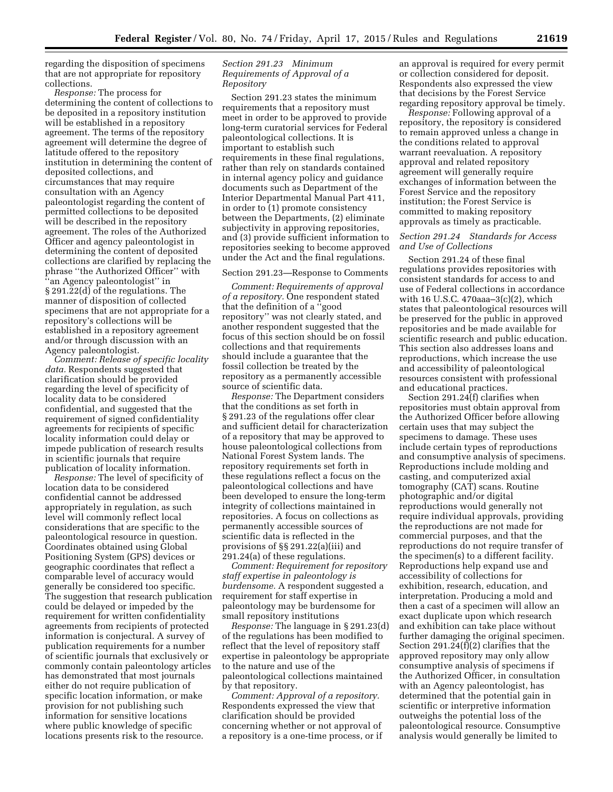regarding the disposition of specimens that are not appropriate for repository collections.

*Response:* The process for determining the content of collections to be deposited in a repository institution will be established in a repository agreement. The terms of the repository agreement will determine the degree of latitude offered to the repository institution in determining the content of deposited collections, and circumstances that may require consultation with an Agency paleontologist regarding the content of permitted collections to be deposited will be described in the repository agreement. The roles of the Authorized Officer and agency paleontologist in determining the content of deposited collections are clarified by replacing the phrase ''the Authorized Officer'' with ''an Agency paleontologist'' in § 291.22(d) of the regulations. The manner of disposition of collected specimens that are not appropriate for a repository's collections will be established in a repository agreement and/or through discussion with an Agency paleontologist.

*Comment: Release of specific locality data.* Respondents suggested that clarification should be provided regarding the level of specificity of locality data to be considered confidential, and suggested that the requirement of signed confidentiality agreements for recipients of specific locality information could delay or impede publication of research results in scientific journals that require publication of locality information.

*Response:* The level of specificity of location data to be considered confidential cannot be addressed appropriately in regulation, as such level will commonly reflect local considerations that are specific to the paleontological resource in question. Coordinates obtained using Global Positioning System (GPS) devices or geographic coordinates that reflect a comparable level of accuracy would generally be considered too specific. The suggestion that research publication could be delayed or impeded by the requirement for written confidentiality agreements from recipients of protected information is conjectural. A survey of publication requirements for a number of scientific journals that exclusively or commonly contain paleontology articles has demonstrated that most journals either do not require publication of specific location information, or make provision for not publishing such information for sensitive locations where public knowledge of specific locations presents risk to the resource.

# *Section 291.23 Minimum Requirements of Approval of a Repository*

Section 291.23 states the minimum requirements that a repository must meet in order to be approved to provide long-term curatorial services for Federal paleontological collections. It is important to establish such requirements in these final regulations, rather than rely on standards contained in internal agency policy and guidance documents such as Department of the Interior Departmental Manual Part 411, in order to (1) promote consistency between the Departments, (2) eliminate subjectivity in approving repositories, and (3) provide sufficient information to repositories seeking to become approved under the Act and the final regulations.

#### Section 291.23—Response to Comments

*Comment: Requirements of approval of a repository.* One respondent stated that the definition of a ''good repository'' was not clearly stated, and another respondent suggested that the focus of this section should be on fossil collections and that requirements should include a guarantee that the fossil collection be treated by the repository as a permanently accessible source of scientific data.

*Response:* The Department considers that the conditions as set forth in § 291.23 of the regulations offer clear and sufficient detail for characterization of a repository that may be approved to house paleontological collections from National Forest System lands. The repository requirements set forth in these regulations reflect a focus on the paleontological collections and have been developed to ensure the long-term integrity of collections maintained in repositories. A focus on collections as permanently accessible sources of scientific data is reflected in the provisions of §§ 291.22(a)(iii) and 291.24(a) of these regulations.

*Comment: Requirement for repository staff expertise in paleontology is burdensome.* A respondent suggested a requirement for staff expertise in paleontology may be burdensome for small repository institutions

*Response:* The language in § 291.23(d) of the regulations has been modified to reflect that the level of repository staff expertise in paleontology be appropriate to the nature and use of the paleontological collections maintained by that repository.

*Comment: Approval of a repository.*  Respondents expressed the view that clarification should be provided concerning whether or not approval of a repository is a one-time process, or if an approval is required for every permit or collection considered for deposit. Respondents also expressed the view that decisions by the Forest Service regarding repository approval be timely.

*Response:* Following approval of a repository, the repository is considered to remain approved unless a change in the conditions related to approval warrant reevaluation. A repository approval and related repository agreement will generally require exchanges of information between the Forest Service and the repository institution; the Forest Service is committed to making repository approvals as timely as practicable.

# *Section 291.24 Standards for Access and Use of Collections*

Section 291.24 of these final regulations provides repositories with consistent standards for access to and use of Federal collections in accordance with 16 U.S.C. 470aaa–3(c)(2), which states that paleontological resources will be preserved for the public in approved repositories and be made available for scientific research and public education. This section also addresses loans and reproductions, which increase the use and accessibility of paleontological resources consistent with professional and educational practices.

Section 291.24(f) clarifies when repositories must obtain approval from the Authorized Officer before allowing certain uses that may subject the specimens to damage. These uses include certain types of reproductions and consumptive analysis of specimens. Reproductions include molding and casting, and computerized axial tomography (CAT) scans. Routine photographic and/or digital reproductions would generally not require individual approvals, providing the reproductions are not made for commercial purposes, and that the reproductions do not require transfer of the specimen(s) to a different facility. Reproductions help expand use and accessibility of collections for exhibition, research, education, and interpretation. Producing a mold and then a cast of a specimen will allow an exact duplicate upon which research and exhibition can take place without further damaging the original specimen. Section 291.24(f)(2) clarifies that the approved repository may only allow consumptive analysis of specimens if the Authorized Officer, in consultation with an Agency paleontologist, has determined that the potential gain in scientific or interpretive information outweighs the potential loss of the paleontological resource. Consumptive analysis would generally be limited to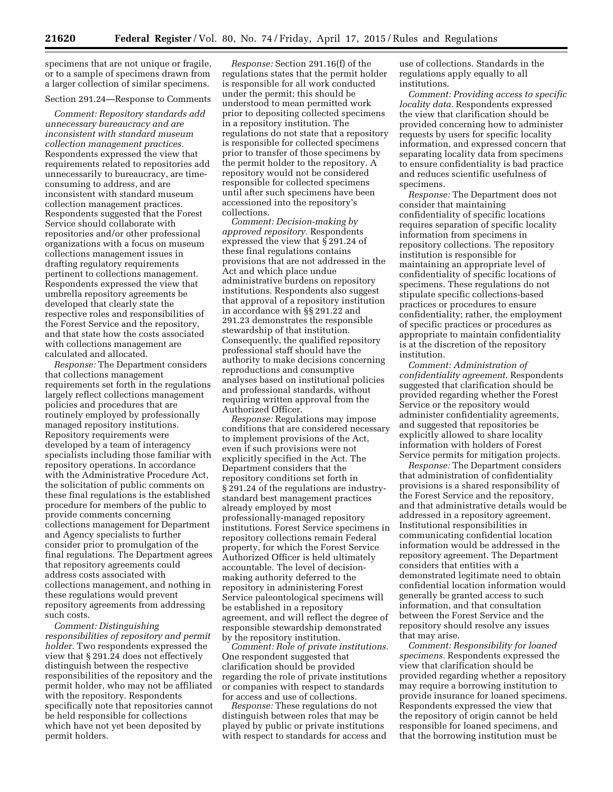specimens that are not unique or fragile, or to a sample of specimens drawn from a larger collection of similar specimens.

# Section 291.24—Response to Comments

*Comment: Repository standards add unnecessary bureaucracy and are inconsistent with standard museum collection management practices.*  Respondents expressed the view that requirements related to repositories add unnecessarily to bureaucracy, are timeconsuming to address, and are inconsistent with standard museum collection management practices. Respondents suggested that the Forest Service should collaborate with repositories and/or other professional organizations with a focus on museum collections management issues in drafting regulatory requirements pertinent to collections management. Respondents expressed the view that umbrella repository agreements be developed that clearly state the respective roles and responsibilities of the Forest Service and the repository, and that state how the costs associated with collections management are calculated and allocated.

*Response:* The Department considers that collections management requirements set forth in the regulations largely reflect collections management policies and procedures that are routinely employed by professionally managed repository institutions. Repository requirements were developed by a team of interagency specialists including those familiar with repository operations. In accordance with the Administrative Procedure Act, the solicitation of public comments on these final regulations is the established procedure for members of the public to provide comments concerning collections management for Department and Agency specialists to further consider prior to promulgation of the final regulations. The Department agrees that repository agreements could address costs associated with collections management, and nothing in these regulations would prevent repository agreements from addressing such costs.

*Comment: Distinguishing responsibilities of repository and permit holder.* Two respondents expressed the view that § 291.24 does not effectively distinguish between the respective responsibilities of the repository and the permit holder, who may not be affiliated with the repository. Respondents specifically note that repositories cannot be held responsible for collections which have not yet been deposited by permit holders.

*Response:* Section 291.16(f) of the regulations states that the permit holder is responsible for all work conducted under the permit; this should be understood to mean permitted work prior to depositing collected specimens in a repository institution. The regulations do not state that a repository is responsible for collected specimens prior to transfer of those specimens by the permit holder to the repository. A repository would not be considered responsible for collected specimens until after such specimens have been accessioned into the repository's collections.

*Comment: Decision-making by approved repository.* Respondents expressed the view that § 291.24 of these final regulations contains provisions that are not addressed in the Act and which place undue administrative burdens on repository institutions. Respondents also suggest that approval of a repository institution in accordance with §§ 291.22 and 291.23 demonstrates the responsible stewardship of that institution. Consequently, the qualified repository professional staff should have the authority to make decisions concerning reproductions and consumptive analyses based on institutional policies and professional standards, without requiring written approval from the Authorized Officer.

*Response:* Regulations may impose conditions that are considered necessary to implement provisions of the Act, even if such provisions were not explicitly specified in the Act. The Department considers that the repository conditions set forth in § 291.24 of the regulations are industrystandard best management practices already employed by most professionally-managed repository institutions. Forest Service specimens in repository collections remain Federal property, for which the Forest Service Authorized Officer is held ultimately accountable. The level of decisionmaking authority deferred to the repository in administering Forest Service paleontological specimens will be established in a repository agreement, and will reflect the degree of responsible stewardship demonstrated by the repository institution.

*Comment: Role of private institutions.*  One respondent suggested that clarification should be provided regarding the role of private institutions or companies with respect to standards for access and use of collections.

*Response:* These regulations do not distinguish between roles that may be played by public or private institutions with respect to standards for access and

use of collections. Standards in the regulations apply equally to all institutions.

*Comment: Providing access to specific locality data.* Respondents expressed the view that clarification should be provided concerning how to administer requests by users for specific locality information, and expressed concern that separating locality data from specimens to ensure confidentiality is bad practice and reduces scientific usefulness of specimens.

*Response:* The Department does not consider that maintaining confidentiality of specific locations requires separation of specific locality information from specimens in repository collections. The repository institution is responsible for maintaining an appropriate level of confidentiality of specific locations of specimens. These regulations do not stipulate specific collections-based practices or procedures to ensure confidentiality; rather, the employment of specific practices or procedures as appropriate to maintain confidentiality is at the discretion of the repository institution.

*Comment: Administration of confidentiality agreement.* Respondents suggested that clarification should be provided regarding whether the Forest Service or the repository would administer confidentiality agreements, and suggested that repositories be explicitly allowed to share locality information with holders of Forest Service permits for mitigation projects.

*Response:* The Department considers that administration of confidentiality provisions is a shared responsibility of the Forest Service and the repository, and that administrative details would be addressed in a repository agreement. Institutional responsibilities in communicating confidential location information would be addressed in the repository agreement. The Department considers that entities with a demonstrated legitimate need to obtain confidential location information would generally be granted access to such information, and that consultation between the Forest Service and the repository should resolve any issues that may arise.

*Comment: Responsibility for loaned specimens.* Respondents expressed the view that clarification should be provided regarding whether a repository may require a borrowing institution to provide insurance for loaned specimens. Respondents expressed the view that the repository of origin cannot be held responsible for loaned specimens, and that the borrowing institution must be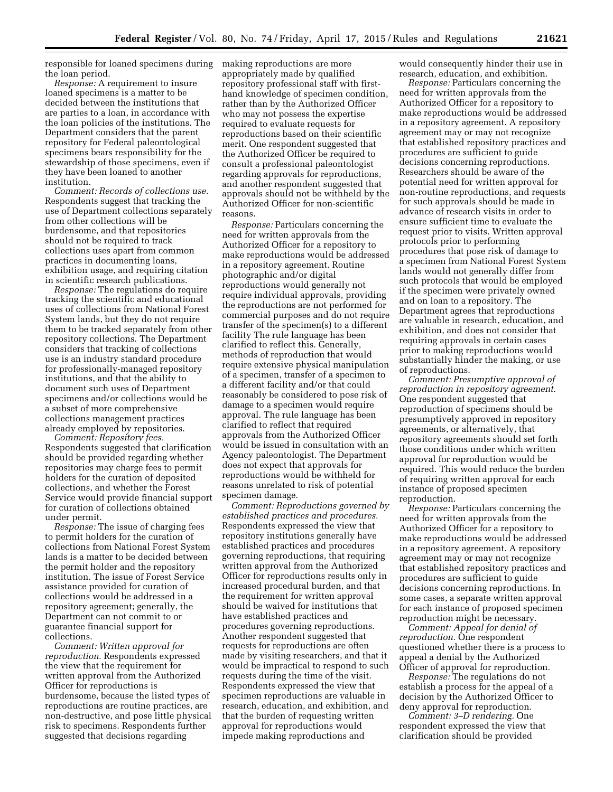responsible for loaned specimens during making reproductions are more the loan period.

*Response:* A requirement to insure loaned specimens is a matter to be decided between the institutions that are parties to a loan, in accordance with the loan policies of the institutions. The Department considers that the parent repository for Federal paleontological specimens bears responsibility for the stewardship of those specimens, even if they have been loaned to another institution.

*Comment: Records of collections use.*  Respondents suggest that tracking the use of Department collections separately from other collections will be burdensome, and that repositories should not be required to track collections uses apart from common practices in documenting loans, exhibition usage, and requiring citation in scientific research publications.

*Response:* The regulations do require tracking the scientific and educational uses of collections from National Forest System lands, but they do not require them to be tracked separately from other repository collections. The Department considers that tracking of collections use is an industry standard procedure for professionally-managed repository institutions, and that the ability to document such uses of Department specimens and/or collections would be a subset of more comprehensive collections management practices already employed by repositories.

*Comment: Repository fees.*  Respondents suggested that clarification should be provided regarding whether repositories may charge fees to permit holders for the curation of deposited collections, and whether the Forest Service would provide financial support for curation of collections obtained under permit.

*Response:* The issue of charging fees to permit holders for the curation of collections from National Forest System lands is a matter to be decided between the permit holder and the repository institution. The issue of Forest Service assistance provided for curation of collections would be addressed in a repository agreement; generally, the Department can not commit to or guarantee financial support for collections.

*Comment: Written approval for reproduction.* Respondents expressed the view that the requirement for written approval from the Authorized Officer for reproductions is burdensome, because the listed types of reproductions are routine practices, are non-destructive, and pose little physical risk to specimens. Respondents further suggested that decisions regarding

appropriately made by qualified repository professional staff with firsthand knowledge of specimen condition, rather than by the Authorized Officer who may not possess the expertise required to evaluate requests for reproductions based on their scientific merit. One respondent suggested that the Authorized Officer be required to consult a professional paleontologist regarding approvals for reproductions, and another respondent suggested that approvals should not be withheld by the Authorized Officer for non-scientific reasons.

*Response:* Particulars concerning the need for written approvals from the Authorized Officer for a repository to make reproductions would be addressed in a repository agreement. Routine photographic and/or digital reproductions would generally not require individual approvals, providing the reproductions are not performed for commercial purposes and do not require transfer of the specimen(s) to a different facility The rule language has been clarified to reflect this. Generally, methods of reproduction that would require extensive physical manipulation of a specimen, transfer of a specimen to a different facility and/or that could reasonably be considered to pose risk of damage to a specimen would require approval. The rule language has been clarified to reflect that required approvals from the Authorized Officer would be issued in consultation with an Agency paleontologist. The Department does not expect that approvals for reproductions would be withheld for reasons unrelated to risk of potential specimen damage.

*Comment: Reproductions governed by established practices and procedures.*  Respondents expressed the view that repository institutions generally have established practices and procedures governing reproductions, that requiring written approval from the Authorized Officer for reproductions results only in increased procedural burden, and that the requirement for written approval should be waived for institutions that have established practices and procedures governing reproductions. Another respondent suggested that requests for reproductions are often made by visiting researchers, and that it would be impractical to respond to such requests during the time of the visit. Respondents expressed the view that specimen reproductions are valuable in research, education, and exhibition, and that the burden of requesting written approval for reproductions would impede making reproductions and

would consequently hinder their use in research, education, and exhibition.

*Response:* Particulars concerning the need for written approvals from the Authorized Officer for a repository to make reproductions would be addressed in a repository agreement. A repository agreement may or may not recognize that established repository practices and procedures are sufficient to guide decisions concerning reproductions. Researchers should be aware of the potential need for written approval for non-routine reproductions, and requests for such approvals should be made in advance of research visits in order to ensure sufficient time to evaluate the request prior to visits. Written approval protocols prior to performing procedures that pose risk of damage to a specimen from National Forest System lands would not generally differ from such protocols that would be employed if the specimen were privately owned and on loan to a repository. The Department agrees that reproductions are valuable in research, education, and exhibition, and does not consider that requiring approvals in certain cases prior to making reproductions would substantially hinder the making, or use of reproductions.

*Comment: Presumptive approval of reproduction in repository agreement.*  One respondent suggested that reproduction of specimens should be presumptively approved in repository agreements, or alternatively, that repository agreements should set forth those conditions under which written approval for reproduction would be required. This would reduce the burden of requiring written approval for each instance of proposed specimen reproduction.

*Response:* Particulars concerning the need for written approvals from the Authorized Officer for a repository to make reproductions would be addressed in a repository agreement. A repository agreement may or may not recognize that established repository practices and procedures are sufficient to guide decisions concerning reproductions. In some cases, a separate written approval for each instance of proposed specimen reproduction might be necessary.

*Comment: Appeal for denial of reproduction.* One respondent questioned whether there is a process to appeal a denial by the Authorized Officer of approval for reproduction.

*Response:* The regulations do not establish a process for the appeal of a decision by the Authorized Officer to deny approval for reproduction.

*Comment: 3–D rendering.* One respondent expressed the view that clarification should be provided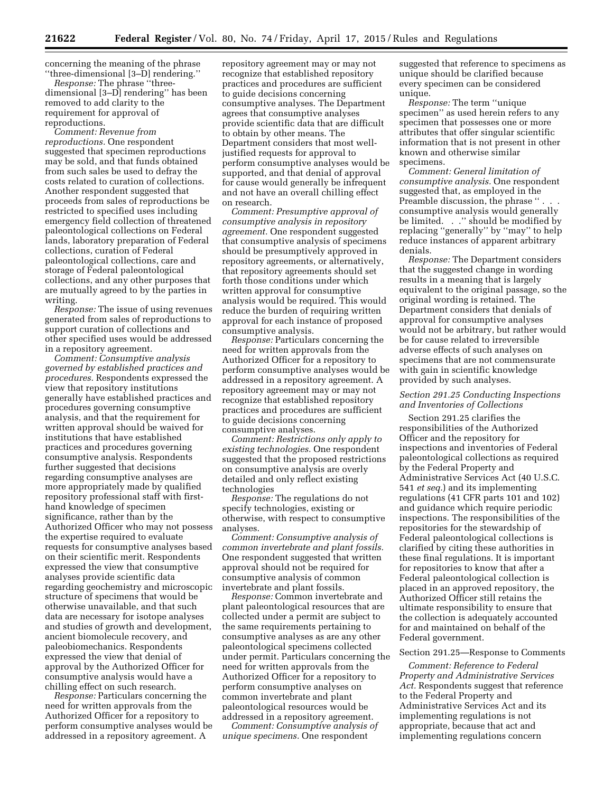concerning the meaning of the phrase ''three-dimensional [3–D] rendering.''

*Response:* The phrase ''threedimensional [3–D] rendering'' has been removed to add clarity to the requirement for approval of reproductions.

*Comment: Revenue from reproductions.* One respondent suggested that specimen reproductions may be sold, and that funds obtained from such sales be used to defray the costs related to curation of collections. Another respondent suggested that proceeds from sales of reproductions be restricted to specified uses including emergency field collection of threatened paleontological collections on Federal lands, laboratory preparation of Federal collections, curation of Federal paleontological collections, care and storage of Federal paleontological collections, and any other purposes that are mutually agreed to by the parties in writing.

*Response:* The issue of using revenues generated from sales of reproductions to support curation of collections and other specified uses would be addressed in a repository agreement.

*Comment: Consumptive analysis governed by established practices and procedures.* Respondents expressed the view that repository institutions generally have established practices and procedures governing consumptive analysis, and that the requirement for written approval should be waived for institutions that have established practices and procedures governing consumptive analysis. Respondents further suggested that decisions regarding consumptive analyses are more appropriately made by qualified repository professional staff with firsthand knowledge of specimen significance, rather than by the Authorized Officer who may not possess the expertise required to evaluate requests for consumptive analyses based on their scientific merit. Respondents expressed the view that consumptive analyses provide scientific data regarding geochemistry and microscopic structure of specimens that would be otherwise unavailable, and that such data are necessary for isotope analyses and studies of growth and development, ancient biomolecule recovery, and paleobiomechanics. Respondents expressed the view that denial of approval by the Authorized Officer for consumptive analysis would have a chilling effect on such research.

*Response:* Particulars concerning the need for written approvals from the Authorized Officer for a repository to perform consumptive analyses would be addressed in a repository agreement. A

repository agreement may or may not recognize that established repository practices and procedures are sufficient to guide decisions concerning consumptive analyses. The Department agrees that consumptive analyses provide scientific data that are difficult to obtain by other means. The Department considers that most welljustified requests for approval to perform consumptive analyses would be supported, and that denial of approval for cause would generally be infrequent and not have an overall chilling effect on research.

*Comment: Presumptive approval of consumptive analysis in repository agreement.* One respondent suggested that consumptive analysis of specimens should be presumptively approved in repository agreements, or alternatively, that repository agreements should set forth those conditions under which written approval for consumptive analysis would be required. This would reduce the burden of requiring written approval for each instance of proposed consumptive analysis.

*Response:* Particulars concerning the need for written approvals from the Authorized Officer for a repository to perform consumptive analyses would be addressed in a repository agreement. A repository agreement may or may not recognize that established repository practices and procedures are sufficient to guide decisions concerning consumptive analyses.

*Comment: Restrictions only apply to existing technologies.* One respondent suggested that the proposed restrictions on consumptive analysis are overly detailed and only reflect existing technologies

*Response:* The regulations do not specify technologies, existing or otherwise, with respect to consumptive analyses.

*Comment: Consumptive analysis of common invertebrate and plant fossils.*  One respondent suggested that written approval should not be required for consumptive analysis of common invertebrate and plant fossils.

*Response:* Common invertebrate and plant paleontological resources that are collected under a permit are subject to the same requirements pertaining to consumptive analyses as are any other paleontological specimens collected under permit. Particulars concerning the need for written approvals from the Authorized Officer for a repository to perform consumptive analyses on common invertebrate and plant paleontological resources would be addressed in a repository agreement.

*Comment: Consumptive analysis of unique specimens.* One respondent

suggested that reference to specimens as unique should be clarified because every specimen can be considered unique.

*Response:* The term ''unique specimen'' as used herein refers to any specimen that possesses one or more attributes that offer singular scientific information that is not present in other known and otherwise similar specimens.

*Comment: General limitation of consumptive analysis.* One respondent suggested that, as employed in the Preamble discussion, the phrase ". consumptive analysis would generally be limited. . .'' should be modified by replacing ''generally'' by ''may'' to help reduce instances of apparent arbitrary denials.

*Response:* The Department considers that the suggested change in wording results in a meaning that is largely equivalent to the original passage, so the original wording is retained. The Department considers that denials of approval for consumptive analyses would not be arbitrary, but rather would be for cause related to irreversible adverse effects of such analyses on specimens that are not commensurate with gain in scientific knowledge provided by such analyses.

# *Section 291.25 Conducting Inspections and Inventories of Collections*

Section 291.25 clarifies the responsibilities of the Authorized Officer and the repository for inspections and inventories of Federal paleontological collections as required by the Federal Property and Administrative Services Act (40 U.S.C. 541 *et seq.*) and its implementing regulations (41 CFR parts 101 and 102) and guidance which require periodic inspections. The responsibilities of the repositories for the stewardship of Federal paleontological collections is clarified by citing these authorities in these final regulations. It is important for repositories to know that after a Federal paleontological collection is placed in an approved repository, the Authorized Officer still retains the ultimate responsibility to ensure that the collection is adequately accounted for and maintained on behalf of the Federal government.

#### Section 291.25—Response to Comments

*Comment: Reference to Federal Property and Administrative Services Act.* Respondents suggest that reference to the Federal Property and Administrative Services Act and its implementing regulations is not appropriate, because that act and implementing regulations concern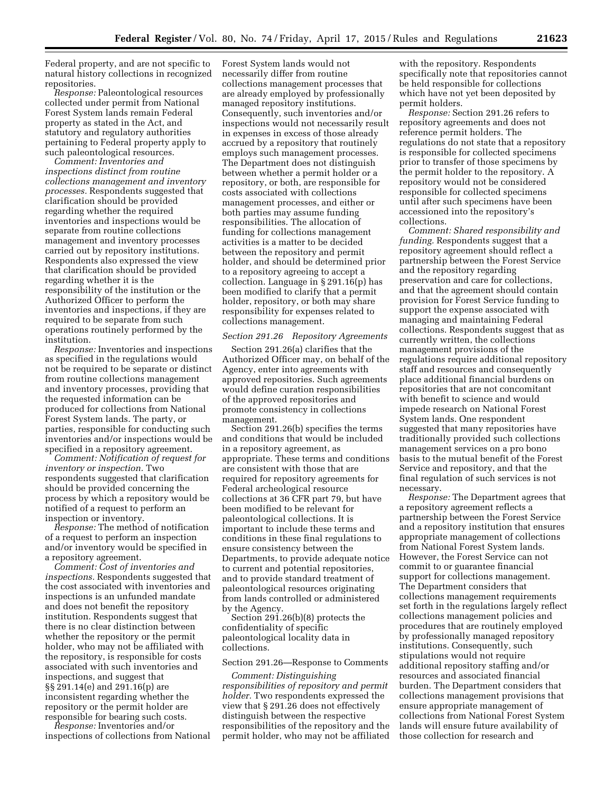Federal property, and are not specific to natural history collections in recognized repositories.

*Response:* Paleontological resources collected under permit from National Forest System lands remain Federal property as stated in the Act, and statutory and regulatory authorities pertaining to Federal property apply to such paleontological resources.

*Comment: Inventories and inspections distinct from routine collections management and inventory processes.* Respondents suggested that clarification should be provided regarding whether the required inventories and inspections would be separate from routine collections management and inventory processes carried out by repository institutions. Respondents also expressed the view that clarification should be provided regarding whether it is the responsibility of the institution or the Authorized Officer to perform the inventories and inspections, if they are required to be separate from such operations routinely performed by the institution.

*Response:* Inventories and inspections as specified in the regulations would not be required to be separate or distinct from routine collections management and inventory processes, providing that the requested information can be produced for collections from National Forest System lands. The party, or parties, responsible for conducting such inventories and/or inspections would be specified in a repository agreement.

*Comment: Notification of request for inventory or inspection.* Two respondents suggested that clarification should be provided concerning the process by which a repository would be notified of a request to perform an inspection or inventory.

*Response:* The method of notification of a request to perform an inspection and/or inventory would be specified in a repository agreement.

*Comment: Cost of inventories and inspections.* Respondents suggested that the cost associated with inventories and inspections is an unfunded mandate and does not benefit the repository institution. Respondents suggest that there is no clear distinction between whether the repository or the permit holder, who may not be affiliated with the repository, is responsible for costs associated with such inventories and inspections, and suggest that §§ 291.14(e) and 291.16(p) are inconsistent regarding whether the repository or the permit holder are responsible for bearing such costs.

*Response:* Inventories and/or inspections of collections from National Forest System lands would not necessarily differ from routine collections management processes that are already employed by professionally managed repository institutions. Consequently, such inventories and/or inspections would not necessarily result in expenses in excess of those already accrued by a repository that routinely employs such management processes. The Department does not distinguish between whether a permit holder or a repository, or both, are responsible for costs associated with collections management processes, and either or both parties may assume funding responsibilities. The allocation of funding for collections management activities is a matter to be decided between the repository and permit holder, and should be determined prior to a repository agreeing to accept a collection. Language in § 291.16(p) has been modified to clarify that a permit holder, repository, or both may share responsibility for expenses related to collections management.

#### *Section 291.26 Repository Agreements*

Section 291.26(a) clarifies that the Authorized Officer may, on behalf of the Agency, enter into agreements with approved repositories. Such agreements would define curation responsibilities of the approved repositories and promote consistency in collections management.

Section 291.26(b) specifies the terms and conditions that would be included in a repository agreement, as appropriate. These terms and conditions are consistent with those that are required for repository agreements for Federal archeological resource collections at 36 CFR part 79, but have been modified to be relevant for paleontological collections. It is important to include these terms and conditions in these final regulations to ensure consistency between the Departments, to provide adequate notice to current and potential repositories, and to provide standard treatment of paleontological resources originating from lands controlled or administered by the Agency.

Section 291.26(b)(8) protects the confidentiality of specific paleontological locality data in collections.

# Section 291.26—Response to Comments

*Comment: Distinguishing responsibilities of repository and permit holder.* Two respondents expressed the view that § 291.26 does not effectively distinguish between the respective responsibilities of the repository and the permit holder, who may not be affiliated

with the repository. Respondents specifically note that repositories cannot be held responsible for collections which have not yet been deposited by permit holders.

*Response:* Section 291.26 refers to repository agreements and does not reference permit holders. The regulations do not state that a repository is responsible for collected specimens prior to transfer of those specimens by the permit holder to the repository. A repository would not be considered responsible for collected specimens until after such specimens have been accessioned into the repository's collections.

*Comment: Shared responsibility and funding.* Respondents suggest that a repository agreement should reflect a partnership between the Forest Service and the repository regarding preservation and care for collections, and that the agreement should contain provision for Forest Service funding to support the expense associated with managing and maintaining Federal collections. Respondents suggest that as currently written, the collections management provisions of the regulations require additional repository staff and resources and consequently place additional financial burdens on repositories that are not concomitant with benefit to science and would impede research on National Forest System lands. One respondent suggested that many repositories have traditionally provided such collections management services on a pro bono basis to the mutual benefit of the Forest Service and repository, and that the final regulation of such services is not necessary.

*Response:* The Department agrees that a repository agreement reflects a partnership between the Forest Service and a repository institution that ensures appropriate management of collections from National Forest System lands. However, the Forest Service can not commit to or guarantee financial support for collections management. The Department considers that collections management requirements set forth in the regulations largely reflect collections management policies and procedures that are routinely employed by professionally managed repository institutions. Consequently, such stipulations would not require additional repository staffing and/or resources and associated financial burden. The Department considers that collections management provisions that ensure appropriate management of collections from National Forest System lands will ensure future availability of those collection for research and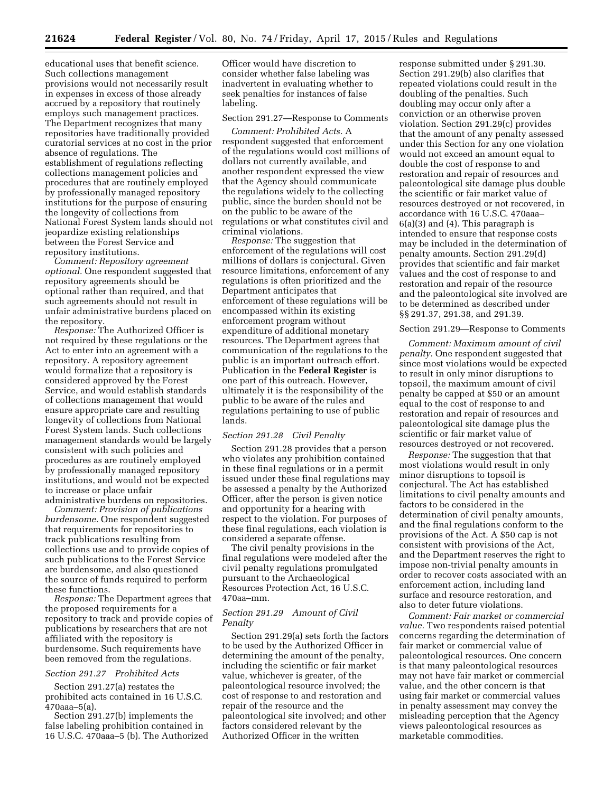educational uses that benefit science. Such collections management provisions would not necessarily result in expenses in excess of those already accrued by a repository that routinely employs such management practices. The Department recognizes that many repositories have traditionally provided curatorial services at no cost in the prior absence of regulations. The establishment of regulations reflecting collections management policies and procedures that are routinely employed by professionally managed repository institutions for the purpose of ensuring the longevity of collections from National Forest System lands should not jeopardize existing relationships between the Forest Service and repository institutions.

*Comment: Repository agreement optional.* One respondent suggested that repository agreements should be optional rather than required, and that such agreements should not result in unfair administrative burdens placed on the repository.

*Response:* The Authorized Officer is not required by these regulations or the Act to enter into an agreement with a repository. A repository agreement would formalize that a repository is considered approved by the Forest Service, and would establish standards of collections management that would ensure appropriate care and resulting longevity of collections from National Forest System lands. Such collections management standards would be largely consistent with such policies and procedures as are routinely employed by professionally managed repository institutions, and would not be expected to increase or place unfair

administrative burdens on repositories. *Comment: Provision of publications burdensome.* One respondent suggested that requirements for repositories to track publications resulting from collections use and to provide copies of such publications to the Forest Service are burdensome, and also questioned the source of funds required to perform these functions.

*Response:* The Department agrees that the proposed requirements for a repository to track and provide copies of publications by researchers that are not affiliated with the repository is burdensome. Such requirements have been removed from the regulations.

#### *Section 291.27 Prohibited Acts*

Section 291.27(a) restates the prohibited acts contained in 16 U.S.C. 470aaa–5(a).

Section 291.27(b) implements the false labeling prohibition contained in 16 U.S.C. 470aaa–5 (b). The Authorized

Officer would have discretion to consider whether false labeling was inadvertent in evaluating whether to seek penalties for instances of false labeling.

# Section 291.27—Response to Comments

*Comment: Prohibited Acts.* A respondent suggested that enforcement of the regulations would cost millions of dollars not currently available, and another respondent expressed the view that the Agency should communicate the regulations widely to the collecting public, since the burden should not be on the public to be aware of the regulations or what constitutes civil and criminal violations.

*Response:* The suggestion that enforcement of the regulations will cost millions of dollars is conjectural. Given resource limitations, enforcement of any regulations is often prioritized and the Department anticipates that enforcement of these regulations will be encompassed within its existing enforcement program without expenditure of additional monetary resources. The Department agrees that communication of the regulations to the public is an important outreach effort. Publication in the **Federal Register** is one part of this outreach. However, ultimately it is the responsibility of the public to be aware of the rules and regulations pertaining to use of public lands.

# *Section 291.28 Civil Penalty*

Section 291.28 provides that a person who violates any prohibition contained in these final regulations or in a permit issued under these final regulations may be assessed a penalty by the Authorized Officer, after the person is given notice and opportunity for a hearing with respect to the violation. For purposes of these final regulations, each violation is considered a separate offense.

The civil penalty provisions in the final regulations were modeled after the civil penalty regulations promulgated pursuant to the Archaeological Resources Protection Act, 16 U.S.C. 470aa–mm.

# *Section 291.29 Amount of Civil Penalty*

Section 291.29(a) sets forth the factors to be used by the Authorized Officer in determining the amount of the penalty, including the scientific or fair market value, whichever is greater, of the paleontological resource involved; the cost of response to and restoration and repair of the resource and the paleontological site involved; and other factors considered relevant by the Authorized Officer in the written

response submitted under § 291.30. Section 291.29(b) also clarifies that repeated violations could result in the doubling of the penalties. Such doubling may occur only after a conviction or an otherwise proven violation. Section 291.29(c) provides that the amount of any penalty assessed under this Section for any one violation would not exceed an amount equal to double the cost of response to and restoration and repair of resources and paleontological site damage plus double the scientific or fair market value of resources destroyed or not recovered, in accordance with 16 U.S.C. 470aaa– 6(a)(3) and (4). This paragraph is intended to ensure that response costs may be included in the determination of penalty amounts. Section 291.29(d) provides that scientific and fair market values and the cost of response to and restoration and repair of the resource and the paleontological site involved are to be determined as described under §§ 291.37, 291.38, and 291.39.

# Section 291.29—Response to Comments

*Comment: Maximum amount of civil penalty.* One respondent suggested that since most violations would be expected to result in only minor disruptions to topsoil, the maximum amount of civil penalty be capped at \$50 or an amount equal to the cost of response to and restoration and repair of resources and paleontological site damage plus the scientific or fair market value of resources destroyed or not recovered.

*Response:* The suggestion that that most violations would result in only minor disruptions to topsoil is conjectural. The Act has established limitations to civil penalty amounts and factors to be considered in the determination of civil penalty amounts, and the final regulations conform to the provisions of the Act. A \$50 cap is not consistent with provisions of the Act, and the Department reserves the right to impose non-trivial penalty amounts in order to recover costs associated with an enforcement action, including land surface and resource restoration, and also to deter future violations.

*Comment: Fair market or commercial value.* Two respondents raised potential concerns regarding the determination of fair market or commercial value of paleontological resources. One concern is that many paleontological resources may not have fair market or commercial value, and the other concern is that using fair market or commercial values in penalty assessment may convey the misleading perception that the Agency views paleontological resources as marketable commodities.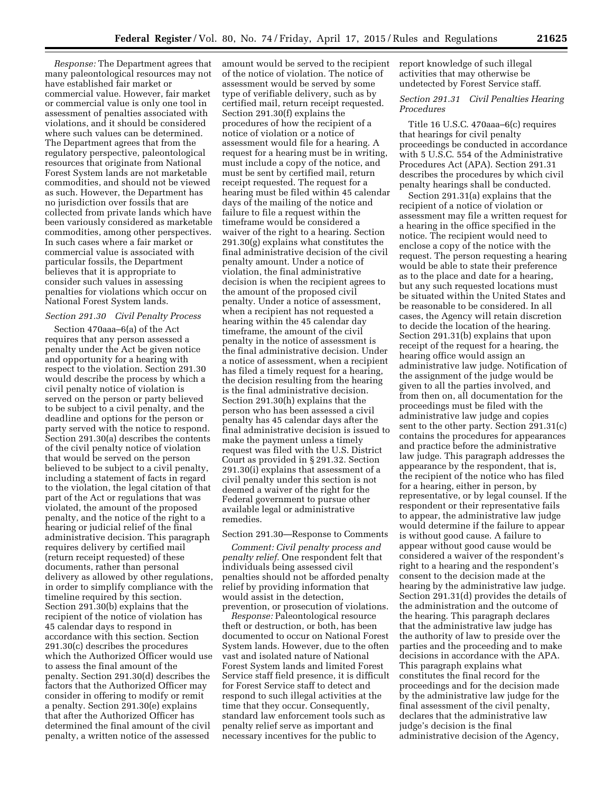*Response:* The Department agrees that many paleontological resources may not have established fair market or commercial value. However, fair market or commercial value is only one tool in assessment of penalties associated with violations, and it should be considered where such values can be determined. The Department agrees that from the regulatory perspective, paleontological resources that originate from National Forest System lands are not marketable commodities, and should not be viewed as such. However, the Department has no jurisdiction over fossils that are collected from private lands which have been variously considered as marketable commodities, among other perspectives. In such cases where a fair market or commercial value is associated with particular fossils, the Department believes that it is appropriate to consider such values in assessing penalties for violations which occur on National Forest System lands.

# *Section 291.30 Civil Penalty Process*

Section 470aaa–6(a) of the Act requires that any person assessed a penalty under the Act be given notice and opportunity for a hearing with respect to the violation. Section 291.30 would describe the process by which a civil penalty notice of violation is served on the person or party believed to be subject to a civil penalty, and the deadline and options for the person or party served with the notice to respond. Section 291.30(a) describes the contents of the civil penalty notice of violation that would be served on the person believed to be subject to a civil penalty, including a statement of facts in regard to the violation, the legal citation of that part of the Act or regulations that was violated, the amount of the proposed penalty, and the notice of the right to a hearing or judicial relief of the final administrative decision. This paragraph requires delivery by certified mail (return receipt requested) of these documents, rather than personal delivery as allowed by other regulations, in order to simplify compliance with the timeline required by this section. Section 291.30(b) explains that the recipient of the notice of violation has 45 calendar days to respond in accordance with this section. Section 291.30(c) describes the procedures which the Authorized Officer would use to assess the final amount of the penalty. Section 291.30(d) describes the factors that the Authorized Officer may consider in offering to modify or remit a penalty. Section 291.30(e) explains that after the Authorized Officer has determined the final amount of the civil penalty, a written notice of the assessed

amount would be served to the recipient of the notice of violation. The notice of assessment would be served by some type of verifiable delivery, such as by certified mail, return receipt requested. Section 291.30(f) explains the procedures of how the recipient of a notice of violation or a notice of assessment would file for a hearing. A request for a hearing must be in writing, must include a copy of the notice, and must be sent by certified mail, return receipt requested. The request for a hearing must be filed within 45 calendar days of the mailing of the notice and failure to file a request within the timeframe would be considered a waiver of the right to a hearing. Section 291.30(g) explains what constitutes the final administrative decision of the civil penalty amount. Under a notice of violation, the final administrative decision is when the recipient agrees to the amount of the proposed civil penalty. Under a notice of assessment, when a recipient has not requested a hearing within the 45 calendar day timeframe, the amount of the civil penalty in the notice of assessment is the final administrative decision. Under a notice of assessment, when a recipient has filed a timely request for a hearing, the decision resulting from the hearing is the final administrative decision. Section 291.30(h) explains that the person who has been assessed a civil penalty has 45 calendar days after the final administrative decision is issued to make the payment unless a timely request was filed with the U.S. District Court as provided in § 291.32. Section 291.30(i) explains that assessment of a civil penalty under this section is not deemed a waiver of the right for the Federal government to pursue other available legal or administrative remedies.

#### Section 291.30—Response to Comments

*Comment: Civil penalty process and penalty relief.* One respondent felt that individuals being assessed civil penalties should not be afforded penalty relief by providing information that would assist in the detection, prevention, or prosecution of violations.

*Response:* Paleontological resource theft or destruction, or both, has been documented to occur on National Forest System lands. However, due to the often vast and isolated nature of National Forest System lands and limited Forest Service staff field presence, it is difficult for Forest Service staff to detect and respond to such illegal activities at the time that they occur. Consequently, standard law enforcement tools such as penalty relief serve as important and necessary incentives for the public to

report knowledge of such illegal activities that may otherwise be undetected by Forest Service staff.

# *Section 291.31 Civil Penalties Hearing Procedures*

Title 16 U.S.C. 470aaa–6(c) requires that hearings for civil penalty proceedings be conducted in accordance with 5 U.S.C. 554 of the Administrative Procedures Act (APA). Section 291.31 describes the procedures by which civil penalty hearings shall be conducted.

Section 291.31(a) explains that the recipient of a notice of violation or assessment may file a written request for a hearing in the office specified in the notice. The recipient would need to enclose a copy of the notice with the request. The person requesting a hearing would be able to state their preference as to the place and date for a hearing, but any such requested locations must be situated within the United States and be reasonable to be considered. In all cases, the Agency will retain discretion to decide the location of the hearing. Section 291.31(b) explains that upon receipt of the request for a hearing, the hearing office would assign an administrative law judge. Notification of the assignment of the judge would be given to all the parties involved, and from then on, all documentation for the proceedings must be filed with the administrative law judge and copies sent to the other party. Section 291.31(c) contains the procedures for appearances and practice before the administrative law judge. This paragraph addresses the appearance by the respondent, that is, the recipient of the notice who has filed for a hearing, either in person, by representative, or by legal counsel. If the respondent or their representative fails to appear, the administrative law judge would determine if the failure to appear is without good cause. A failure to appear without good cause would be considered a waiver of the respondent's right to a hearing and the respondent's consent to the decision made at the hearing by the administrative law judge. Section 291.31(d) provides the details of the administration and the outcome of the hearing. This paragraph declares that the administrative law judge has the authority of law to preside over the parties and the proceeding and to make decisions in accordance with the APA. This paragraph explains what constitutes the final record for the proceedings and for the decision made by the administrative law judge for the final assessment of the civil penalty, declares that the administrative law judge's decision is the final administrative decision of the Agency,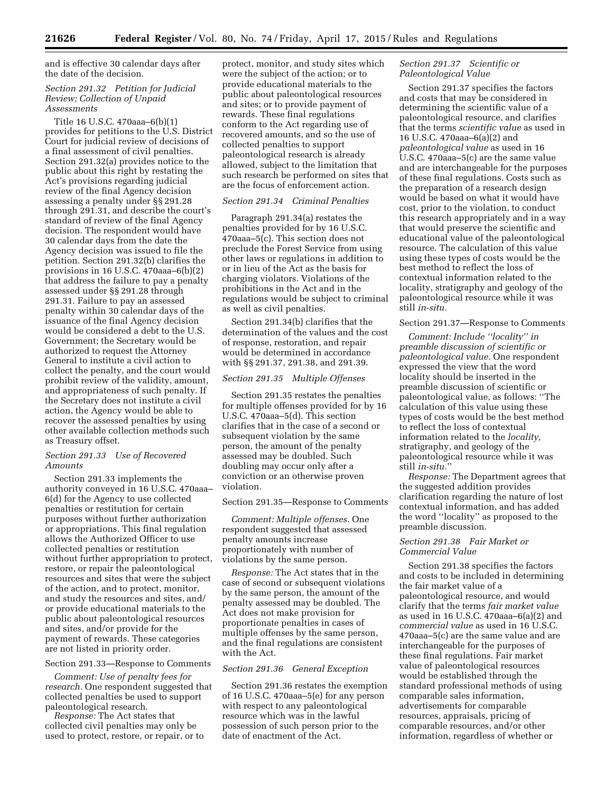and is effective 30 calendar days after the date of the decision.

# *Section 291.32 Petition for Judicial Review; Collection of Unpaid Assessments*

Title 16 U.S.C. 470aaa–6(b)(1) provides for petitions to the U.S. District Court for judicial review of decisions of a final assessment of civil penalties. Section 291.32(a) provides notice to the public about this right by restating the Act's provisions regarding judicial review of the final Agency decision assessing a penalty under §§ 291.28 through 291.31, and describe the court's standard of review of the final Agency decision. The respondent would have 30 calendar days from the date the Agency decision was issued to file the petition. Section 291.32(b) clarifies the provisions in 16 U.S.C. 470aaa–6(b)(2) that address the failure to pay a penalty assessed under §§ 291.28 through 291.31. Failure to pay an assessed penalty within 30 calendar days of the issuance of the final Agency decision would be considered a debt to the U.S. Government; the Secretary would be authorized to request the Attorney General to institute a civil action to collect the penalty, and the court would prohibit review of the validity, amount, and appropriateness of such penalty. If the Secretary does not institute a civil action, the Agency would be able to recover the assessed penalties by using other available collection methods such as Treasury offset.

# *Section 291.33 Use of Recovered Amounts*

Section 291.33 implements the authority conveyed in 16 U.S.C. 470aaa– 6(d) for the Agency to use collected penalties or restitution for certain purposes without further authorization or appropriations. This final regulation allows the Authorized Officer to use collected penalties or restitution without further appropriation to protect, restore, or repair the paleontological resources and sites that were the subject of the action, and to protect, monitor, and study the resources and sites, and/ or provide educational materials to the public about paleontological resources and sites, and/or provide for the payment of rewards. These categories are not listed in priority order.

# Section 291.33—Response to Comments

*Comment: Use of penalty fees for research.* One respondent suggested that collected penalties be used to support paleontological research.

*Response:* The Act states that collected civil penalties may only be used to protect, restore, or repair, or to protect, monitor, and study sites which were the subject of the action; or to provide educational materials to the public about paleontological resources and sites; or to provide payment of rewards. These final regulations conform to the Act regarding use of recovered amounts, and so the use of collected penalties to support paleontological research is already allowed, subject to the limitation that such research be performed on sites that are the focus of enforcement action.

# *Section 291.34 Criminal Penalties*

Paragraph 291.34(a) restates the penalties provided for by 16 U.S.C. 470aaa–5(c). This section does not preclude the Forest Service from using other laws or regulations in addition to or in lieu of the Act as the basis for charging violators. Violations of the prohibitions in the Act and in the regulations would be subject to criminal as well as civil penalties.

Section 291.34(b) clarifies that the determination of the values and the cost of response, restoration, and repair would be determined in accordance with §§ 291.37, 291.38, and 291.39.

# *Section 291.35 Multiple Offenses*

Section 291.35 restates the penalties for multiple offenses provided for by 16 U.S.C. 470aaa–5(d). This section clarifies that in the case of a second or subsequent violation by the same person, the amount of the penalty assessed may be doubled. Such doubling may occur only after a conviction or an otherwise proven violation.

# Section 291.35—Response to Comments

*Comment: Multiple offenses.* One respondent suggested that assessed penalty amounts increase proportionately with number of violations by the same person.

*Response:* The Act states that in the case of second or subsequent violations by the same person, the amount of the penalty assessed may be doubled. The Act does not make provision for proportionate penalties in cases of multiple offenses by the same person, and the final regulations are consistent with the Act.

# *Section 291.36 General Exception*

Section 291.36 restates the exemption of 16 U.S.C. 470aaa–5(e) for any person with respect to any paleontological resource which was in the lawful possession of such person prior to the date of enactment of the Act.

# *Section 291.37 Scientific or Paleontological Value*

Section 291.37 specifies the factors and costs that may be considered in determining the scientific value of a paleontological resource, and clarifies that the terms *scientific value* as used in 16 U.S.C. 470aaa–6(a)(2) and *paleontological value* as used in 16 U.S.C. 470aaa–5(c) are the same value and are interchangeable for the purposes of these final regulations. Costs such as the preparation of a research design would be based on what it would have cost, prior to the violation, to conduct this research appropriately and in a way that would preserve the scientific and educational value of the paleontological resource. The calculation of this value using these types of costs would be the best method to reflect the loss of contextual information related to the locality, stratigraphy and geology of the paleontological resource while it was still *in-situ.* 

# Section 291.37—Response to Comments

*Comment: Include ''locality'' in preamble discussion of scientific or paleontological value.* One respondent expressed the view that the word locality should be inserted in the preamble discussion of scientific or paleontological value, as follows: ''The calculation of this value using these types of costs would be the best method to reflect the loss of contextual information related to the *locality,*  stratigraphy, and geology of the paleontological resource while it was still *in-situ.*''

*Response:* The Department agrees that the suggested addition provides clarification regarding the nature of lost contextual information, and has added the word ''locality'' as proposed to the preamble discussion.

# *Section 291.38 Fair Market or Commercial Value*

Section 291.38 specifies the factors and costs to be included in determining the fair market value of a paleontological resource, and would clarify that the terms *fair market value*  as used in 16 U.S.C. 470aaa–6(a)(2) and *commercial value* as used in 16 U.S.C. 470aaa–5(c) are the same value and are interchangeable for the purposes of these final regulations. Fair market value of paleontological resources would be established through the standard professional methods of using comparable sales information, advertisements for comparable resources, appraisals, pricing of comparable resources, and/or other information, regardless of whether or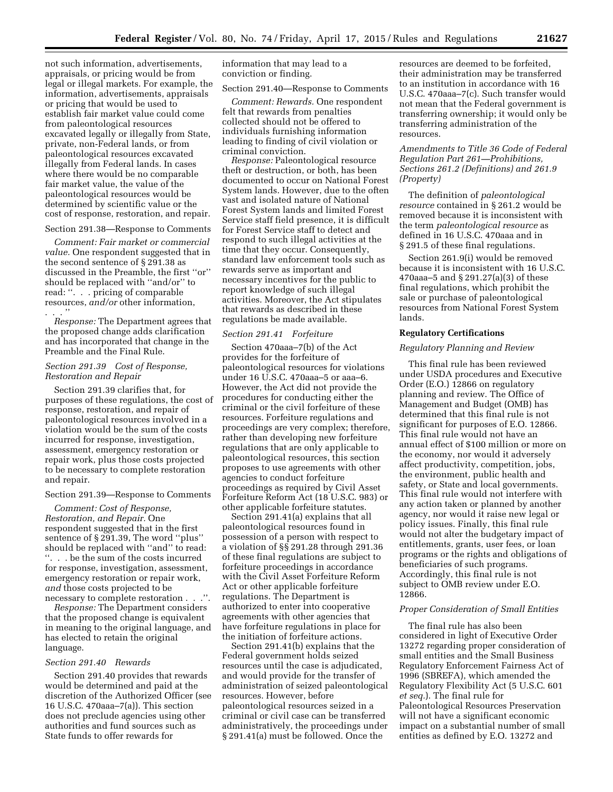not such information, advertisements, appraisals, or pricing would be from legal or illegal markets. For example, the information, advertisements, appraisals or pricing that would be used to establish fair market value could come from paleontological resources excavated legally or illegally from State, private, non-Federal lands, or from paleontological resources excavated illegally from Federal lands. In cases where there would be no comparable fair market value, the value of the paleontological resources would be determined by scientific value or the cost of response, restoration, and repair.

# Section 291.38—Response to Comments

*Comment: Fair market or commercial value.* One respondent suggested that in the second sentence of § 291.38 as discussed in the Preamble, the first ''or'' should be replaced with ''and/or'' to read: ''. . . pricing of comparable resources, *and/or* other information, . . . ''

*Response:* The Department agrees that the proposed change adds clarification and has incorporated that change in the Preamble and the Final Rule.

# *Section 291.39 Cost of Response, Restoration and Repair*

Section 291.39 clarifies that, for purposes of these regulations, the cost of response, restoration, and repair of paleontological resources involved in a violation would be the sum of the costs incurred for response, investigation, assessment, emergency restoration or repair work, plus those costs projected to be necessary to complete restoration and repair.

#### Section 291.39—Response to Comments

*Comment: Cost of Response, Restoration, and Repair.* One respondent suggested that in the first sentence of § 291.39, The word ''plus'' should be replaced with ''and'' to read: ''. . . be the sum of the costs incurred for response, investigation, assessment, emergency restoration or repair work, *and* those costs projected to be necessary to complete restoration . . .''.

*Response:* The Department considers that the proposed change is equivalent in meaning to the original language, and has elected to retain the original language.

#### *Section 291.40 Rewards*

Section 291.40 provides that rewards would be determined and paid at the discretion of the Authorized Officer (see 16 U.S.C. 470aaa–7(a)). This section does not preclude agencies using other authorities and fund sources such as State funds to offer rewards for

information that may lead to a conviction or finding.

#### Section 291.40—Response to Comments

*Comment: Rewards.* One respondent felt that rewards from penalties collected should not be offered to individuals furnishing information leading to finding of civil violation or criminal conviction.

*Response:* Paleontological resource theft or destruction, or both, has been documented to occur on National Forest System lands. However, due to the often vast and isolated nature of National Forest System lands and limited Forest Service staff field presence, it is difficult for Forest Service staff to detect and respond to such illegal activities at the time that they occur. Consequently, standard law enforcement tools such as rewards serve as important and necessary incentives for the public to report knowledge of such illegal activities. Moreover, the Act stipulates that rewards as described in these regulations be made available.

# *Section 291.41 Forfeiture*

Section 470aaa–7(b) of the Act provides for the forfeiture of paleontological resources for violations under 16 U.S.C. 470aaa–5 or aaa–6. However, the Act did not provide the procedures for conducting either the criminal or the civil forfeiture of these resources. Forfeiture regulations and proceedings are very complex; therefore, rather than developing new forfeiture regulations that are only applicable to paleontological resources, this section proposes to use agreements with other agencies to conduct forfeiture proceedings as required by Civil Asset Forfeiture Reform Act (18 U.S.C. 983) or other applicable forfeiture statutes.

Section 291.41(a) explains that all paleontological resources found in possession of a person with respect to a violation of §§ 291.28 through 291.36 of these final regulations are subject to forfeiture proceedings in accordance with the Civil Asset Forfeiture Reform Act or other applicable forfeiture regulations. The Department is authorized to enter into cooperative agreements with other agencies that have forfeiture regulations in place for the initiation of forfeiture actions.

Section 291.41(b) explains that the Federal government holds seized resources until the case is adjudicated, and would provide for the transfer of administration of seized paleontological resources. However, before paleontological resources seized in a criminal or civil case can be transferred administratively, the proceedings under § 291.41(a) must be followed. Once the

resources are deemed to be forfeited, their administration may be transferred to an institution in accordance with 16 U.S.C. 470aaa–7(c). Such transfer would not mean that the Federal government is transferring ownership; it would only be transferring administration of the resources.

# *Amendments to Title 36 Code of Federal Regulation Part 261—Prohibitions, Sections 261.2 (Definitions) and 261.9 (Property)*

The definition of *paleontological resource* contained in § 261.2 would be removed because it is inconsistent with the term *paleontological resource* as defined in 16 U.S.C. 470aaa and in § 291.5 of these final regulations.

Section 261.9(i) would be removed because it is inconsistent with 16 U.S.C. 470aaa–5 and § 291.27(a)(3) of these final regulations, which prohibit the sale or purchase of paleontological resources from National Forest System lands.

# **Regulatory Certifications**

#### *Regulatory Planning and Review*

This final rule has been reviewed under USDA procedures and Executive Order (E.O.) 12866 on regulatory planning and review. The Office of Management and Budget (OMB) has determined that this final rule is not significant for purposes of E.O. 12866. This final rule would not have an annual effect of \$100 million or more on the economy, nor would it adversely affect productivity, competition, jobs, the environment, public health and safety, or State and local governments. This final rule would not interfere with any action taken or planned by another agency, nor would it raise new legal or policy issues. Finally, this final rule would not alter the budgetary impact of entitlements, grants, user fees, or loan programs or the rights and obligations of beneficiaries of such programs. Accordingly, this final rule is not subject to OMB review under E.O. 12866.

# *Proper Consideration of Small Entities*

The final rule has also been considered in light of Executive Order 13272 regarding proper consideration of small entities and the Small Business Regulatory Enforcement Fairness Act of 1996 (SBREFA), which amended the Regulatory Flexibility Act (5 U.S.C. 601 *et seq.*). The final rule for Paleontological Resources Preservation will not have a significant economic impact on a substantial number of small entities as defined by E.O. 13272 and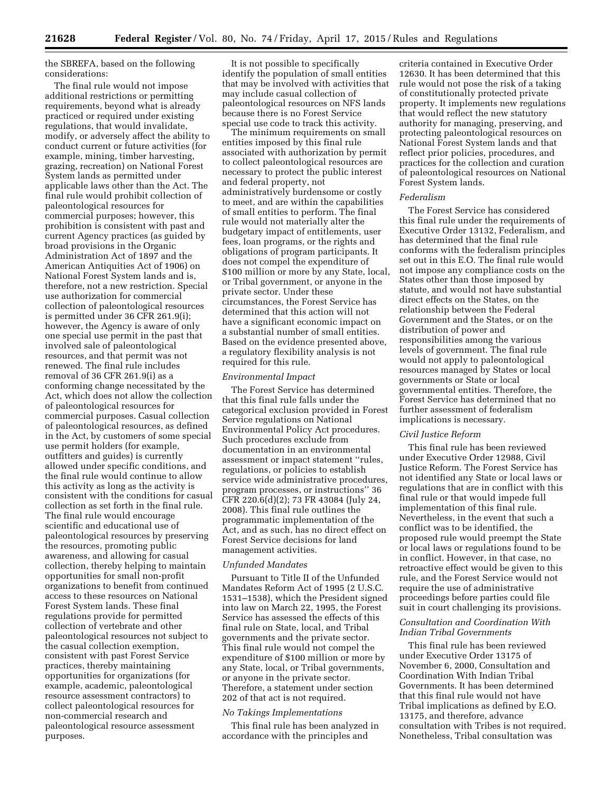the SBREFA, based on the following considerations:

The final rule would not impose additional restrictions or permitting requirements, beyond what is already practiced or required under existing regulations, that would invalidate, modify, or adversely affect the ability to conduct current or future activities (for example, mining, timber harvesting, grazing, recreation) on National Forest System lands as permitted under applicable laws other than the Act. The final rule would prohibit collection of paleontological resources for commercial purposes; however, this prohibition is consistent with past and current Agency practices (as guided by broad provisions in the Organic Administration Act of 1897 and the American Antiquities Act of 1906) on National Forest System lands and is, therefore, not a new restriction. Special use authorization for commercial collection of paleontological resources is permitted under 36 CFR 261.9(i); however, the Agency is aware of only one special use permit in the past that involved sale of paleontological resources, and that permit was not renewed. The final rule includes removal of 36 CFR 261.9(i) as a conforming change necessitated by the Act, which does not allow the collection of paleontological resources for commercial purposes. Casual collection of paleontological resources, as defined in the Act, by customers of some special use permit holders (for example, outfitters and guides) is currently allowed under specific conditions, and the final rule would continue to allow this activity as long as the activity is consistent with the conditions for casual collection as set forth in the final rule. The final rule would encourage scientific and educational use of paleontological resources by preserving the resources, promoting public awareness, and allowing for casual collection, thereby helping to maintain opportunities for small non-profit organizations to benefit from continued access to these resources on National Forest System lands. These final regulations provide for permitted collection of vertebrate and other paleontological resources not subject to the casual collection exemption, consistent with past Forest Service practices, thereby maintaining opportunities for organizations (for example, academic, paleontological resource assessment contractors) to collect paleontological resources for non-commercial research and paleontological resource assessment purposes.

It is not possible to specifically identify the population of small entities that may be involved with activities that may include casual collection of paleontological resources on NFS lands because there is no Forest Service special use code to track this activity.

The minimum requirements on small entities imposed by this final rule associated with authorization by permit to collect paleontological resources are necessary to protect the public interest and federal property, not administratively burdensome or costly to meet, and are within the capabilities of small entities to perform. The final rule would not materially alter the budgetary impact of entitlements, user fees, loan programs, or the rights and obligations of program participants. It does not compel the expenditure of \$100 million or more by any State, local, or Tribal government, or anyone in the private sector. Under these circumstances, the Forest Service has determined that this action will not have a significant economic impact on a substantial number of small entities. Based on the evidence presented above, a regulatory flexibility analysis is not required for this rule.

# *Environmental Impact*

The Forest Service has determined that this final rule falls under the categorical exclusion provided in Forest Service regulations on National Environmental Policy Act procedures. Such procedures exclude from documentation in an environmental assessment or impact statement ''rules, regulations, or policies to establish service wide administrative procedures, program processes, or instructions'' 36 CFR 220.6(d)(2); 73 FR 43084 (July 24, 2008). This final rule outlines the programmatic implementation of the Act, and as such, has no direct effect on Forest Service decisions for land management activities.

# *Unfunded Mandates*

Pursuant to Title II of the Unfunded Mandates Reform Act of 1995 (2 U.S.C. 1531–1538), which the President signed into law on March 22, 1995, the Forest Service has assessed the effects of this final rule on State, local, and Tribal governments and the private sector. This final rule would not compel the expenditure of \$100 million or more by any State, local, or Tribal governments, or anyone in the private sector. Therefore, a statement under section 202 of that act is not required.

# *No Takings Implementations*

This final rule has been analyzed in accordance with the principles and

criteria contained in Executive Order 12630. It has been determined that this rule would not pose the risk of a taking of constitutionally protected private property. It implements new regulations that would reflect the new statutory authority for managing, preserving, and protecting paleontological resources on National Forest System lands and that reflect prior policies, procedures, and practices for the collection and curation of paleontological resources on National Forest System lands.

#### *Federalism*

The Forest Service has considered this final rule under the requirements of Executive Order 13132, Federalism, and has determined that the final rule conforms with the federalism principles set out in this E.O. The final rule would not impose any compliance costs on the States other than those imposed by statute, and would not have substantial direct effects on the States, on the relationship between the Federal Government and the States, or on the distribution of power and responsibilities among the various levels of government. The final rule would not apply to paleontological resources managed by States or local governments or State or local governmental entities. Therefore, the Forest Service has determined that no further assessment of federalism implications is necessary.

# *Civil Justice Reform*

This final rule has been reviewed under Executive Order 12988, Civil Justice Reform. The Forest Service has not identified any State or local laws or regulations that are in conflict with this final rule or that would impede full implementation of this final rule. Nevertheless, in the event that such a conflict was to be identified, the proposed rule would preempt the State or local laws or regulations found to be in conflict. However, in that case, no retroactive effect would be given to this rule, and the Forest Service would not require the use of administrative proceedings before parties could file suit in court challenging its provisions.

# *Consultation and Coordination With Indian Tribal Governments*

This final rule has been reviewed under Executive Order 13175 of November 6, 2000, Consultation and Coordination With Indian Tribal Governments. It has been determined that this final rule would not have Tribal implications as defined by E.O. 13175, and therefore, advance consultation with Tribes is not required. Nonetheless, Tribal consultation was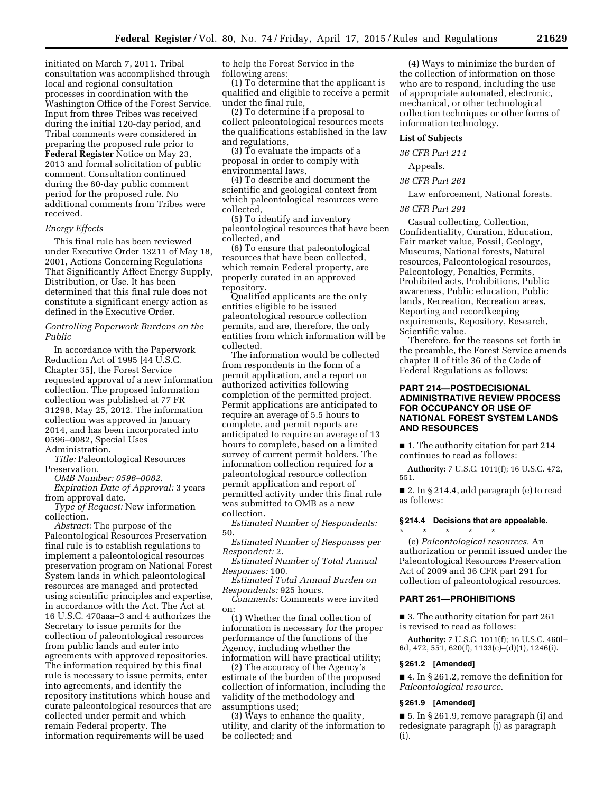initiated on March 7, 2011. Tribal consultation was accomplished through local and regional consultation processes in coordination with the Washington Office of the Forest Service. Input from three Tribes was received during the initial 120-day period, and Tribal comments were considered in preparing the proposed rule prior to **Federal Register** Notice on May 23, 2013 and formal solicitation of public comment. Consultation continued during the 60-day public comment period for the proposed rule. No additional comments from Tribes were received.

# *Energy Effects*

This final rule has been reviewed under Executive Order 13211 of May 18, 2001, Actions Concerning Regulations That Significantly Affect Energy Supply, Distribution, or Use. It has been determined that this final rule does not constitute a significant energy action as defined in the Executive Order.

# *Controlling Paperwork Burdens on the Public*

In accordance with the Paperwork Reduction Act of 1995 [44 U.S.C. Chapter 35], the Forest Service requested approval of a new information collection. The proposed information collection was published at 77 FR 31298, May 25, 2012. The information collection was approved in January 2014, and has been incorporated into 0596–0082, Special Uses Administration.

*Title:* Paleontological Resources Preservation.

*OMB Number: 0596–0082*.

*Expiration Date of Approval:* 3 years from approval date.

*Type of Request:* New information collection.

*Abstract:* The purpose of the Paleontological Resources Preservation final rule is to establish regulations to implement a paleontological resources preservation program on National Forest System lands in which paleontological resources are managed and protected using scientific principles and expertise, in accordance with the Act. The Act at 16 U.S.C. 470aaa–3 and 4 authorizes the Secretary to issue permits for the collection of paleontological resources from public lands and enter into agreements with approved repositories. The information required by this final rule is necessary to issue permits, enter into agreements, and identify the repository institutions which house and curate paleontological resources that are collected under permit and which remain Federal property. The information requirements will be used

to help the Forest Service in the following areas:

(1) To determine that the applicant is qualified and eligible to receive a permit under the final rule,

(2) To determine if a proposal to collect paleontological resources meets the qualifications established in the law and regulations,

(3) To evaluate the impacts of a proposal in order to comply with environmental laws,

(4) To describe and document the scientific and geological context from which paleontological resources were collected,

(5) To identify and inventory paleontological resources that have been collected, and

(6) To ensure that paleontological resources that have been collected, which remain Federal property, are properly curated in an approved repository.

Qualified applicants are the only entities eligible to be issued paleontological resource collection permits, and are, therefore, the only entities from which information will be collected.

The information would be collected from respondents in the form of a permit application, and a report on authorized activities following completion of the permitted project. Permit applications are anticipated to require an average of 5.5 hours to complete, and permit reports are anticipated to require an average of 13 hours to complete, based on a limited survey of current permit holders. The information collection required for a paleontological resource collection permit application and report of permitted activity under this final rule was submitted to OMB as a new collection.

*Estimated Number of Respondents:*  50.

*Estimated Number of Responses per Respondent:* 2.

*Estimated Number of Total Annual Responses:* 100.

*Estimated Total Annual Burden on Respondents:* 925 hours.

*Comments:* Comments were invited on:

(1) Whether the final collection of information is necessary for the proper performance of the functions of the Agency, including whether the information will have practical utility;

(2) The accuracy of the Agency's estimate of the burden of the proposed collection of information, including the validity of the methodology and assumptions used;

(3) Ways to enhance the quality, utility, and clarity of the information to be collected; and

(4) Ways to minimize the burden of the collection of information on those who are to respond, including the use of appropriate automated, electronic, mechanical, or other technological collection techniques or other forms of information technology.

#### **List of Subjects**

*36 CFR Part 214* 

Appeals.

*36 CFR Part 261* 

Law enforcement, National forests.

#### *36 CFR Part 291*

Casual collecting, Collection, Confidentiality, Curation, Education, Fair market value, Fossil, Geology, Museums, National forests, Natural resources, Paleontological resources, Paleontology, Penalties, Permits, Prohibited acts, Prohibitions, Public awareness, Public education, Public lands, Recreation, Recreation areas, Reporting and recordkeeping requirements, Repository, Research, Scientific value.

Therefore, for the reasons set forth in the preamble, the Forest Service amends chapter II of title 36 of the Code of Federal Regulations as follows:

# **PART 214—POSTDECISIONAL ADMINISTRATIVE REVIEW PROCESS FOR OCCUPANCY OR USE OF NATIONAL FOREST SYSTEM LANDS AND RESOURCES**

■ 1. The authority citation for part 214 continues to read as follows:

**Authority:** 7 U.S.C. 1011(f); 16 U.S.C. 472, 551.

■ 2. In § 214.4, add paragraph (e) to read as follows:

# **§ 214.4 Decisions that are appealable.**

(e) *Paleontological resources.* An authorization or permit issued under the Paleontological Resources Preservation Act of 2009 and 36 CFR part 291 for collection of paleontological resources.

# **PART 261—PROHIBITIONS**

\* \* \* \* \*

■ 3. The authority citation for part 261 is revised to read as follows:

**Authority:** 7 U.S.C. 1011(f); 16 U.S.C. 460l– 6d, 472, 551, 620(f), 1133(c)–(d)(1), 1246(i).

#### **§ 261.2 [Amended]**

■ 4. In § 261.2, remove the definition for *Paleontological resource*.

# **§ 261.9 [Amended]**

■ 5. In § 261.9, remove paragraph (i) and redesignate paragraph (j) as paragraph (i).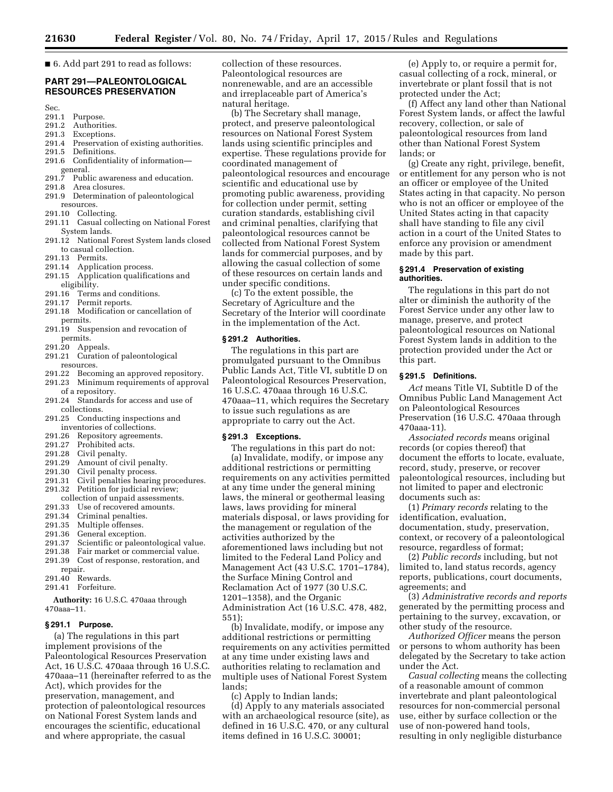■ 6. Add part 291 to read as follows:

# **PART 291—PALEONTOLOGICAL RESOURCES PRESERVATION**

- Sec.<br>291.1 Purpose.
- 291.2 Authorities.
- 
- 291.3 Exceptions.<br>291.4 Preservation 291.4 Preservation of existing authorities.<br>291.5 Definitions.
- Definitions.
- 291.6 Confidentiality of information—
- $\frac{1}{\text{general}}$ .<br>291.7 P
- Public awareness and education.
- 291.8 Area closures.
- 291.9 Determination of paleontological resources.
- 291.10 Collecting.
- 291.11 Casual collecting on National Forest System lands.
- 291.12 National Forest System lands closed to casual collection.
- 291.13 Permits.
- 291.14 Application process.
- 291.15 Application qualifications and eligibility.
- 291.16 Terms and conditions.
- 291.17 Permit reports.
- 291.18 Modification or cancellation of permits.
- 291.19 Suspension and revocation of permits.
- 291.20 Appeals.
- 291.21 Curation of paleontological resources.
- 291.22 Becoming an approved repository.
- 291.23 Minimum requirements of approval of a repository.
- 291.24 Standards for access and use of collections.
- 291.25 Conducting inspections and inventories of collections.
- 291.26 Repository agreements.
- 291.27 Prohibited acts.
- 291.28 Civil penalty.
- 291.29 Amount of civil penalty.
- 291.30 Civil penalty process.<br>291.31 Civil penalties hearing
- Civil penalties hearing procedures. 291.32 Petition for judicial review;
- collection of unpaid assessments.
- 291.33 Use of recovered amounts.
- 291.34 Criminal penalties.
- 291.35 Multiple offenses.<br>291.36 General exception.
- 291.36 General exception.<br>291.37 Scientific or paleor
- Scientific or paleontological value.
- 291.38 Fair market or commercial value.
- 291.39 Cost of response, restoration, and repair.
- 291.40 Rewards.
- 291.41 Forfeiture.

**Authority:** 16 U.S.C. 470aaa through 470aaa–11.

#### **§ 291.1 Purpose.**

(a) The regulations in this part implement provisions of the Paleontological Resources Preservation Act, 16 U.S.C. 470aaa through 16 U.S.C. 470aaa–11 (hereinafter referred to as the Act), which provides for the preservation, management, and protection of paleontological resources on National Forest System lands and encourages the scientific, educational and where appropriate, the casual

collection of these resources. Paleontological resources are nonrenewable, and are an accessible and irreplaceable part of America's natural heritage.

(b) The Secretary shall manage, protect, and preserve paleontological resources on National Forest System lands using scientific principles and expertise. These regulations provide for coordinated management of paleontological resources and encourage scientific and educational use by promoting public awareness, providing for collection under permit, setting curation standards, establishing civil and criminal penalties, clarifying that paleontological resources cannot be collected from National Forest System lands for commercial purposes, and by allowing the casual collection of some of these resources on certain lands and under specific conditions.

(c) To the extent possible, the Secretary of Agriculture and the Secretary of the Interior will coordinate in the implementation of the Act.

#### **§ 291.2 Authorities.**

The regulations in this part are promulgated pursuant to the Omnibus Public Lands Act, Title VI, subtitle D on Paleontological Resources Preservation, 16 U.S.C. 470aaa through 16 U.S.C. 470aaa–11, which requires the Secretary to issue such regulations as are appropriate to carry out the Act.

#### **§ 291.3 Exceptions.**

The regulations in this part do not: (a) Invalidate, modify, or impose any additional restrictions or permitting requirements on any activities permitted at any time under the general mining laws, the mineral or geothermal leasing laws, laws providing for mineral materials disposal, or laws providing for the management or regulation of the activities authorized by the aforementioned laws including but not limited to the Federal Land Policy and Management Act (43 U.S.C. 1701–1784), the Surface Mining Control and Reclamation Act of 1977 (30 U.S.C. 1201–1358), and the Organic Administration Act (16 U.S.C. 478, 482, 551);

(b) Invalidate, modify, or impose any additional restrictions or permitting requirements on any activities permitted at any time under existing laws and authorities relating to reclamation and multiple uses of National Forest System lands;

(c) Apply to Indian lands;

(d) Apply to any materials associated with an archaeological resource (site), as defined in 16 U.S.C. 470, or any cultural items defined in 16 U.S.C. 30001;

(e) Apply to, or require a permit for, casual collecting of a rock, mineral, or invertebrate or plant fossil that is not protected under the Act;

(f) Affect any land other than National Forest System lands, or affect the lawful recovery, collection, or sale of paleontological resources from land other than National Forest System lands; or

(g) Create any right, privilege, benefit, or entitlement for any person who is not an officer or employee of the United States acting in that capacity. No person who is not an officer or employee of the United States acting in that capacity shall have standing to file any civil action in a court of the United States to enforce any provision or amendment made by this part.

# **§ 291.4 Preservation of existing authorities.**

The regulations in this part do not alter or diminish the authority of the Forest Service under any other law to manage, preserve, and protect paleontological resources on National Forest System lands in addition to the protection provided under the Act or this part.

# **§ 291.5 Definitions.**

*Act* means Title VI, Subtitle D of the Omnibus Public Land Management Act on Paleontological Resources Preservation (16 U.S.C. 470aaa through 470aaa-11).

*Associated records* means original records (or copies thereof) that document the efforts to locate, evaluate, record, study, preserve, or recover paleontological resources, including but not limited to paper and electronic documents such as:

(1) *Primary records* relating to the identification, evaluation, documentation, study, preservation, context, or recovery of a paleontological resource, regardless of format;

(2) *Public records* including, but not limited to, land status records, agency reports, publications, court documents, agreements; and

(3) *Administrative records and reports*  generated by the permitting process and pertaining to the survey, excavation, or other study of the resource.

*Authorized Officer* means the person or persons to whom authority has been delegated by the Secretary to take action under the Act.

*Casual collecting* means the collecting of a reasonable amount of common invertebrate and plant paleontological resources for non-commercial personal use, either by surface collection or the use of non-powered hand tools, resulting in only negligible disturbance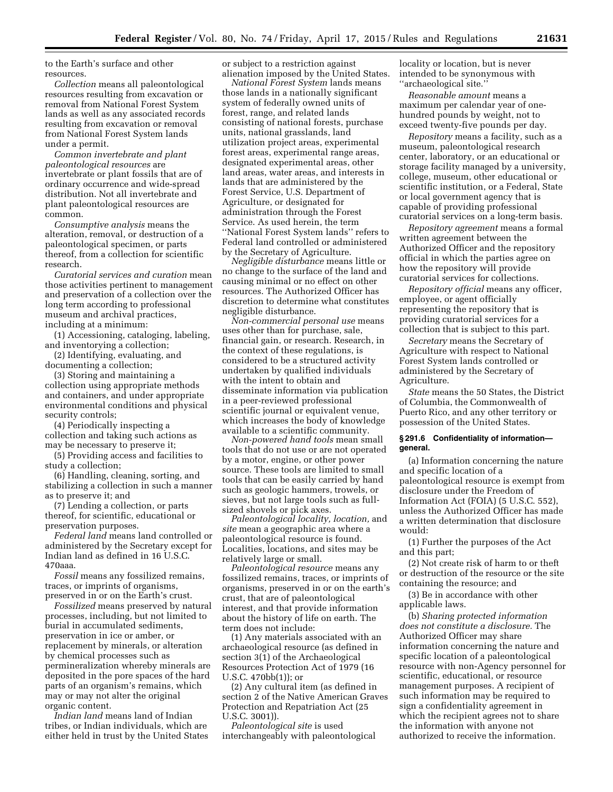to the Earth's surface and other resources.

*Collection* means all paleontological resources resulting from excavation or removal from National Forest System lands as well as any associated records resulting from excavation or removal from National Forest System lands under a permit.

*Common invertebrate and plant paleontological resources* are invertebrate or plant fossils that are of ordinary occurrence and wide-spread distribution. Not all invertebrate and plant paleontological resources are common.

*Consumptive analysis* means the alteration, removal, or destruction of a paleontological specimen, or parts thereof, from a collection for scientific research.

*Curatorial services and curation* mean those activities pertinent to management and preservation of a collection over the long term according to professional museum and archival practices, including at a minimum:

(1) Accessioning, cataloging, labeling, and inventorying a collection;

(2) Identifying, evaluating, and documenting a collection;

(3) Storing and maintaining a collection using appropriate methods and containers, and under appropriate environmental conditions and physical security controls;

(4) Periodically inspecting a collection and taking such actions as may be necessary to preserve it;

(5) Providing access and facilities to study a collection;

(6) Handling, cleaning, sorting, and stabilizing a collection in such a manner as to preserve it; and

(7) Lending a collection, or parts thereof, for scientific, educational or preservation purposes.

*Federal land* means land controlled or administered by the Secretary except for Indian land as defined in 16 U.S.C. 470aaa.

*Fossil* means any fossilized remains, traces, or imprints of organisms, preserved in or on the Earth's crust.

*Fossilized* means preserved by natural processes, including, but not limited to burial in accumulated sediments, preservation in ice or amber, or replacement by minerals, or alteration by chemical processes such as permineralization whereby minerals are deposited in the pore spaces of the hard parts of an organism's remains, which may or may not alter the original organic content.

*Indian land* means land of Indian tribes, or Indian individuals, which are either held in trust by the United States or subject to a restriction against alienation imposed by the United States.

*National Forest System* lands means those lands in a nationally significant system of federally owned units of forest, range, and related lands consisting of national forests, purchase units, national grasslands, land utilization project areas, experimental forest areas, experimental range areas, designated experimental areas, other land areas, water areas, and interests in lands that are administered by the Forest Service, U.S. Department of Agriculture, or designated for administration through the Forest Service. As used herein, the term ''National Forest System lands'' refers to Federal land controlled or administered by the Secretary of Agriculture.

*Negligible disturbance* means little or no change to the surface of the land and causing minimal or no effect on other resources. The Authorized Officer has discretion to determine what constitutes negligible disturbance.

*Non-commercial personal use* means uses other than for purchase, sale, financial gain, or research. Research, in the context of these regulations, is considered to be a structured activity undertaken by qualified individuals with the intent to obtain and disseminate information via publication in a peer-reviewed professional scientific journal or equivalent venue, which increases the body of knowledge available to a scientific community.

*Non-powered hand tools* mean small tools that do not use or are not operated by a motor, engine, or other power source. These tools are limited to small tools that can be easily carried by hand such as geologic hammers, trowels, or sieves, but not large tools such as fullsized shovels or pick axes.

*Paleontological locality, location,* and *site* mean a geographic area where a paleontological resource is found. Localities, locations, and sites may be relatively large or small.

*Paleontological resource* means any fossilized remains, traces, or imprints of organisms, preserved in or on the earth's crust, that are of paleontological interest, and that provide information about the history of life on earth. The term does not include:

(1) Any materials associated with an archaeological resource (as defined in section 3(1) of the Archaeological Resources Protection Act of 1979 (16 U.S.C. 470bb(1)); or

(2) Any cultural item (as defined in section 2 of the Native American Graves Protection and Repatriation Act (25 U.S.C. 3001)).

*Paleontological site* is used interchangeably with paleontological

locality or location, but is never intended to be synonymous with ''archaeological site.''

*Reasonable amount* means a maximum per calendar year of onehundred pounds by weight, not to exceed twenty-five pounds per day.

*Repository* means a facility, such as a museum, paleontological research center, laboratory, or an educational or storage facility managed by a university, college, museum, other educational or scientific institution, or a Federal, State or local government agency that is capable of providing professional curatorial services on a long-term basis.

*Repository agreement* means a formal written agreement between the Authorized Officer and the repository official in which the parties agree on how the repository will provide curatorial services for collections.

*Repository official* means any officer, employee, or agent officially representing the repository that is providing curatorial services for a collection that is subject to this part.

*Secretary* means the Secretary of Agriculture with respect to National Forest System lands controlled or administered by the Secretary of Agriculture.

*State* means the 50 States, the District of Columbia, the Commonwealth of Puerto Rico, and any other territory or possession of the United States.

# **§ 291.6 Confidentiality of information general.**

(a) Information concerning the nature and specific location of a paleontological resource is exempt from disclosure under the Freedom of Information Act (FOIA) (5 U.S.C. 552), unless the Authorized Officer has made a written determination that disclosure would:

(1) Further the purposes of the Act and this part;

(2) Not create risk of harm to or theft or destruction of the resource or the site containing the resource; and

(3) Be in accordance with other applicable laws.

(b) *Sharing protected information does not constitute a disclosure.* The Authorized Officer may share information concerning the nature and specific location of a paleontological resource with non-Agency personnel for scientific, educational, or resource management purposes. A recipient of such information may be required to sign a confidentiality agreement in which the recipient agrees not to share the information with anyone not authorized to receive the information.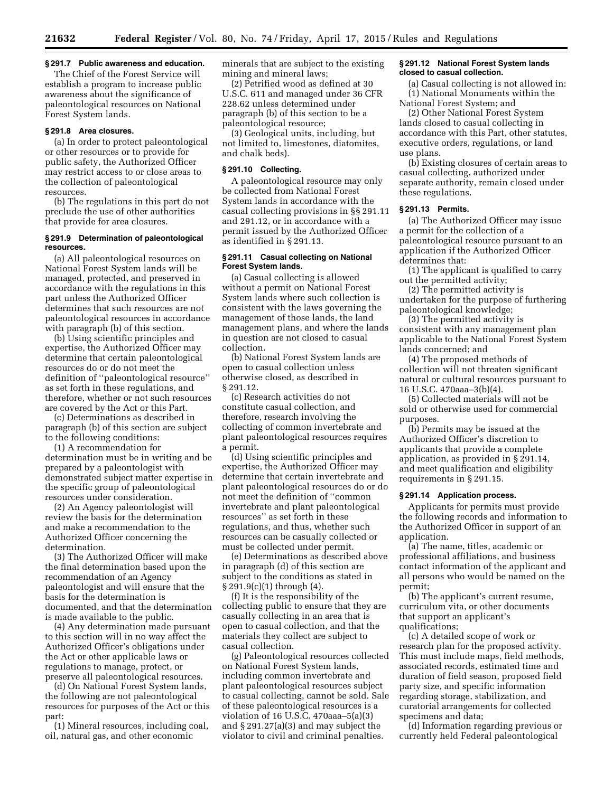# **§ 291.7 Public awareness and education.**

The Chief of the Forest Service will establish a program to increase public awareness about the significance of paleontological resources on National Forest System lands.

# **§ 291.8 Area closures.**

(a) In order to protect paleontological or other resources or to provide for public safety, the Authorized Officer may restrict access to or close areas to the collection of paleontological resources.

(b) The regulations in this part do not preclude the use of other authorities that provide for area closures.

# **§ 291.9 Determination of paleontological resources.**

(a) All paleontological resources on National Forest System lands will be managed, protected, and preserved in accordance with the regulations in this part unless the Authorized Officer determines that such resources are not paleontological resources in accordance with paragraph (b) of this section.

(b) Using scientific principles and expertise, the Authorized Officer may determine that certain paleontological resources do or do not meet the definition of ''paleontological resource'' as set forth in these regulations, and therefore, whether or not such resources are covered by the Act or this Part.

(c) Determinations as described in paragraph (b) of this section are subject to the following conditions:

(1) A recommendation for determination must be in writing and be prepared by a paleontologist with demonstrated subject matter expertise in the specific group of paleontological resources under consideration.

(2) An Agency paleontologist will review the basis for the determination and make a recommendation to the Authorized Officer concerning the determination.

(3) The Authorized Officer will make the final determination based upon the recommendation of an Agency paleontologist and will ensure that the basis for the determination is documented, and that the determination is made available to the public.

(4) Any determination made pursuant to this section will in no way affect the Authorized Officer's obligations under the Act or other applicable laws or regulations to manage, protect, or preserve all paleontological resources.

(d) On National Forest System lands, the following are not paleontological resources for purposes of the Act or this part:

(1) Mineral resources, including coal, oil, natural gas, and other economic

minerals that are subject to the existing mining and mineral laws;

(2) Petrified wood as defined at 30 U.S.C. 611 and managed under 36 CFR 228.62 unless determined under paragraph (b) of this section to be a paleontological resource;

(3) Geological units, including, but not limited to, limestones, diatomites, and chalk beds).

# **§ 291.10 Collecting.**

A paleontological resource may only be collected from National Forest System lands in accordance with the casual collecting provisions in §§ 291.11 and 291.12, or in accordance with a permit issued by the Authorized Officer as identified in § 291.13.

# **§ 291.11 Casual collecting on National Forest System lands.**

(a) Casual collecting is allowed without a permit on National Forest System lands where such collection is consistent with the laws governing the management of those lands, the land management plans, and where the lands in question are not closed to casual collection.

(b) National Forest System lands are open to casual collection unless otherwise closed, as described in § 291.12.

(c) Research activities do not constitute casual collection, and therefore, research involving the collecting of common invertebrate and plant paleontological resources requires a permit.

(d) Using scientific principles and expertise, the Authorized Officer may determine that certain invertebrate and plant paleontological resources do or do not meet the definition of ''common invertebrate and plant paleontological resources'' as set forth in these regulations, and thus, whether such resources can be casually collected or must be collected under permit.

(e) Determinations as described above in paragraph (d) of this section are subject to the conditions as stated in § 291.9(c)(1) through (4).

(f) It is the responsibility of the collecting public to ensure that they are casually collecting in an area that is open to casual collection, and that the materials they collect are subject to casual collection.

(g) Paleontological resources collected on National Forest System lands, including common invertebrate and plant paleontological resources subject to casual collecting, cannot be sold. Sale of these paleontological resources is a violation of 16 U.S.C. 470aaa–5(a)(3) and § 291.27(a)(3) and may subject the violator to civil and criminal penalties.

# **§ 291.12 National Forest System lands closed to casual collection.**

(a) Casual collecting is not allowed in: (1) National Monuments within the National Forest System; and

(2) Other National Forest System lands closed to casual collecting in accordance with this Part, other statutes, executive orders, regulations, or land use plans.

(b) Existing closures of certain areas to casual collecting, authorized under separate authority, remain closed under these regulations.

# **§ 291.13 Permits.**

(a) The Authorized Officer may issue a permit for the collection of a paleontological resource pursuant to an application if the Authorized Officer determines that:

(1) The applicant is qualified to carry out the permitted activity;

(2) The permitted activity is undertaken for the purpose of furthering paleontological knowledge;

(3) The permitted activity is consistent with any management plan applicable to the National Forest System lands concerned; and

(4) The proposed methods of collection will not threaten significant natural or cultural resources pursuant to 16 U.S.C. 470aaa–3(b)(4).

(5) Collected materials will not be sold or otherwise used for commercial purposes.

(b) Permits may be issued at the Authorized Officer's discretion to applicants that provide a complete application, as provided in § 291.14, and meet qualification and eligibility requirements in § 291.15.

#### **§ 291.14 Application process.**

Applicants for permits must provide the following records and information to the Authorized Officer in support of an application.

(a) The name, titles, academic or professional affiliations, and business contact information of the applicant and all persons who would be named on the permit;

(b) The applicant's current resume, curriculum vita, or other documents that support an applicant's qualifications;

(c) A detailed scope of work or research plan for the proposed activity. This must include maps, field methods, associated records, estimated time and duration of field season, proposed field party size, and specific information regarding storage, stabilization, and curatorial arrangements for collected specimens and data;

(d) Information regarding previous or currently held Federal paleontological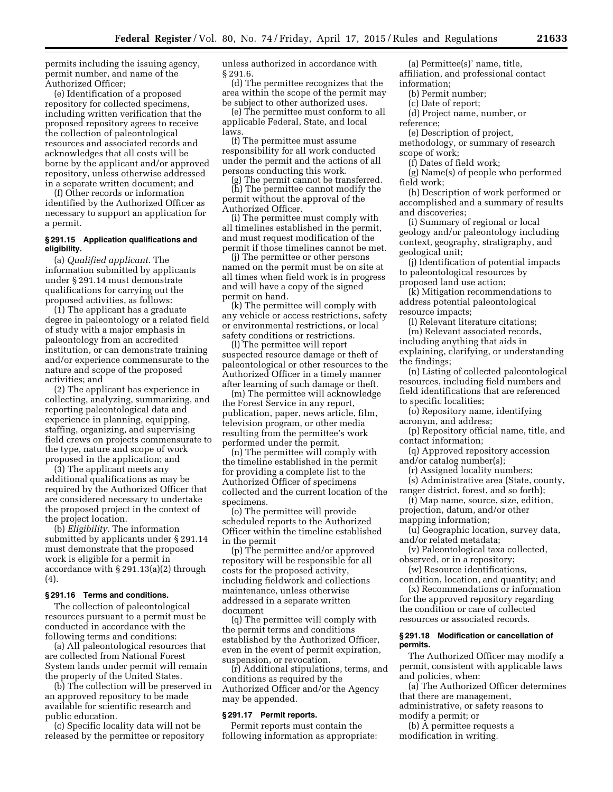permits including the issuing agency, permit number, and name of the Authorized Officer;

(e) Identification of a proposed repository for collected specimens, including written verification that the proposed repository agrees to receive the collection of paleontological resources and associated records and acknowledges that all costs will be borne by the applicant and/or approved repository, unless otherwise addressed in a separate written document; and

(f) Other records or information identified by the Authorized Officer as necessary to support an application for a permit.

#### **§ 291.15 Application qualifications and eligibility.**

(a) *Qualified applicant.* The information submitted by applicants under § 291.14 must demonstrate qualifications for carrying out the proposed activities, as follows:

(1) The applicant has a graduate degree in paleontology or a related field of study with a major emphasis in paleontology from an accredited institution, or can demonstrate training and/or experience commensurate to the nature and scope of the proposed activities; and

(2) The applicant has experience in collecting, analyzing, summarizing, and reporting paleontological data and experience in planning, equipping, staffing, organizing, and supervising field crews on projects commensurate to the type, nature and scope of work proposed in the application; and

(3) The applicant meets any additional qualifications as may be required by the Authorized Officer that are considered necessary to undertake the proposed project in the context of the project location.

(b) *Eligibility.* The information submitted by applicants under § 291.14 must demonstrate that the proposed work is eligible for a permit in accordance with § 291.13(a)(2) through (4).

# **§ 291.16 Terms and conditions.**

The collection of paleontological resources pursuant to a permit must be conducted in accordance with the following terms and conditions:

(a) All paleontological resources that are collected from National Forest System lands under permit will remain the property of the United States.

(b) The collection will be preserved in an approved repository to be made available for scientific research and public education.

(c) Specific locality data will not be released by the permittee or repository unless authorized in accordance with § 291.6.

(d) The permittee recognizes that the area within the scope of the permit may be subject to other authorized uses.

(e) The permittee must conform to all applicable Federal, State, and local laws.

(f) The permittee must assume responsibility for all work conducted under the permit and the actions of all persons conducting this work.

(g) The permit cannot be transferred. (h) The permittee cannot modify the permit without the approval of the Authorized Officer.

(i) The permittee must comply with all timelines established in the permit, and must request modification of the permit if those timelines cannot be met.

(j) The permittee or other persons named on the permit must be on site at all times when field work is in progress and will have a copy of the signed permit on hand.

(k) The permittee will comply with any vehicle or access restrictions, safety or environmental restrictions, or local safety conditions or restrictions.

(l) The permittee will report suspected resource damage or theft of paleontological or other resources to the Authorized Officer in a timely manner after learning of such damage or theft.

(m) The permittee will acknowledge the Forest Service in any report, publication, paper, news article, film, television program, or other media resulting from the permittee's work performed under the permit.

(n) The permittee will comply with the timeline established in the permit for providing a complete list to the Authorized Officer of specimens collected and the current location of the specimens.

(o) The permittee will provide scheduled reports to the Authorized Officer within the timeline established in the permit

(p) The permittee and/or approved repository will be responsible for all costs for the proposed activity, including fieldwork and collections maintenance, unless otherwise addressed in a separate written document

(q) The permittee will comply with the permit terms and conditions established by the Authorized Officer, even in the event of permit expiration, suspension, or revocation.

(r) Additional stipulations, terms, and conditions as required by the Authorized Officer and/or the Agency may be appended.

#### **§ 291.17 Permit reports.**

Permit reports must contain the following information as appropriate:

(a) Permittee(s)' name, title, affiliation, and professional contact information;

(b) Permit number;

- (c) Date of report;
- (d) Project name, number, or
- reference;

(e) Description of project, methodology, or summary of research scope of work;

(f) Dates of field work;

(g) Name(s) of people who performed field work;

(h) Description of work performed or accomplished and a summary of results and discoveries;

(i) Summary of regional or local geology and/or paleontology including context, geography, stratigraphy, and geological unit;

(j) Identification of potential impacts to paleontological resources by proposed land use action;

(k) Mitigation recommendations to address potential paleontological resource impacts;

(l) Relevant literature citations; (m) Relevant associated records,

including anything that aids in explaining, clarifying, or understanding the findings;

(n) Listing of collected paleontological resources, including field numbers and field identifications that are referenced to specific localities;

(o) Repository name, identifying acronym, and address;

(p) Repository official name, title, and contact information;

(q) Approved repository accession and/or catalog number(s);

(r) Assigned locality numbers;

(s) Administrative area (State, county, ranger district, forest, and so forth);

(t) Map name, source, size, edition, projection, datum, and/or other

mapping information;

- (u) Geographic location, survey data, and/or related metadata;
- (v) Paleontological taxa collected, observed, or in a repository;

(w) Resource identifications,

condition, location, and quantity; and (x) Recommendations or information

for the approved repository regarding the condition or care of collected resources or associated records.

#### **§ 291.18 Modification or cancellation of permits.**

The Authorized Officer may modify a permit, consistent with applicable laws and policies, when:

(a) The Authorized Officer determines that there are management, administrative, or safety reasons to

modify a permit; or

(b) A permittee requests a modification in writing.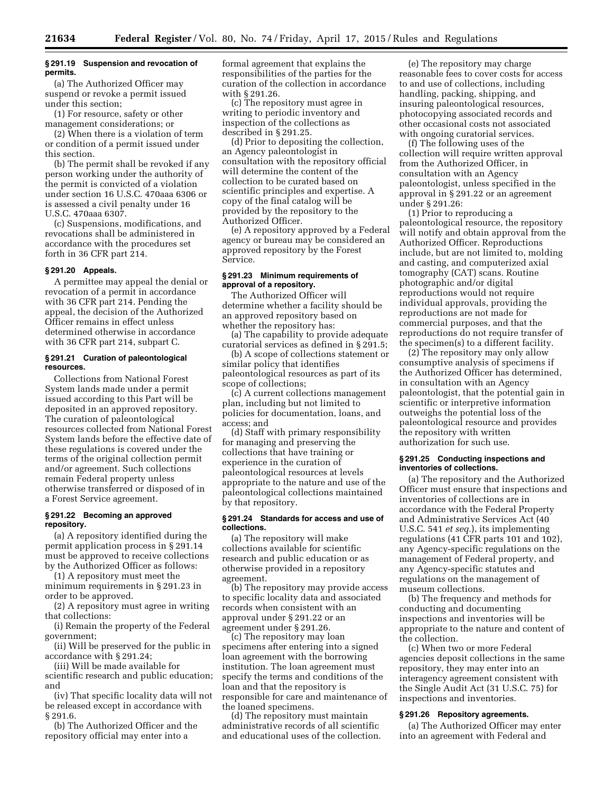# **§ 291.19 Suspension and revocation of permits.**

(a) The Authorized Officer may suspend or revoke a permit issued under this section;

(1) For resource, safety or other management considerations; or

(2) When there is a violation of term or condition of a permit issued under this section.

(b) The permit shall be revoked if any person working under the authority of the permit is convicted of a violation under section 16 U.S.C. 470aaa 6306 or is assessed a civil penalty under 16 U.S.C. 470aaa 6307.

(c) Suspensions, modifications, and revocations shall be administered in accordance with the procedures set forth in 36 CFR part 214.

# **§ 291.20 Appeals.**

A permittee may appeal the denial or revocation of a permit in accordance with 36 CFR part 214. Pending the appeal, the decision of the Authorized Officer remains in effect unless determined otherwise in accordance with 36 CFR part 214, subpart C.

#### **§ 291.21 Curation of paleontological resources.**

Collections from National Forest System lands made under a permit issued according to this Part will be deposited in an approved repository. The curation of paleontological resources collected from National Forest System lands before the effective date of these regulations is covered under the terms of the original collection permit and/or agreement. Such collections remain Federal property unless otherwise transferred or disposed of in a Forest Service agreement.

# **§ 291.22 Becoming an approved repository.**

(a) A repository identified during the permit application process in § 291.14 must be approved to receive collections by the Authorized Officer as follows:

(1) A repository must meet the minimum requirements in § 291.23 in order to be approved.

(2) A repository must agree in writing that collections:

(i) Remain the property of the Federal government;

(ii) Will be preserved for the public in accordance with § 291.24;

(iii) Will be made available for

scientific research and public education; and

(iv) That specific locality data will not be released except in accordance with § 291.6.

(b) The Authorized Officer and the repository official may enter into a

formal agreement that explains the responsibilities of the parties for the curation of the collection in accordance with § 291.26.

(c) The repository must agree in writing to periodic inventory and inspection of the collections as described in § 291.25.

(d) Prior to depositing the collection, an Agency paleontologist in consultation with the repository official will determine the content of the collection to be curated based on scientific principles and expertise. A copy of the final catalog will be provided by the repository to the Authorized Officer.

(e) A repository approved by a Federal agency or bureau may be considered an approved repository by the Forest Service.

#### **§ 291.23 Minimum requirements of approval of a repository.**

The Authorized Officer will determine whether a facility should be an approved repository based on whether the repository has:

(a) The capability to provide adequate curatorial services as defined in § 291.5;

(b) A scope of collections statement or similar policy that identifies paleontological resources as part of its scope of collections;

(c) A current collections management plan, including but not limited to policies for documentation, loans, and access; and

(d) Staff with primary responsibility for managing and preserving the collections that have training or experience in the curation of paleontological resources at levels appropriate to the nature and use of the paleontological collections maintained by that repository.

# **§ 291.24 Standards for access and use of collections.**

(a) The repository will make collections available for scientific research and public education or as otherwise provided in a repository agreement.

(b) The repository may provide access to specific locality data and associated records when consistent with an approval under § 291.22 or an agreement under § 291.26.

(c) The repository may loan specimens after entering into a signed loan agreement with the borrowing institution. The loan agreement must specify the terms and conditions of the loan and that the repository is responsible for care and maintenance of the loaned specimens.

(d) The repository must maintain administrative records of all scientific and educational uses of the collection.

(e) The repository may charge reasonable fees to cover costs for access to and use of collections, including handling, packing, shipping, and insuring paleontological resources, photocopying associated records and other occasional costs not associated with ongoing curatorial services.

(f) The following uses of the collection will require written approval from the Authorized Officer, in consultation with an Agency paleontologist, unless specified in the approval in § 291.22 or an agreement under § 291.26:

(1) Prior to reproducing a paleontological resource, the repository will notify and obtain approval from the Authorized Officer. Reproductions include, but are not limited to, molding and casting, and computerized axial tomography (CAT) scans. Routine photographic and/or digital reproductions would not require individual approvals, providing the reproductions are not made for commercial purposes, and that the reproductions do not require transfer of the specimen(s) to a different facility.

(2) The repository may only allow consumptive analysis of specimens if the Authorized Officer has determined, in consultation with an Agency paleontologist, that the potential gain in scientific or interpretive information outweighs the potential loss of the paleontological resource and provides the repository with written authorization for such use.

#### **§ 291.25 Conducting inspections and inventories of collections.**

(a) The repository and the Authorized Officer must ensure that inspections and inventories of collections are in accordance with the Federal Property and Administrative Services Act (40 U.S.C. 541 *et seq.*), its implementing regulations (41 CFR parts 101 and 102), any Agency-specific regulations on the management of Federal property, and any Agency-specific statutes and regulations on the management of museum collections.

(b) The frequency and methods for conducting and documenting inspections and inventories will be appropriate to the nature and content of the collection.

(c) When two or more Federal agencies deposit collections in the same repository, they may enter into an interagency agreement consistent with the Single Audit Act (31 U.S.C. 75) for inspections and inventories.

#### **§ 291.26 Repository agreements.**

(a) The Authorized Officer may enter into an agreement with Federal and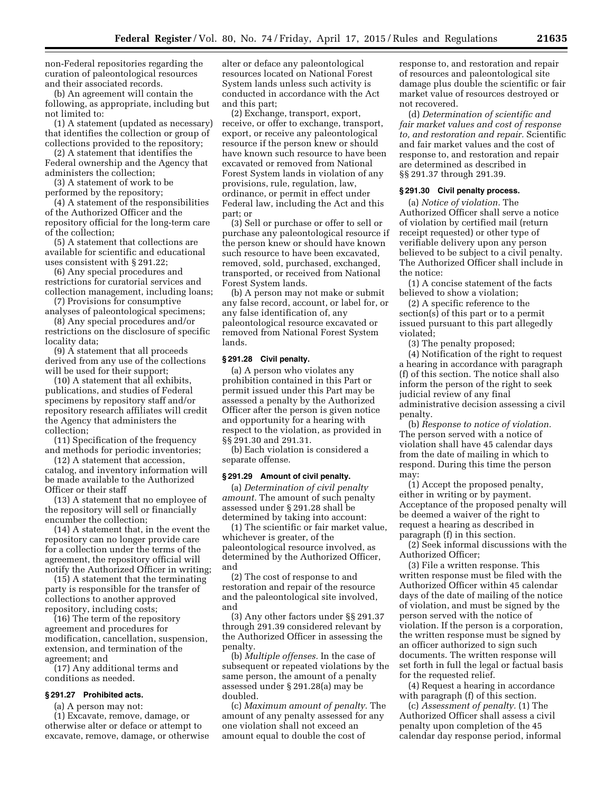non-Federal repositories regarding the curation of paleontological resources and their associated records.

(b) An agreement will contain the following, as appropriate, including but not limited to:

(1) A statement (updated as necessary) that identifies the collection or group of collections provided to the repository;

(2) A statement that identifies the Federal ownership and the Agency that administers the collection;

(3) A statement of work to be performed by the repository;

(4) A statement of the responsibilities of the Authorized Officer and the repository official for the long-term care of the collection;

(5) A statement that collections are available for scientific and educational uses consistent with § 291.22;

(6) Any special procedures and restrictions for curatorial services and collection management, including loans;

(7) Provisions for consumptive analyses of paleontological specimens;

(8) Any special procedures and/or restrictions on the disclosure of specific locality data;

(9) A statement that all proceeds derived from any use of the collections will be used for their support;

(10) A statement that all exhibits, publications, and studies of Federal specimens by repository staff and/or repository research affiliates will credit the Agency that administers the collection;

(11) Specification of the frequency and methods for periodic inventories;

(12) A statement that accession, catalog, and inventory information will be made available to the Authorized Officer or their staff

(13) A statement that no employee of the repository will sell or financially encumber the collection;

(14) A statement that, in the event the repository can no longer provide care for a collection under the terms of the agreement, the repository official will notify the Authorized Officer in writing;

(15) A statement that the terminating party is responsible for the transfer of collections to another approved repository, including costs;

(16) The term of the repository agreement and procedures for modification, cancellation, suspension, extension, and termination of the agreement; and

(17) Any additional terms and conditions as needed.

# **§ 291.27 Prohibited acts.**

(a) A person may not:

(1) Excavate, remove, damage, or otherwise alter or deface or attempt to excavate, remove, damage, or otherwise

alter or deface any paleontological resources located on National Forest System lands unless such activity is conducted in accordance with the Act and this part;

(2) Exchange, transport, export, receive, or offer to exchange, transport, export, or receive any paleontological resource if the person knew or should have known such resource to have been excavated or removed from National Forest System lands in violation of any provisions, rule, regulation, law, ordinance, or permit in effect under Federal law, including the Act and this part; or

(3) Sell or purchase or offer to sell or purchase any paleontological resource if the person knew or should have known such resource to have been excavated, removed, sold, purchased, exchanged, transported, or received from National Forest System lands.

(b) A person may not make or submit any false record, account, or label for, or any false identification of, any paleontological resource excavated or removed from National Forest System lands.

#### **§ 291.28 Civil penalty.**

(a) A person who violates any prohibition contained in this Part or permit issued under this Part may be assessed a penalty by the Authorized Officer after the person is given notice and opportunity for a hearing with respect to the violation, as provided in §§ 291.30 and 291.31.

(b) Each violation is considered a separate offense.

#### **§ 291.29 Amount of civil penalty.**

(a) *Determination of civil penalty amount.* The amount of such penalty assessed under § 291.28 shall be determined by taking into account:

(1) The scientific or fair market value, whichever is greater, of the paleontological resource involved, as determined by the Authorized Officer, and

(2) The cost of response to and restoration and repair of the resource and the paleontological site involved, and

(3) Any other factors under §§ 291.37 through 291.39 considered relevant by the Authorized Officer in assessing the penalty.

(b) *Multiple offenses.* In the case of subsequent or repeated violations by the same person, the amount of a penalty assessed under § 291.28(a) may be doubled.

(c) *Maximum amount of penalty.* The amount of any penalty assessed for any one violation shall not exceed an amount equal to double the cost of

response to, and restoration and repair of resources and paleontological site damage plus double the scientific or fair market value of resources destroyed or not recovered.

(d) *Determination of scientific and fair market values and cost of response to, and restoration and repair.* Scientific and fair market values and the cost of response to, and restoration and repair are determined as described in §§ 291.37 through 291.39.

# **§ 291.30 Civil penalty process.**

(a) *Notice of violation.* The Authorized Officer shall serve a notice of violation by certified mail (return receipt requested) or other type of verifiable delivery upon any person believed to be subject to a civil penalty. The Authorized Officer shall include in the notice:

(1) A concise statement of the facts believed to show a violation;

(2) A specific reference to the section(s) of this part or to a permit issued pursuant to this part allegedly violated;

(3) The penalty proposed;

(4) Notification of the right to request a hearing in accordance with paragraph (f) of this section. The notice shall also inform the person of the right to seek judicial review of any final administrative decision assessing a civil penalty.

(b) *Response to notice of violation.*  The person served with a notice of violation shall have 45 calendar days from the date of mailing in which to respond. During this time the person may:

(1) Accept the proposed penalty, either in writing or by payment. Acceptance of the proposed penalty will be deemed a waiver of the right to request a hearing as described in paragraph (f) in this section.

(2) Seek informal discussions with the Authorized Officer;

(3) File a written response. This written response must be filed with the Authorized Officer within 45 calendar days of the date of mailing of the notice of violation, and must be signed by the person served with the notice of violation. If the person is a corporation, the written response must be signed by an officer authorized to sign such documents. The written response will set forth in full the legal or factual basis for the requested relief.

(4) Request a hearing in accordance with paragraph (f) of this section.

(c) *Assessment of penalty.* (1) The Authorized Officer shall assess a civil penalty upon completion of the 45 calendar day response period, informal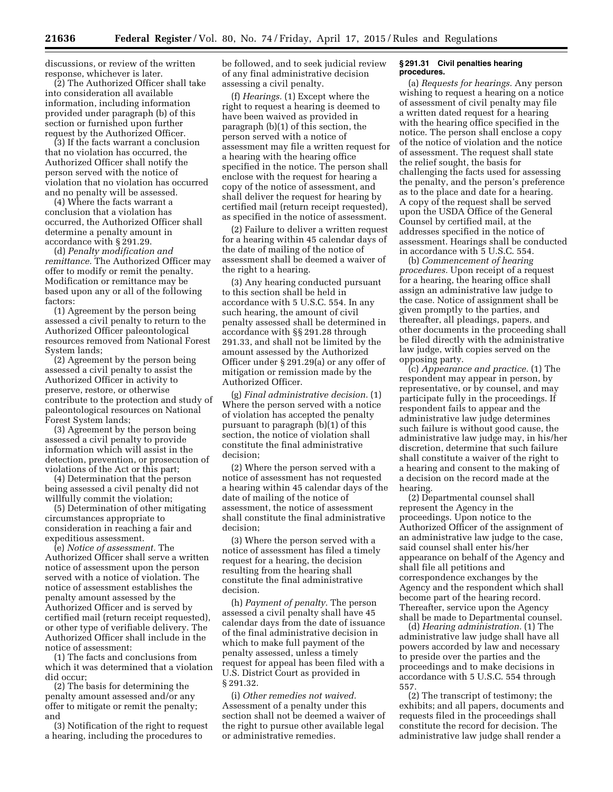discussions, or review of the written response, whichever is later.

(2) The Authorized Officer shall take into consideration all available information, including information provided under paragraph (b) of this section or furnished upon further request by the Authorized Officer.

(3) If the facts warrant a conclusion that no violation has occurred, the Authorized Officer shall notify the person served with the notice of violation that no violation has occurred and no penalty will be assessed.

(4) Where the facts warrant a conclusion that a violation has occurred, the Authorized Officer shall determine a penalty amount in accordance with § 291.29.

(d) *Penalty modification and remittance.* The Authorized Officer may offer to modify or remit the penalty. Modification or remittance may be based upon any or all of the following factors:

(1) Agreement by the person being assessed a civil penalty to return to the Authorized Officer paleontological resources removed from National Forest System lands;

(2) Agreement by the person being assessed a civil penalty to assist the Authorized Officer in activity to preserve, restore, or otherwise contribute to the protection and study of paleontological resources on National Forest System lands;

(3) Agreement by the person being assessed a civil penalty to provide information which will assist in the detection, prevention, or prosecution of violations of the Act or this part;

(4) Determination that the person being assessed a civil penalty did not willfully commit the violation;

(5) Determination of other mitigating circumstances appropriate to consideration in reaching a fair and expeditious assessment.

(e) *Notice of assessment.* The Authorized Officer shall serve a written notice of assessment upon the person served with a notice of violation. The notice of assessment establishes the penalty amount assessed by the Authorized Officer and is served by certified mail (return receipt requested), or other type of verifiable delivery. The Authorized Officer shall include in the notice of assessment:

(1) The facts and conclusions from which it was determined that a violation did occur;

(2) The basis for determining the penalty amount assessed and/or any offer to mitigate or remit the penalty; and

(3) Notification of the right to request a hearing, including the procedures to

be followed, and to seek judicial review of any final administrative decision assessing a civil penalty.

(f) *Hearings.* (1) Except where the right to request a hearing is deemed to have been waived as provided in paragraph (b)(1) of this section, the person served with a notice of assessment may file a written request for a hearing with the hearing office specified in the notice. The person shall enclose with the request for hearing a copy of the notice of assessment, and shall deliver the request for hearing by certified mail (return receipt requested), as specified in the notice of assessment.

(2) Failure to deliver a written request for a hearing within 45 calendar days of the date of mailing of the notice of assessment shall be deemed a waiver of the right to a hearing.

(3) Any hearing conducted pursuant to this section shall be held in accordance with 5 U.S.C. 554. In any such hearing, the amount of civil penalty assessed shall be determined in accordance with §§ 291.28 through 291.33, and shall not be limited by the amount assessed by the Authorized Officer under § 291.29(a) or any offer of mitigation or remission made by the Authorized Officer.

(g) *Final administrative decision.* (1) Where the person served with a notice of violation has accepted the penalty pursuant to paragraph (b)(1) of this section, the notice of violation shall constitute the final administrative decision;

(2) Where the person served with a notice of assessment has not requested a hearing within 45 calendar days of the date of mailing of the notice of assessment, the notice of assessment shall constitute the final administrative decision;

(3) Where the person served with a notice of assessment has filed a timely request for a hearing, the decision resulting from the hearing shall constitute the final administrative decision.

(h) *Payment of penalty.* The person assessed a civil penalty shall have 45 calendar days from the date of issuance of the final administrative decision in which to make full payment of the penalty assessed, unless a timely request for appeal has been filed with a U.S. District Court as provided in § 291.32.

(i) *Other remedies not waived.*  Assessment of a penalty under this section shall not be deemed a waiver of the right to pursue other available legal or administrative remedies.

# **§ 291.31 Civil penalties hearing procedures.**

(a) *Requests for hearings.* Any person wishing to request a hearing on a notice of assessment of civil penalty may file a written dated request for a hearing with the hearing office specified in the notice. The person shall enclose a copy of the notice of violation and the notice of assessment. The request shall state the relief sought, the basis for challenging the facts used for assessing the penalty, and the person's preference as to the place and date for a hearing. A copy of the request shall be served upon the USDA Office of the General Counsel by certified mail, at the addresses specified in the notice of assessment. Hearings shall be conducted in accordance with 5 U.S.C. 554.

(b) *Commencement of hearing procedures.* Upon receipt of a request for a hearing, the hearing office shall assign an administrative law judge to the case. Notice of assignment shall be given promptly to the parties, and thereafter, all pleadings, papers, and other documents in the proceeding shall be filed directly with the administrative law judge, with copies served on the opposing party.

(c) *Appearance and practice.* (1) The respondent may appear in person, by representative, or by counsel, and may participate fully in the proceedings. If respondent fails to appear and the administrative law judge determines such failure is without good cause, the administrative law judge may, in his/her discretion, determine that such failure shall constitute a waiver of the right to a hearing and consent to the making of a decision on the record made at the hearing.

(2) Departmental counsel shall represent the Agency in the proceedings. Upon notice to the Authorized Officer of the assignment of an administrative law judge to the case, said counsel shall enter his/her appearance on behalf of the Agency and shall file all petitions and correspondence exchanges by the Agency and the respondent which shall become part of the hearing record. Thereafter, service upon the Agency shall be made to Departmental counsel.

(d) *Hearing administration.* (1) The administrative law judge shall have all powers accorded by law and necessary to preside over the parties and the proceedings and to make decisions in accordance with 5 U.S.C. 554 through 557.

(2) The transcript of testimony; the exhibits; and all papers, documents and requests filed in the proceedings shall constitute the record for decision. The administrative law judge shall render a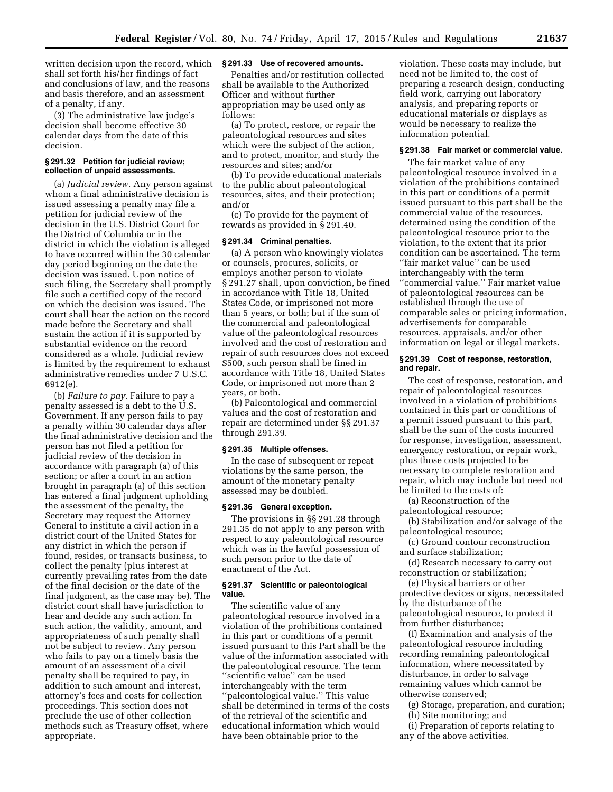written decision upon the record, which shall set forth his/her findings of fact and conclusions of law, and the reasons and basis therefore, and an assessment of a penalty, if any.

(3) The administrative law judge's decision shall become effective 30 calendar days from the date of this decision.

# **§ 291.32 Petition for judicial review; collection of unpaid assessments.**

(a) *Judicial review.* Any person against whom a final administrative decision is issued assessing a penalty may file a petition for judicial review of the decision in the U.S. District Court for the District of Columbia or in the district in which the violation is alleged to have occurred within the 30 calendar day period beginning on the date the decision was issued. Upon notice of such filing, the Secretary shall promptly file such a certified copy of the record on which the decision was issued. The court shall hear the action on the record made before the Secretary and shall sustain the action if it is supported by substantial evidence on the record considered as a whole. Judicial review is limited by the requirement to exhaust administrative remedies under 7 U.S.C. 6912(e).

(b) *Failure to pay.* Failure to pay a penalty assessed is a debt to the U.S. Government. If any person fails to pay a penalty within 30 calendar days after the final administrative decision and the person has not filed a petition for judicial review of the decision in accordance with paragraph (a) of this section; or after a court in an action brought in paragraph (a) of this section has entered a final judgment upholding the assessment of the penalty, the Secretary may request the Attorney General to institute a civil action in a district court of the United States for any district in which the person if found, resides, or transacts business, to collect the penalty (plus interest at currently prevailing rates from the date of the final decision or the date of the final judgment, as the case may be). The district court shall have jurisdiction to hear and decide any such action. In such action, the validity, amount, and appropriateness of such penalty shall not be subject to review. Any person who fails to pay on a timely basis the amount of an assessment of a civil penalty shall be required to pay, in addition to such amount and interest, attorney's fees and costs for collection proceedings. This section does not preclude the use of other collection methods such as Treasury offset, where appropriate.

# **§ 291.33 Use of recovered amounts.**

Penalties and/or restitution collected shall be available to the Authorized Officer and without further appropriation may be used only as follows:

(a) To protect, restore, or repair the paleontological resources and sites which were the subject of the action, and to protect, monitor, and study the resources and sites; and/or

(b) To provide educational materials to the public about paleontological resources, sites, and their protection; and/or

(c) To provide for the payment of rewards as provided in § 291.40.

# **§ 291.34 Criminal penalties.**

(a) A person who knowingly violates or counsels, procures, solicits, or employs another person to violate § 291.27 shall, upon conviction, be fined in accordance with Title 18, United States Code, or imprisoned not more than 5 years, or both; but if the sum of the commercial and paleontological value of the paleontological resources involved and the cost of restoration and repair of such resources does not exceed \$500, such person shall be fined in accordance with Title 18, United States Code, or imprisoned not more than 2 years, or both.

(b) Paleontological and commercial values and the cost of restoration and repair are determined under §§ 291.37 through 291.39.

#### **§ 291.35 Multiple offenses.**

In the case of subsequent or repeat violations by the same person, the amount of the monetary penalty assessed may be doubled.

#### **§ 291.36 General exception.**

The provisions in §§ 291.28 through 291.35 do not apply to any person with respect to any paleontological resource which was in the lawful possession of such person prior to the date of enactment of the Act.

#### **§ 291.37 Scientific or paleontological value.**

The scientific value of any paleontological resource involved in a violation of the prohibitions contained in this part or conditions of a permit issued pursuant to this Part shall be the value of the information associated with the paleontological resource. The term ''scientific value'' can be used interchangeably with the term ''paleontological value.'' This value shall be determined in terms of the costs of the retrieval of the scientific and educational information which would have been obtainable prior to the

violation. These costs may include, but need not be limited to, the cost of preparing a research design, conducting field work, carrying out laboratory analysis, and preparing reports or educational materials or displays as would be necessary to realize the information potential.

#### **§ 291.38 Fair market or commercial value.**

The fair market value of any paleontological resource involved in a violation of the prohibitions contained in this part or conditions of a permit issued pursuant to this part shall be the commercial value of the resources, determined using the condition of the paleontological resource prior to the violation, to the extent that its prior condition can be ascertained. The term ''fair market value'' can be used interchangeably with the term ''commercial value.'' Fair market value of paleontological resources can be established through the use of comparable sales or pricing information, advertisements for comparable resources, appraisals, and/or other information on legal or illegal markets.

#### **§ 291.39 Cost of response, restoration, and repair.**

The cost of response, restoration, and repair of paleontological resources involved in a violation of prohibitions contained in this part or conditions of a permit issued pursuant to this part, shall be the sum of the costs incurred for response, investigation, assessment, emergency restoration, or repair work, plus those costs projected to be necessary to complete restoration and repair, which may include but need not be limited to the costs of:

(a) Reconstruction of the paleontological resource;

(b) Stabilization and/or salvage of the paleontological resource;

(c) Ground contour reconstruction and surface stabilization;

(d) Research necessary to carry out reconstruction or stabilization;

(e) Physical barriers or other protective devices or signs, necessitated by the disturbance of the paleontological resource, to protect it from further disturbance;

(f) Examination and analysis of the paleontological resource including recording remaining paleontological information, where necessitated by disturbance, in order to salvage remaining values which cannot be otherwise conserved;

- (g) Storage, preparation, and curation;
- (h) Site monitoring; and

(i) Preparation of reports relating to any of the above activities.